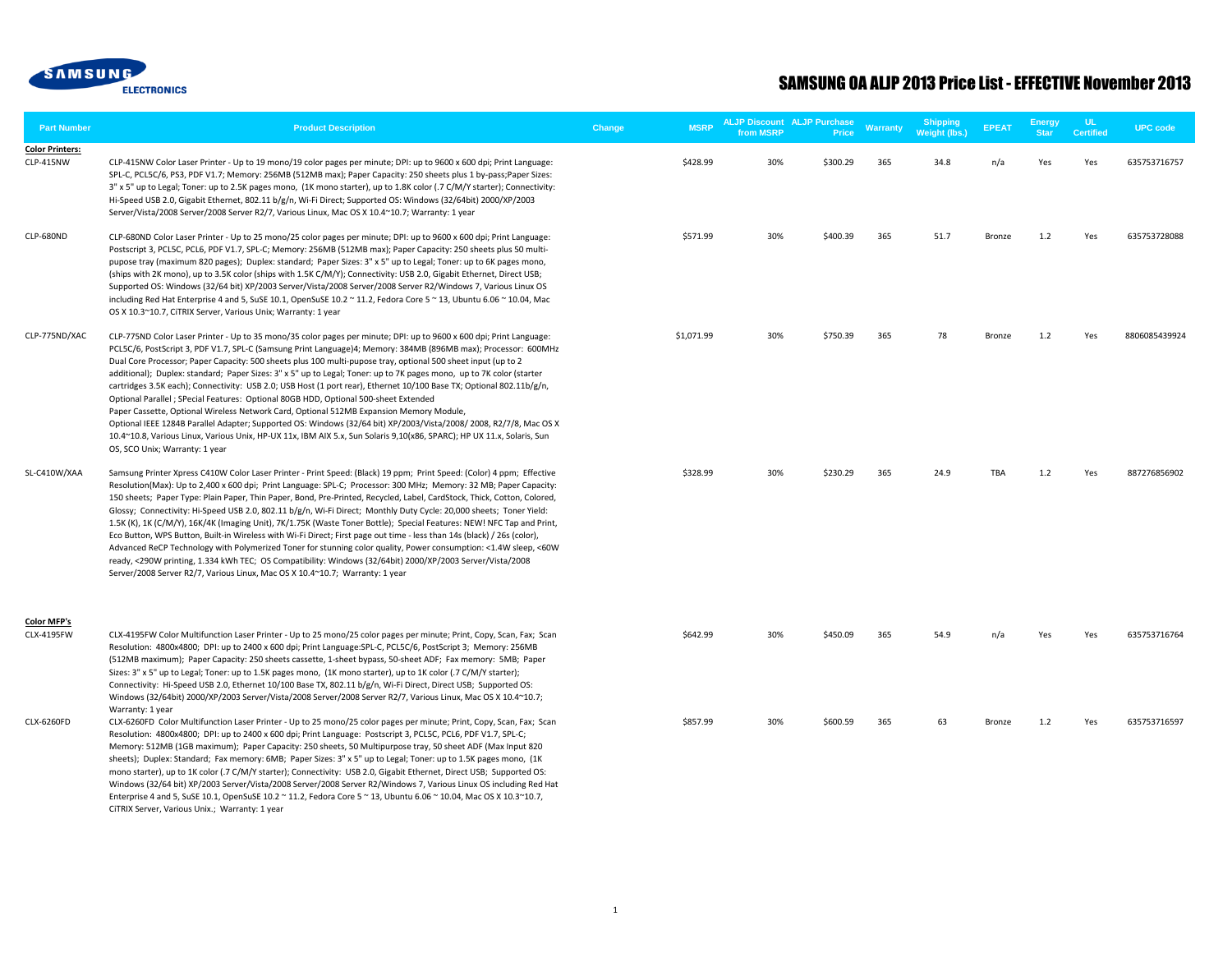

| <b>Part Number</b>                  | <b>Product Description</b>                                                                                                                                                                                                                                                                                                                                                                                                                                                                                                                                                                                                                                                                                                                                                                                                                                                                                                                                                                                                                                                 | Change | <b>MSRP</b> | from MSRP | <b>ALJP Discount ALJP Purchase</b><br>Price | Warranty | <b>Shipping</b><br>Weight (lbs.) | <b>EPEAT</b>  | <b>Energy</b><br><b>Star</b> | UL.<br><b>Certified</b> | <b>UPC</b> code |
|-------------------------------------|----------------------------------------------------------------------------------------------------------------------------------------------------------------------------------------------------------------------------------------------------------------------------------------------------------------------------------------------------------------------------------------------------------------------------------------------------------------------------------------------------------------------------------------------------------------------------------------------------------------------------------------------------------------------------------------------------------------------------------------------------------------------------------------------------------------------------------------------------------------------------------------------------------------------------------------------------------------------------------------------------------------------------------------------------------------------------|--------|-------------|-----------|---------------------------------------------|----------|----------------------------------|---------------|------------------------------|-------------------------|-----------------|
| <b>Color Printers:</b><br>CLP-415NW | CLP-415NW Color Laser Printer - Up to 19 mono/19 color pages per minute; DPI: up to 9600 x 600 dpi; Print Language:<br>SPL-C, PCL5C/6, PS3, PDF V1.7; Memory: 256MB (512MB max); Paper Capacity: 250 sheets plus 1 by-pass; Paper Sizes:<br>3" x 5" up to Legal; Toner: up to 2.5K pages mono, (1K mono starter), up to 1.8K color (.7 C/M/Y starter); Connectivity:<br>Hi-Speed USB 2.0, Gigabit Ethernet, 802.11 b/g/n, Wi-Fi Direct; Supported OS: Windows (32/64bit) 2000/XP/2003<br>Server/Vista/2008 Server/2008 Server R2/7, Various Linux, Mac OS X 10.4~10.7; Warranty: 1 year                                                                                                                                                                                                                                                                                                                                                                                                                                                                                    |        | \$428.99    | 30%       | \$300.29                                    | 365      | 34.8                             | n/a           | Yes                          | Yes                     | 635753716757    |
| CLP-680ND                           | CLP-680ND Color Laser Printer - Up to 25 mono/25 color pages per minute; DPI: up to 9600 x 600 dpi; Print Language:<br>Postscript 3, PCL5C, PCL6, PDF V1.7, SPL-C; Memory: 256MB (512MB max); Paper Capacity: 250 sheets plus 50 multi-<br>pupose tray (maximum 820 pages); Duplex: standard; Paper Sizes: 3" x 5" up to Legal; Toner: up to 6K pages mono,<br>(ships with 2K mono), up to 3.5K color (ships with 1.5K C/M/Y); Connectivity: USB 2.0, Gigabit Ethernet, Direct USB;<br>Supported OS: Windows (32/64 bit) XP/2003 Server/Vista/2008 Server/2008 Server R2/Windows 7, Various Linux OS<br>including Red Hat Enterprise 4 and 5, SuSE 10.1, OpenSuSE 10.2 ~ 11.2, Fedora Core 5 ~ 13, Ubuntu 6.06 ~ 10.04, Mac<br>OS X 10.3~10.7, CiTRIX Server, Various Unix; Warranty: 1 year                                                                                                                                                                                                                                                                               |        | \$571.99    | 30%       | \$400.39                                    | 365      | 51.7                             | Bronze        | 1.2                          | Yes                     | 635753728088    |
| CLP-775ND/XAC                       | CLP-775ND Color Laser Printer - Up to 35 mono/35 color pages per minute; DPI: up to 9600 x 600 dpi; Print Language:<br>PCL5C/6, PostScript 3, PDF V1.7, SPL-C (Samsung Print Language)4; Memory: 384MB (896MB max); Processor: 600MHz<br>Dual Core Processor; Paper Capacity: 500 sheets plus 100 multi-pupose tray, optional 500 sheet input (up to 2<br>additional); Duplex: standard; Paper Sizes: 3" x 5" up to Legal; Toner: up to 7K pages mono, up to 7K color (starter<br>cartridges 3.5K each); Connectivity: USB 2.0; USB Host (1 port rear), Ethernet 10/100 Base TX; Optional 802.11b/g/n,<br>Optional Parallel ; SPecial Features: Optional 80GB HDD, Optional 500-sheet Extended<br>Paper Cassette, Optional Wireless Network Card, Optional 512MB Expansion Memory Module,<br>Optional IEEE 1284B Parallel Adapter; Supported OS: Windows (32/64 bit) XP/2003/Vista/2008/2008, R2/7/8, Mac OS X<br>10.4~10.8, Various Linux, Various Unix, HP-UX 11x, IBM AIX 5.x, Sun Solaris 9,10(x86, SPARC); HP UX 11.x, Solaris, Sun<br>OS, SCO Unix; Warranty: 1 year |        | \$1,071.99  | 30%       | \$750.39                                    | 365      | 78                               | <b>Bronze</b> | 1.2                          | Yes                     | 8806085439924   |
| SL-C410W/XAA                        | Samsung Printer Xpress C410W Color Laser Printer - Print Speed: (Black) 19 ppm; Print Speed: (Color) 4 ppm; Effective<br>Resolution(Max): Up to 2,400 x 600 dpi; Print Language: SPL-C; Processor: 300 MHz; Memory: 32 MB; Paper Capacity:<br>150 sheets; Paper Type: Plain Paper, Thin Paper, Bond, Pre-Printed, Recycled, Label, CardStock, Thick, Cotton, Colored,<br>Glossy; Connectivity: Hi-Speed USB 2.0, 802.11 b/g/n, Wi-Fi Direct; Monthly Duty Cycle: 20,000 sheets; Toner Yield:<br>1.5K (K), 1K (C/M/Y), 16K/4K (Imaging Unit), 7K/1.75K (Waste Toner Bottle); Special Features: NEW! NFC Tap and Print,<br>Eco Button, WPS Button, Built-in Wireless with Wi-Fi Direct; First page out time - less than 14s (black) / 26s (color),<br>Advanced ReCP Technology with Polymerized Toner for stunning color quality, Power consumption: <1.4W sleep, <60W<br>ready, <290W printing, 1.334 kWh TEC; OS Compatibility: Windows (32/64bit) 2000/XP/2003 Server/Vista/2008<br>Server/2008 Server R2/7, Various Linux, Mac OS X 10.4~10.7; Warranty: 1 year          |        | \$328.99    | 30%       | \$230.29                                    | 365      | 24.9                             | TBA           | $1.2$                        | Yes                     | 887276856902    |
| <b>Color MFP's</b><br>CLX-4195FW    | CLX-4195FW Color Multifunction Laser Printer - Up to 25 mono/25 color pages per minute; Print, Copy, Scan, Fax; Scan<br>Resolution: 4800x4800; DPI: up to 2400 x 600 dpi; Print Language: SPL-C, PCL5C/6, PostScript 3; Memory: 256MB<br>(512MB maximum); Paper Capacity: 250 sheets cassette, 1-sheet bypass, 50-sheet ADF; Fax memory: 5MB; Paper<br>Sizes: 3" x 5" up to Legal; Toner: up to 1.5K pages mono, (1K mono starter), up to 1K color (.7 C/M/Y starter);<br>Connectivity: Hi-Speed USB 2.0, Ethernet 10/100 Base TX, 802.11 b/g/n, Wi-Fi Direct, Direct USB; Supported OS:<br>Windows (32/64bit) 2000/XP/2003 Server/Vista/2008 Server/2008 Server R2/7, Various Linux, Mac OS X 10.4~10.7;<br>Warranty: 1 year                                                                                                                                                                                                                                                                                                                                              |        | \$642.99    | 30%       | \$450.09                                    | 365      | 54.9                             | n/a           | Yes                          | Yes                     | 635753716764    |
| CLX-6260FD                          | CLX-6260FD Color Multifunction Laser Printer - Up to 25 mono/25 color pages per minute; Print, Copy, Scan, Fax; Scan<br>Resolution: 4800x4800; DPI: up to 2400 x 600 dpi; Print Language: Postscript 3, PCL5C, PCL6, PDF V1.7, SPL-C;<br>Memory: 512MB (1GB maximum); Paper Capacity: 250 sheets, 50 Multipurpose tray, 50 sheet ADF (Max Input 820<br>sheets); Duplex: Standard; Fax memory: 6MB; Paper Sizes: 3" x 5" up to Legal; Toner: up to 1.5K pages mono, (1K<br>mono starter), up to 1K color (.7 C/M/Y starter); Connectivity: USB 2.0, Gigabit Ethernet, Direct USB; Supported OS:<br>Windows (32/64 bit) XP/2003 Server/Vista/2008 Server/2008 Server R2/Windows 7, Various Linux OS including Red Hat<br>Enterprise 4 and 5, SuSE 10.1, OpenSuSE 10.2 ~ 11.2, Fedora Core 5 ~ 13, Ubuntu 6.06 ~ 10.04, Mac OS X 10.3~10.7,<br>CITRIX Server, Various Unix.; Warranty: 1 year                                                                                                                                                                                 |        | \$857.99    | 30%       | \$600.59                                    | 365      | 63                               | Bronze        | 1.2                          | Yes                     | 635753716597    |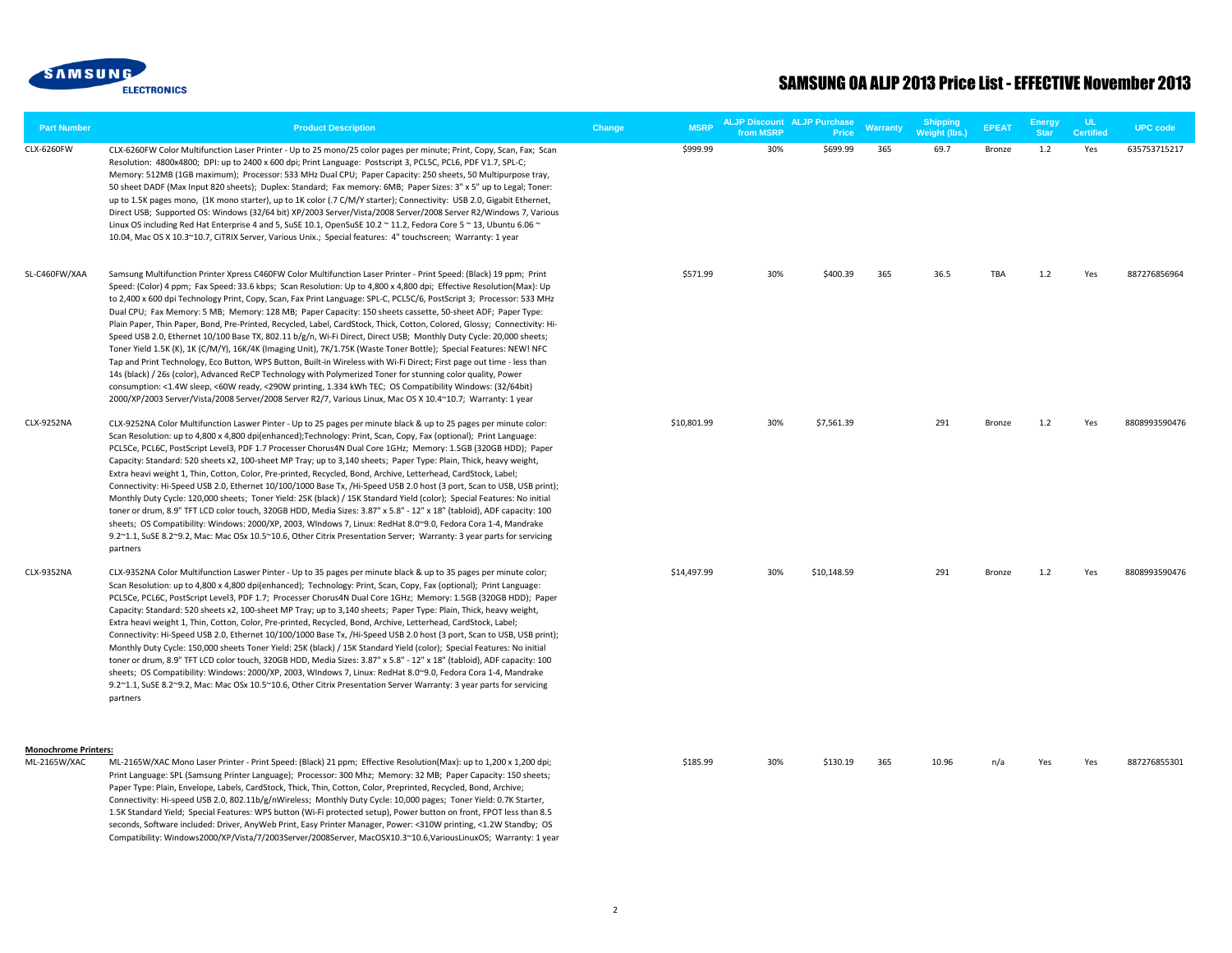

| <b>Part Number</b>                          | <b>Product Description</b>                                                                                                                                                                                                                                                                                                                                                                                                                                                                                                                                                                                                                                                                                                                                                                                                                                                                                                                                                                                                                                                                                                                                                                                                                                                                                                      | Change | <b>MSRP</b> | <b>ALJP Discount ALJP Purchase</b><br>from MSRP | Price       | <b>Warranty</b> | <b>Shipping</b><br>Weight (lbs.) | <b>EPEAT</b> | <b>Energy</b><br><b>Star</b> | UL.<br><b>Certified</b> | <b>UPC</b> code |
|---------------------------------------------|---------------------------------------------------------------------------------------------------------------------------------------------------------------------------------------------------------------------------------------------------------------------------------------------------------------------------------------------------------------------------------------------------------------------------------------------------------------------------------------------------------------------------------------------------------------------------------------------------------------------------------------------------------------------------------------------------------------------------------------------------------------------------------------------------------------------------------------------------------------------------------------------------------------------------------------------------------------------------------------------------------------------------------------------------------------------------------------------------------------------------------------------------------------------------------------------------------------------------------------------------------------------------------------------------------------------------------|--------|-------------|-------------------------------------------------|-------------|-----------------|----------------------------------|--------------|------------------------------|-------------------------|-----------------|
| CLX-6260FW                                  | CLX-6260FW Color Multifunction Laser Printer - Up to 25 mono/25 color pages per minute; Print, Copy, Scan, Fax; Scan<br>Resolution: 4800x4800; DPI: up to 2400 x 600 dpi; Print Language: Postscript 3, PCL5C, PCL6, PDF V1.7, SPL-C;<br>Memory: 512MB (1GB maximum); Processor: 533 MHz Dual CPU; Paper Capacity: 250 sheets, 50 Multipurpose tray,<br>50 sheet DADF (Max Input 820 sheets); Duplex: Standard; Fax memory: 6MB; Paper Sizes: 3" x 5" up to Legal; Toner:<br>up to 1.5K pages mono, (1K mono starter), up to 1K color (.7 C/M/Y starter); Connectivity: USB 2.0, Gigabit Ethernet,<br>Direct USB; Supported OS: Windows (32/64 bit) XP/2003 Server/Vista/2008 Server/2008 Server R2/Windows 7, Various<br>Linux OS including Red Hat Enterprise 4 and 5, SuSE 10.1, OpenSuSE 10.2 ~ 11.2, Fedora Core 5 ~ 13, Ubuntu 6.06 ~<br>10.04, Mac OS X 10.3~10.7, CiTRIX Server, Various Unix.; Special features: 4" touchscreen; Warranty: 1 year                                                                                                                                                                                                                                                                                                                                                                      |        | \$999.99    | 30%                                             | \$699.99    | 365             | 69.7                             | Bronze       | 1.2                          | Yes                     | 635753715217    |
| SL-C460FW/XAA                               | Samsung Multifunction Printer Xpress C460FW Color Multifunction Laser Printer - Print Speed: (Black) 19 ppm; Print<br>Speed: (Color) 4 ppm; Fax Speed: 33.6 kbps; Scan Resolution: Up to 4,800 x 4,800 dpi; Effective Resolution(Max): Up<br>to 2,400 x 600 dpi Technology Print, Copy, Scan, Fax Print Language: SPL-C, PCL5C/6, PostScript 3; Processor: 533 MHz<br>Dual CPU; Fax Memory: 5 MB; Memory: 128 MB; Paper Capacity: 150 sheets cassette, 50-sheet ADF; Paper Type:<br>Plain Paper, Thin Paper, Bond, Pre-Printed, Recycled, Label, CardStock, Thick, Cotton, Colored, Glossy; Connectivity: Hi-<br>Speed USB 2.0, Ethernet 10/100 Base TX, 802.11 b/g/n, Wi-Fi Direct, Direct USB; Monthly Duty Cycle: 20,000 sheets;<br>Toner Yield 1.5K (K), 1K (C/M/Y), 16K/4K (Imaging Unit), 7K/1.75K (Waste Toner Bottle); Special Features: NEW! NFC<br>Tap and Print Technology, Eco Button, WPS Button, Built-in Wireless with Wi-Fi Direct; First page out time - less than<br>14s (black) / 26s (color), Advanced ReCP Technology with Polymerized Toner for stunning color quality, Power<br>consumption: <1.4W sleep, <60W ready, <290W printing, 1.334 kWh TEC; OS Compatibility Windows: (32/64bit)<br>2000/XP/2003 Server/Vista/2008 Server/2008 Server R2/7, Various Linux, Mac OS X 10.4~10.7; Warranty: 1 year |        | \$571.99    | 30%                                             | \$400.39    | 365             | 36.5                             | <b>TBA</b>   | 1.2                          | Yes                     | 887276856964    |
| CLX-9252NA                                  | CLX-9252NA Color Multifunction Laswer Pinter - Up to 25 pages per minute black & up to 25 pages per minute color:<br>Scan Resolution: up to 4,800 x 4,800 dpi(enhanced);Technology: Print, Scan, Copy, Fax (optional); Print Language:<br>PCL5Ce, PCL6C, PostScript Level3, PDF 1.7 Processer Chorus4N Dual Core 1GHz; Memory: 1.5GB (320GB HDD); Paper<br>Capacity: Standard: 520 sheets x2, 100-sheet MP Tray; up to 3,140 sheets; Paper Type: Plain, Thick, heavy weight,<br>Extra heavi weight 1, Thin, Cotton, Color, Pre-printed, Recycled, Bond, Archive, Letterhead, CardStock, Label;<br>Connectivity: Hi-Speed USB 2.0, Ethernet 10/100/1000 Base Tx, /Hi-Speed USB 2.0 host (3 port, Scan to USB, USB print);<br>Monthly Duty Cycle: 120,000 sheets; Toner Yield: 25K (black) / 15K Standard Yield (color); Special Features: No initial<br>toner or drum, 8.9" TFT LCD color touch, 320GB HDD, Media Sizes: 3.87" x 5.8" - 12" x 18" (tabloid), ADF capacity: 100<br>sheets; OS Compatibility: Windows: 2000/XP, 2003, WIndows 7, Linux: RedHat 8.0~9.0, Fedora Cora 1-4, Mandrake<br>9.2~1.1, SuSE 8.2~9.2, Mac: Mac OSx 10.5~10.6, Other Citrix Presentation Server; Warranty: 3 year parts for servicing<br>partners                                                                                             |        | \$10,801.99 | 30%                                             | \$7,561.39  |                 | 291                              | Bronze       | 1.2                          | Yes                     | 8808993590476   |
| CLX-9352NA                                  | CLX-9352NA Color Multifunction Laswer Pinter - Up to 35 pages per minute black & up to 35 pages per minute color;<br>Scan Resolution: up to 4,800 x 4,800 dpi(enhanced); Technology: Print, Scan, Copy, Fax (optional); Print Language:<br>PCL5Ce, PCL6C, PostScript Level3, PDF 1.7; Processer Chorus4N Dual Core 1GHz; Memory: 1.5GB (320GB HDD); Paper<br>Capacity: Standard: 520 sheets x2, 100-sheet MP Tray; up to 3,140 sheets; Paper Type: Plain, Thick, heavy weight,<br>Extra heavi weight 1, Thin, Cotton, Color, Pre-printed, Recycled, Bond, Archive, Letterhead, CardStock, Label;<br>Connectivity: Hi-Speed USB 2.0, Ethernet 10/100/1000 Base Tx, /Hi-Speed USB 2.0 host (3 port, Scan to USB, USB print);<br>Monthly Duty Cycle: 150,000 sheets Toner Yield: 25K (black) / 15K Standard Yield (color); Special Features: No initial<br>toner or drum, 8.9" TFT LCD color touch, 320GB HDD, Media Sizes: 3.87" x 5.8" - 12" x 18" (tabloid), ADF capacity: 100<br>sheets; OS Compatibility: Windows: 2000/XP, 2003, WIndows 7, Linux: RedHat 8.0~9.0, Fedora Cora 1-4, Mandrake<br>9.2~1.1, SuSE 8.2~9.2, Mac: Mac OSx 10.5~10.6, Other Citrix Presentation Server Warranty: 3 year parts for servicing<br>partners                                                                                             |        | \$14,497.99 | 30%                                             | \$10,148.59 |                 | 291                              | Bronze       | 1.2                          | Yes                     | 8808993590476   |
| <b>Monochrome Printers:</b><br>ML-2165W/XAC | ML-2165W/XAC Mono Laser Printer - Print Speed: (Black) 21 ppm; Effective Resolution(Max): up to 1,200 x 1,200 dpi;<br>Print Language: SPL (Samsung Printer Language); Processor: 300 Mhz; Memory: 32 MB; Paper Capacity: 150 sheets;<br>Paper Type: Plain, Envelope, Labels, CardStock, Thick, Thin, Cotton, Color, Preprinted, Recycled, Bond, Archive;<br>Connectivity: Hi-speed USB 2.0, 802.11b/g/nWireless; Monthly Duty Cycle: 10,000 pages; Toner Yield: 0.7K Starter,                                                                                                                                                                                                                                                                                                                                                                                                                                                                                                                                                                                                                                                                                                                                                                                                                                                   |        | \$185.99    | 30%                                             | \$130.19    | 365             | 10.96                            | n/a          | Yes                          | Yes                     | 887276855301    |

1.5K Standard Yield; Special Features: WPS button (Wi-Fi protected setup), Power button on front, FPOT less than 8.5 seconds, Software included: Driver, AnyWeb Print, Easy Printer Manager, Power: <310W printing, <1.2W Standby; OS Compatibility: Windows2000/XP/Vista/7/2003Server/2008Server, MacOSX10.3~10.6,VariousLinuxOS; Warranty: 1 year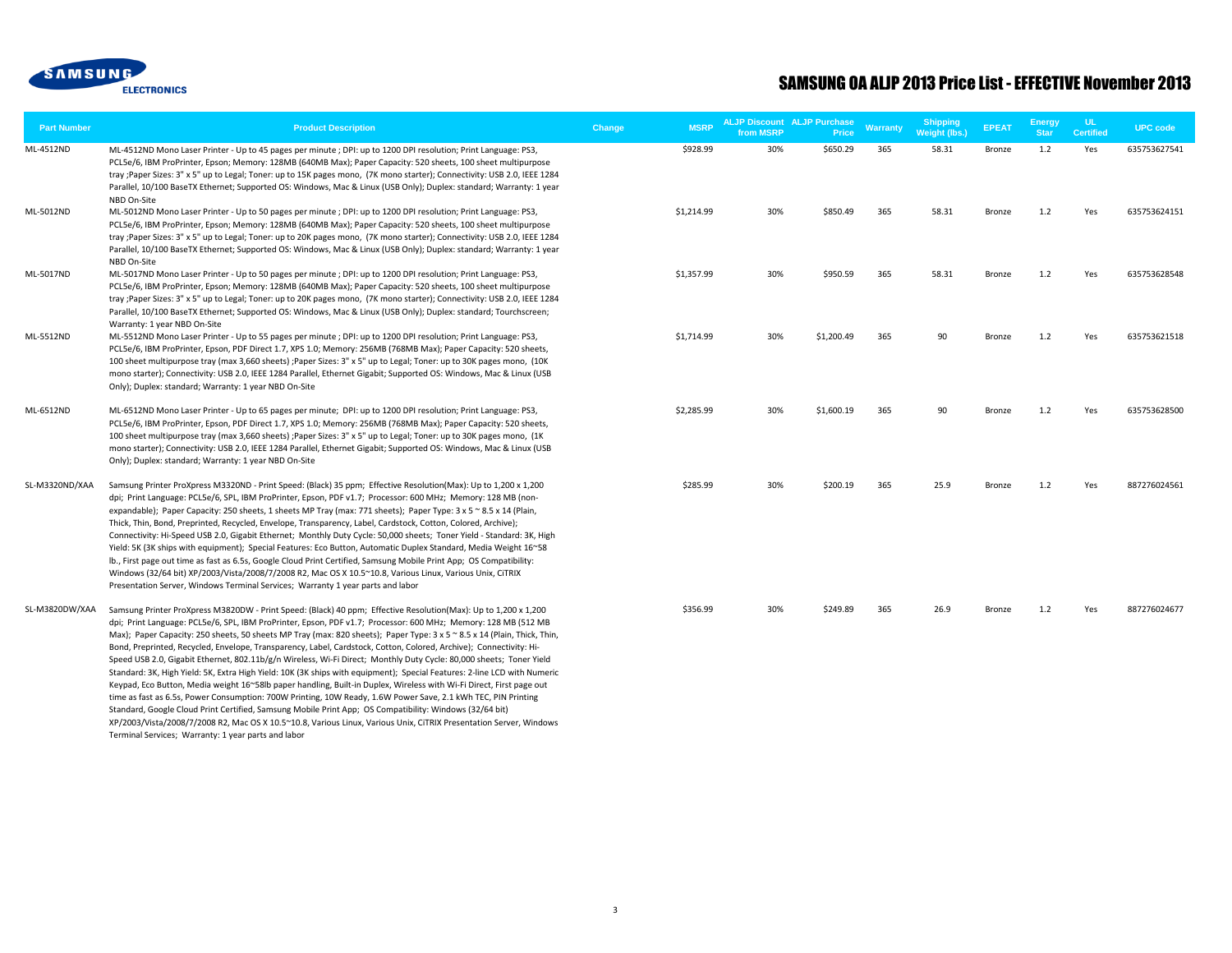

| <b>Part Number</b> | <b>Product Description</b>                                                                                                                                                                                                                                                                                                                                                                                                                                                                                                                                                                                                                                                                                                                                                                                                                                                                                                                                                                                                                                                                                                                                                                                                                                              | <b>MSRP</b><br>Change | from MSRP | <b>ALJP Discount ALJP Purchase</b><br><b>Price</b> | <b>Warranty</b> | <b>Shipping</b><br>Weight (lbs.) | <b>EPEAT</b>  | <b>Energy</b><br><b>Star</b> | <b>UL</b><br><b>Certified</b> | <b>UPC code</b> |
|--------------------|-------------------------------------------------------------------------------------------------------------------------------------------------------------------------------------------------------------------------------------------------------------------------------------------------------------------------------------------------------------------------------------------------------------------------------------------------------------------------------------------------------------------------------------------------------------------------------------------------------------------------------------------------------------------------------------------------------------------------------------------------------------------------------------------------------------------------------------------------------------------------------------------------------------------------------------------------------------------------------------------------------------------------------------------------------------------------------------------------------------------------------------------------------------------------------------------------------------------------------------------------------------------------|-----------------------|-----------|----------------------------------------------------|-----------------|----------------------------------|---------------|------------------------------|-------------------------------|-----------------|
| ML-4512ND          | ML-4512ND Mono Laser Printer - Up to 45 pages per minute ; DPI: up to 1200 DPI resolution; Print Language: PS3,<br>PCL5e/6, IBM ProPrinter, Epson; Memory: 128MB (640MB Max); Paper Capacity: 520 sheets, 100 sheet multipurpose<br>tray ;Paper Sizes: 3" x 5" up to Legal; Toner: up to 15K pages mono, (7K mono starter); Connectivity: USB 2.0, IEEE 1284<br>Parallel, 10/100 BaseTX Ethernet; Supported OS: Windows, Mac & Linux (USB Only); Duplex: standard; Warranty: 1 year<br>NBD On-Site                                                                                                                                                                                                                                                                                                                                                                                                                                                                                                                                                                                                                                                                                                                                                                      | \$928.99              | 30%       | \$650.29                                           | 365             | 58.31                            | Bronze        | 1.2                          | Yes                           | 635753627541    |
| ML-5012ND          | ML-5012ND Mono Laser Printer - Up to 50 pages per minute ; DPI: up to 1200 DPI resolution; Print Language: PS3,<br>PCL5e/6, IBM ProPrinter, Epson; Memory: 128MB (640MB Max); Paper Capacity: 520 sheets, 100 sheet multipurpose<br>tray ;Paper Sizes: 3" x 5" up to Legal; Toner: up to 20K pages mono, (7K mono starter); Connectivity: USB 2.0, IEEE 1284<br>Parallel, 10/100 BaseTX Ethernet; Supported OS: Windows, Mac & Linux (USB Only); Duplex: standard; Warranty: 1 year<br>NBD On-Site                                                                                                                                                                                                                                                                                                                                                                                                                                                                                                                                                                                                                                                                                                                                                                      | \$1,214.99            | 30%       | \$850.49                                           | 365             | 58.31                            | Bronze        | 1.2                          | Yes                           | 635753624151    |
| ML-5017ND          | ML-5017ND Mono Laser Printer - Up to 50 pages per minute ; DPI: up to 1200 DPI resolution; Print Language: PS3,<br>PCL5e/6, IBM ProPrinter, Epson; Memory: 128MB (640MB Max); Paper Capacity: 520 sheets, 100 sheet multipurpose<br>tray ; Paper Sizes: 3" x 5" up to Legal; Toner: up to 20K pages mono, (7K mono starter); Connectivity: USB 2.0, IEEE 1284<br>Parallel, 10/100 BaseTX Ethernet; Supported OS: Windows, Mac & Linux (USB Only); Duplex: standard; Tourchscreen;<br>Warranty: 1 year NBD On-Site                                                                                                                                                                                                                                                                                                                                                                                                                                                                                                                                                                                                                                                                                                                                                       | \$1,357.99            | 30%       | \$950.59                                           | 365             | 58.31                            | Bronze        | 1.2                          | Yes                           | 635753628548    |
| ML-5512ND          | ML-5512ND Mono Laser Printer - Up to 55 pages per minute ; DPI: up to 1200 DPI resolution; Print Language: PS3,<br>PCL5e/6, IBM ProPrinter, Epson, PDF Direct 1.7, XPS 1.0; Memory: 256MB (768MB Max); Paper Capacity: 520 sheets,<br>100 sheet multipurpose tray (max 3,660 sheets) ; Paper Sizes: 3" x 5" up to Legal; Toner: up to 30K pages mono, (10K<br>mono starter); Connectivity: USB 2.0, IEEE 1284 Parallel, Ethernet Gigabit; Supported OS: Windows, Mac & Linux (USB<br>Only); Duplex: standard; Warranty: 1 year NBD On-Site                                                                                                                                                                                                                                                                                                                                                                                                                                                                                                                                                                                                                                                                                                                              | \$1,714.99            | 30%       | \$1,200.49                                         | 365             | 90                               | Bronze        | 1.2                          | Yes                           | 635753621518    |
| ML-6512ND          | ML-6512ND Mono Laser Printer - Up to 65 pages per minute; DPI: up to 1200 DPI resolution; Print Language: PS3,<br>PCL5e/6, IBM ProPrinter, Epson, PDF Direct 1.7, XPS 1.0; Memory: 256MB (768MB Max); Paper Capacity: 520 sheets,<br>100 sheet multipurpose tray (max 3,660 sheets) ; Paper Sizes: 3" x 5" up to Legal; Toner: up to 30K pages mono, (1K<br>mono starter); Connectivity: USB 2.0, IEEE 1284 Parallel, Ethernet Gigabit; Supported OS: Windows, Mac & Linux (USB<br>Only); Duplex: standard; Warranty: 1 year NBD On-Site                                                                                                                                                                                                                                                                                                                                                                                                                                                                                                                                                                                                                                                                                                                                | \$2,285.99            | 30%       | \$1,600.19                                         | 365             | 90                               | Bronze        | 1.2                          | Yes                           | 635753628500    |
| SL-M3320ND/XAA     | Samsung Printer ProXpress M3320ND - Print Speed: (Black) 35 ppm; Effective Resolution(Max): Up to 1,200 x 1,200<br>dpi; Print Language: PCL5e/6, SPL, IBM ProPrinter, Epson, PDF v1.7; Processor: 600 MHz; Memory: 128 MB (non-<br>expandable); Paper Capacity: 250 sheets, 1 sheets MP Tray (max: 771 sheets); Paper Type: 3 x 5 ~ 8.5 x 14 (Plain,<br>Thick, Thin, Bond, Preprinted, Recycled, Envelope, Transparency, Label, Cardstock, Cotton, Colored, Archive);<br>Connectivity: Hi-Speed USB 2.0, Gigabit Ethernet; Monthly Duty Cycle: 50,000 sheets; Toner Yield - Standard: 3K, High<br>Yield: 5K (3K ships with equipment); Special Features: Eco Button, Automatic Duplex Standard, Media Weight 16~58<br>Ib., First page out time as fast as 6.5s, Google Cloud Print Certified, Samsung Mobile Print App; OS Compatibility:<br>Windows (32/64 bit) XP/2003/Vista/2008/7/2008 R2, Mac OS X 10.5~10.8, Various Linux, Various Unix, CiTRIX<br>Presentation Server, Windows Terminal Services; Warranty 1 year parts and labor                                                                                                                                                                                                                               | \$285.99              | 30%       | \$200.19                                           | 365             | 25.9                             | Bronze        | 1.2                          | Yes                           | 887276024561    |
| SL-M3820DW/XAA     | Samsung Printer ProXpress M3820DW - Print Speed: (Black) 40 ppm; Effective Resolution(Max): Up to 1,200 x 1,200<br>dpi; Print Language: PCL5e/6, SPL, IBM ProPrinter, Epson, PDF v1.7; Processor: 600 MHz; Memory: 128 MB (512 MB<br>Max); Paper Capacity: 250 sheets, 50 sheets MP Tray (max: 820 sheets); Paper Type: 3 x 5 ~ 8.5 x 14 (Plain, Thick, Thin,<br>Bond, Preprinted, Recycled, Envelope, Transparency, Label, Cardstock, Cotton, Colored, Archive); Connectivity: Hi-<br>Speed USB 2.0, Gigabit Ethernet, 802.11b/g/n Wireless, Wi-Fi Direct; Monthly Duty Cycle: 80,000 sheets; Toner Yield<br>Standard: 3K, High Yield: 5K, Extra High Yield: 10K (3K ships with equipment); Special Features: 2-line LCD with Numeric<br>Keypad, Eco Button, Media weight 16~58lb paper handling, Built-in Duplex, Wireless with Wi-Fi Direct, First page out<br>time as fast as 6.5s, Power Consumption: 700W Printing, 10W Ready, 1.6W Power Save, 2.1 kWh TEC, PIN Printing<br>Standard, Google Cloud Print Certified, Samsung Mobile Print App; OS Compatibility: Windows (32/64 bit)<br>XP/2003/Vista/2008/7/2008 R2, Mac OS X 10.5~10.8, Various Linux, Various Unix, CiTRIX Presentation Server, Windows<br>Terminal Services; Warranty: 1 year parts and labor | \$356.99              | 30%       | \$249.89                                           | 365             | 26.9                             | <b>Bronze</b> | 1.2                          | Yes                           | 887276024677    |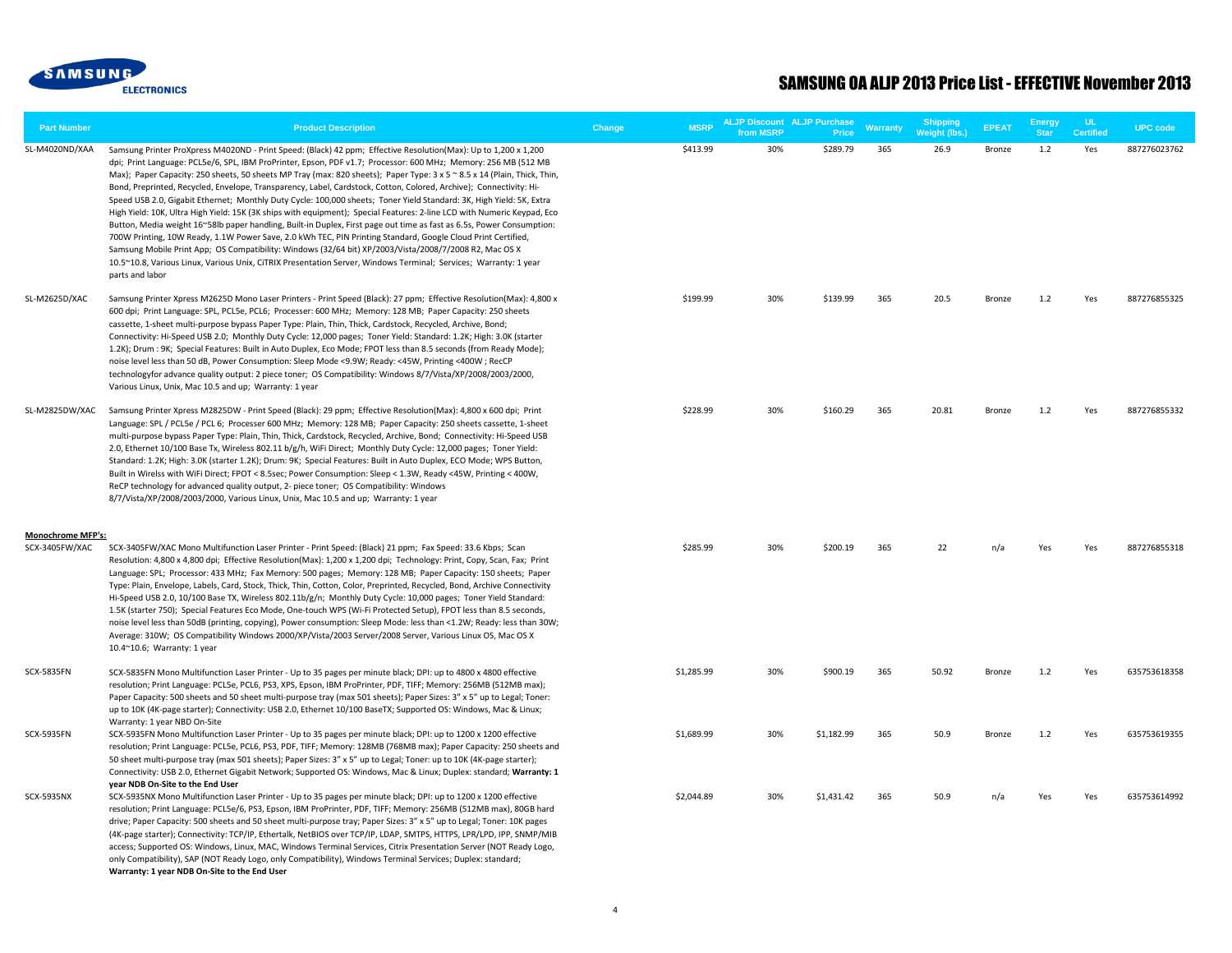

| <b>Part Number</b>       | <b>Product Description</b>                                                                                                                                                                                                                                                                                                                                                                                                                                                                                                                                                                                                                                                                                                                                                                                                                                                                                                                                                                                                                                                                                                                                                                                                       | Change | <b>MSRP</b> | <b>ALJP Discount ALJP Purchase</b><br>from MSRP | Price      | <b>Warranty</b> | <b>Shipping</b><br>Weight (lbs.) | <b>EPEAT</b> | <b>Energy</b><br><b>Star</b> | <b>UL</b><br><b>Certified</b> | <b>UPC</b> code |
|--------------------------|----------------------------------------------------------------------------------------------------------------------------------------------------------------------------------------------------------------------------------------------------------------------------------------------------------------------------------------------------------------------------------------------------------------------------------------------------------------------------------------------------------------------------------------------------------------------------------------------------------------------------------------------------------------------------------------------------------------------------------------------------------------------------------------------------------------------------------------------------------------------------------------------------------------------------------------------------------------------------------------------------------------------------------------------------------------------------------------------------------------------------------------------------------------------------------------------------------------------------------|--------|-------------|-------------------------------------------------|------------|-----------------|----------------------------------|--------------|------------------------------|-------------------------------|-----------------|
| SL-M4020ND/XAA           | Samsung Printer ProXpress M4020ND - Print Speed: (Black) 42 ppm; Effective Resolution(Max): Up to 1,200 x 1,200<br>dpi; Print Language: PCL5e/6, SPL, IBM ProPrinter, Epson, PDF v1.7; Processor: 600 MHz; Memory: 256 MB (512 MB<br>Max); Paper Capacity: 250 sheets, 50 sheets MP Tray (max: 820 sheets); Paper Type: 3 x 5 ~ 8.5 x 14 (Plain, Thick, Thin,<br>Bond, Preprinted, Recycled, Envelope, Transparency, Label, Cardstock, Cotton, Colored, Archive); Connectivity: Hi-<br>Speed USB 2.0, Gigabit Ethernet; Monthly Duty Cycle: 100,000 sheets; Toner Yield Standard: 3K, High Yield: 5K, Extra<br>High Yield: 10K, Ultra High Yield: 15K (3K ships with equipment); Special Features: 2-line LCD with Numeric Keypad, Eco<br>Button, Media weight 16~58lb paper handling, Built-in Duplex, First page out time as fast as 6.5s, Power Consumption:<br>700W Printing, 10W Ready, 1.1W Power Save, 2.0 kWh TEC, PIN Printing Standard, Google Cloud Print Certified,<br>Samsung Mobile Print App; OS Compatibility: Windows (32/64 bit) XP/2003/Vista/2008/7/2008 R2, Mac OS X<br>10.5~10.8, Various Linux, Various Unix, CiTRIX Presentation Server, Windows Terminal; Services; Warranty: 1 year<br>parts and labor |        | \$413.99    | 30%                                             | \$289.79   | 365             | 26.9                             | Bronze       | 1.2                          | Yes                           | 887276023762    |
| SL-M2625D/XAC            | Samsung Printer Xpress M2625D Mono Laser Printers - Print Speed (Black): 27 ppm; Effective Resolution(Max): 4,800 x<br>600 dpi; Print Language: SPL, PCL5e, PCL6; Processer: 600 MHz; Memory: 128 MB; Paper Capacity: 250 sheets<br>cassette, 1-sheet multi-purpose bypass Paper Type: Plain, Thin, Thick, Cardstock, Recycled, Archive, Bond;<br>Connectivity: Hi-Speed USB 2.0; Monthly Duty Cycle: 12,000 pages; Toner Yield: Standard: 1.2K; High: 3.0K (starter<br>1.2K); Drum : 9K; Special Features: Built in Auto Duplex, Eco Mode; FPOT less than 8.5 seconds (from Ready Mode);<br>noise level less than 50 dB, Power Consumption: Sleep Mode <9.9W; Ready: <45W, Printing <400W; RecCP<br>technologyfor advance quality output: 2 piece toner; OS Compatibility: Windows 8/7/Vista/XP/2008/2003/2000,<br>Various Linux, Unix, Mac 10.5 and up; Warranty: 1 year                                                                                                                                                                                                                                                                                                                                                       |        | \$199.99    | 30%                                             | \$139.99   | 365             | 20.5                             | Bronze       | 1.2                          | Yes                           | 887276855325    |
| SL-M2825DW/XAC           | Samsung Printer Xpress M2825DW - Print Speed (Black): 29 ppm; Effective Resolution(Max): 4,800 x 600 dpi; Print<br>Language: SPL / PCL5e / PCL 6; Processer 600 MHz; Memory: 128 MB; Paper Capacity: 250 sheets cassette, 1-sheet<br>multi-purpose bypass Paper Type: Plain, Thin, Thick, Cardstock, Recycled, Archive, Bond; Connectivity: Hi-Speed USB<br>2.0, Ethernet 10/100 Base Tx, Wireless 802.11 b/g/h, WiFi Direct; Monthly Duty Cycle: 12,000 pages; Toner Yield:<br>Standard: 1.2K; High: 3.0K (starter 1.2K); Drum: 9K; Special Features: Built in Auto Duplex, ECO Mode; WPS Button,<br>Built in Wirelss with WiFi Direct; FPOT < 8.5sec; Power Consumption: Sleep < 1.3W, Ready <45W, Printing < 400W,<br>ReCP technology for advanced quality output, 2- piece toner; OS Compatibility: Windows<br>8/7/Vista/XP/2008/2003/2000, Various Linux, Unix, Mac 10.5 and up; Warranty: 1 year                                                                                                                                                                                                                                                                                                                           |        | \$228.99    | 30%                                             | \$160.29   | 365             | 20.81                            | Bronze       | 1.2                          | Yes                           | 887276855332    |
| <b>Monochrome MFP's:</b> |                                                                                                                                                                                                                                                                                                                                                                                                                                                                                                                                                                                                                                                                                                                                                                                                                                                                                                                                                                                                                                                                                                                                                                                                                                  |        |             |                                                 |            |                 |                                  |              |                              |                               |                 |
| SCX-3405FW/XAC           | SCX-3405FW/XAC Mono Multifunction Laser Printer - Print Speed: (Black) 21 ppm; Fax Speed: 33.6 Kbps; Scan<br>Resolution: 4,800 x 4,800 dpi; Effective Resolution(Max): 1,200 x 1,200 dpi; Technology: Print, Copy, Scan, Fax; Print<br>Language: SPL; Processor: 433 MHz; Fax Memory: 500 pages; Memory: 128 MB; Paper Capacity: 150 sheets; Paper<br>Type: Plain, Envelope, Labels, Card, Stock, Thick, Thin, Cotton, Color, Preprinted, Recycled, Bond, Archive Connectivity<br>Hi-Speed USB 2.0, 10/100 Base TX, Wireless 802.11b/g/n; Monthly Duty Cycle: 10,000 pages; Toner Yield Standard:<br>1.5K (starter 750); Special Features Eco Mode, One-touch WPS (Wi-Fi Protected Setup), FPOT less than 8.5 seconds,<br>noise level less than 50dB (printing, copying), Power consumption: Sleep Mode: less than <1.2W; Ready: less than 30W;<br>Average: 310W; OS Compatibility Windows 2000/XP/Vista/2003 Server/2008 Server, Various Linux OS, Mac OS X<br>10.4~10.6; Warranty: 1 year                                                                                                                                                                                                                                      |        | \$285.99    | 30%                                             | \$200.19   | 365             | 22                               | n/a          | Yes                          | Yes                           | 887276855318    |
| <b>SCX-5835FN</b>        | SCX-5835FN Mono Multifunction Laser Printer - Up to 35 pages per minute black; DPI: up to 4800 x 4800 effective<br>resolution; Print Language: PCL5e, PCL6, PS3, XPS, Epson, IBM ProPrinter, PDF, TIFF; Memory: 256MB (512MB max);<br>Paper Capacity: 500 sheets and 50 sheet multi-purpose tray (max 501 sheets); Paper Sizes: 3" x 5" up to Legal; Toner:<br>up to 10K (4K-page starter); Connectivity: USB 2.0, Ethernet 10/100 BaseTX; Supported OS: Windows, Mac & Linux;<br>Warranty: 1 year NBD On-Site                                                                                                                                                                                                                                                                                                                                                                                                                                                                                                                                                                                                                                                                                                                   |        | \$1,285.99  | 30%                                             | \$900.19   | 365             | 50.92                            | Bronze       | 1.2                          | Yes                           | 635753618358    |
| <b>SCX-5935FN</b>        | SCX-5935FN Mono Multifunction Laser Printer - Up to 35 pages per minute black; DPI: up to 1200 x 1200 effective<br>resolution; Print Language: PCL5e, PCL6, PS3, PDF, TIFF; Memory: 128MB (768MB max); Paper Capacity: 250 sheets and<br>50 sheet multi-purpose tray (max 501 sheets); Paper Sizes: 3" x 5" up to Legal; Toner: up to 10K (4K-page starter);<br>Connectivity: USB 2.0, Ethernet Gigabit Network; Supported OS: Windows, Mac & Linux; Duplex: standard; Warranty: 1<br>year NDB On-Site to the End User                                                                                                                                                                                                                                                                                                                                                                                                                                                                                                                                                                                                                                                                                                           |        | \$1,689.99  | 30%                                             | \$1,182.99 | 365             | 50.9                             | Bronze       | 1.2                          | Yes                           | 635753619355    |
| <b>SCX-5935NX</b>        | SCX-5935NX Mono Multifunction Laser Printer - Up to 35 pages per minute black; DPI: up to 1200 x 1200 effective<br>resolution; Print Language: PCL5e/6, PS3, Epson, IBM ProPrinter, PDF, TIFF; Memory: 256MB (512MB max), 80GB hard<br>drive; Paper Capacity: 500 sheets and 50 sheet multi-purpose tray; Paper Sizes: 3" x 5" up to Legal; Toner: 10K pages<br>(4K-page starter); Connectivity: TCP/IP, Ethertalk, NetBIOS over TCP/IP, LDAP, SMTPS, HTTPS, LPR/LPD, IPP, SNMP/MIB<br>access; Supported OS: Windows, Linux, MAC, Windows Terminal Services, Citrix Presentation Server (NOT Ready Logo,<br>only Compatibility), SAP (NOT Ready Logo, only Compatibility), Windows Terminal Services; Duplex: standard;<br>Warranty: 1 year NDB On-Site to the End User                                                                                                                                                                                                                                                                                                                                                                                                                                                          |        | \$2,044.89  | 30%                                             | \$1,431.42 | 365             | 50.9                             | n/a          | Yes                          | Yes                           | 635753614992    |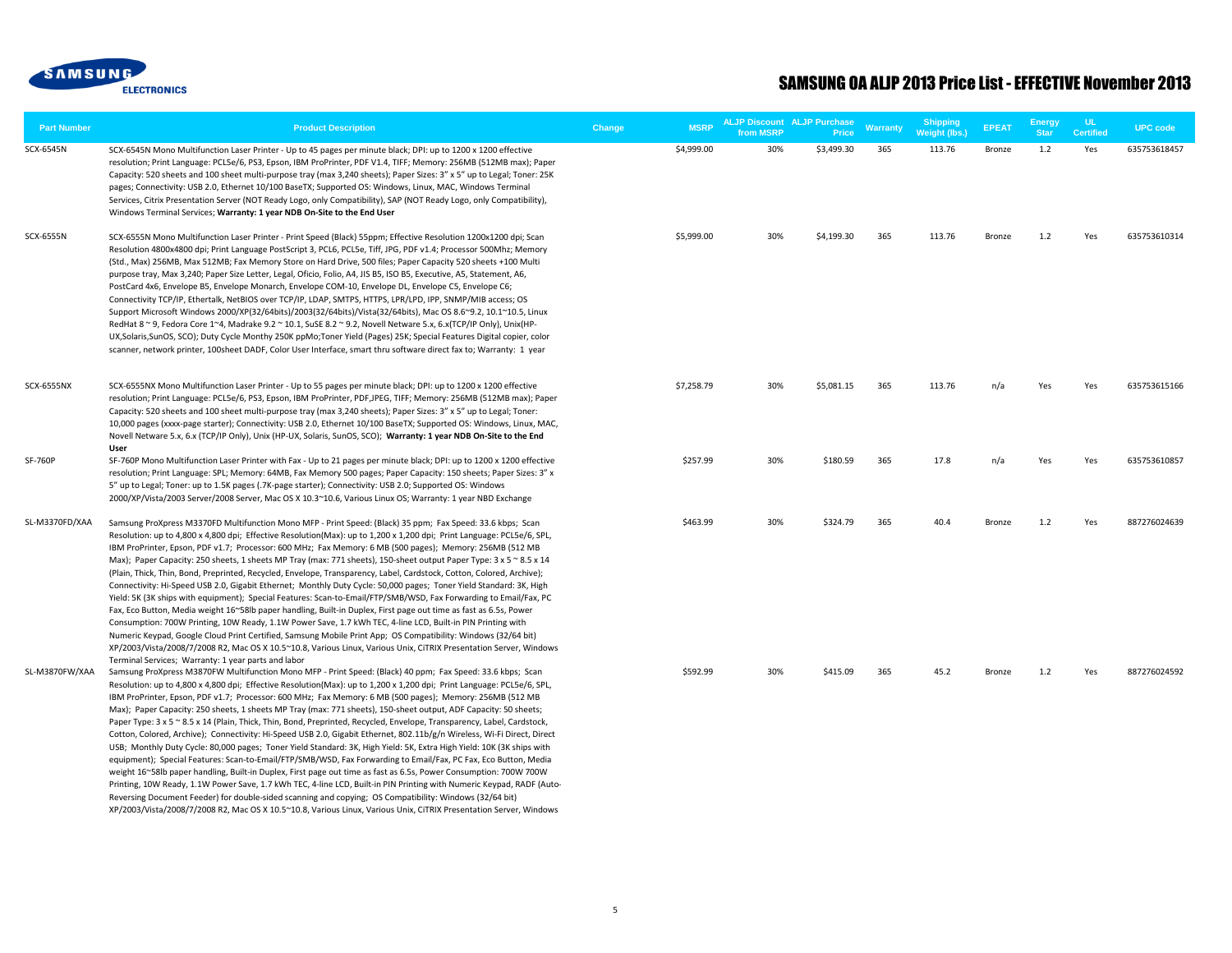

| <b>Part Number</b> | <b>Product Description</b>                                                                                                                                                                                                                                                                                                                                                                                                                                                                                                                                                                                                                                                                                                                                                                                                                                                                                                                                                                                                                                                                                                                                                                                                                                                                                                                                                                                                                            | <b>MSRP</b><br>Change | <b>ALJP Discount ALJP Purchase</b><br>from MSRP | Price      | Warranty | <b>Shipping</b><br><b>Weight (lbs.)</b> | <b>EPEAT</b>  | <b>Energy</b><br><b>Star</b> | UL.<br><b>Certified</b> | <b>UPC code</b> |
|--------------------|-------------------------------------------------------------------------------------------------------------------------------------------------------------------------------------------------------------------------------------------------------------------------------------------------------------------------------------------------------------------------------------------------------------------------------------------------------------------------------------------------------------------------------------------------------------------------------------------------------------------------------------------------------------------------------------------------------------------------------------------------------------------------------------------------------------------------------------------------------------------------------------------------------------------------------------------------------------------------------------------------------------------------------------------------------------------------------------------------------------------------------------------------------------------------------------------------------------------------------------------------------------------------------------------------------------------------------------------------------------------------------------------------------------------------------------------------------|-----------------------|-------------------------------------------------|------------|----------|-----------------------------------------|---------------|------------------------------|-------------------------|-----------------|
| SCX-6545N          | SCX-6545N Mono Multifunction Laser Printer - Up to 45 pages per minute black; DPI: up to 1200 x 1200 effective<br>resolution; Print Language: PCL5e/6, PS3, Epson, IBM ProPrinter, PDF V1.4, TIFF; Memory: 256MB (512MB max); Paper<br>Capacity: 520 sheets and 100 sheet multi-purpose tray (max 3,240 sheets); Paper Sizes: 3" x 5" up to Legal; Toner: 25K<br>pages; Connectivity: USB 2.0, Ethernet 10/100 BaseTX; Supported OS: Windows, Linux, MAC, Windows Terminal<br>Services, Citrix Presentation Server (NOT Ready Logo, only Compatibility), SAP (NOT Ready Logo, only Compatibility),<br>Windows Terminal Services; Warranty: 1 year NDB On-Site to the End User                                                                                                                                                                                                                                                                                                                                                                                                                                                                                                                                                                                                                                                                                                                                                                         | \$4,999.00            | 30%                                             | \$3,499.30 | 365      | 113.76                                  | Bronze        | 1.2                          | Yes                     | 635753618457    |
| SCX-6555N          | SCX-6555N Mono Multifunction Laser Printer - Print Speed (Black) 55ppm; Effective Resolution 1200x1200 dpi; Scan<br>Resolution 4800x4800 dpi; Print Language PostScript 3, PCL6, PCL5e, Tiff, JPG, PDF v1.4; Processor 500Mhz; Memory<br>(Std., Max) 256MB, Max 512MB; Fax Memory Store on Hard Drive, 500 files; Paper Capacity 520 sheets +100 Multi<br>purpose tray, Max 3,240; Paper Size Letter, Legal, Oficio, Folio, A4, JIS B5, ISO B5, Executive, A5, Statement, A6,<br>PostCard 4x6, Envelope B5, Envelope Monarch, Envelope COM-10, Envelope DL, Envelope C5, Envelope C6;<br>Connectivity TCP/IP, Ethertalk, NetBIOS over TCP/IP, LDAP, SMTPS, HTTPS, LPR/LPD, IPP, SNMP/MIB access; OS<br>Support Microsoft Windows 2000/XP(32/64bits)/2003(32/64bits)/Vista(32/64bits), Mac OS 8.6~9.2, 10.1~10.5, Linux<br>RedHat 8 ~ 9, Fedora Core 1~4, Madrake 9.2 ~ 10.1, SuSE 8.2 ~ 9.2, Novell Netware 5.x, 6.x(TCP/IP Only), Unix(HP-<br>UX, Solaris, SunOS, SCO); Duty Cycle Monthy 250K ppMo; Toner Yield (Pages) 25K; Special Features Digital copier, color<br>scanner, network printer, 100sheet DADF, Color User Interface, smart thru software direct fax to; Warranty: 1 year                                                                                                                                                                                                                                                           | \$5,999.00            | 30%                                             | \$4,199.30 | 365      | 113.76                                  | Bronze        | $1.2$                        | Yes                     | 635753610314    |
| <b>SCX-6555NX</b>  | SCX-6555NX Mono Multifunction Laser Printer - Up to 55 pages per minute black; DPI: up to 1200 x 1200 effective<br>resolution; Print Language: PCL5e/6, PS3, Epson, IBM ProPrinter, PDF, JPEG, TIFF; Memory: 256MB (512MB max); Paper<br>Capacity: 520 sheets and 100 sheet multi-purpose tray (max 3,240 sheets); Paper Sizes: 3" x 5" up to Legal; Toner:<br>10,000 pages (xxxx-page starter); Connectivity: USB 2.0, Ethernet 10/100 BaseTX; Supported OS: Windows, Linux, MAC,<br>Novell Netware 5.x, 6.x (TCP/IP Only), Unix (HP-UX, Solaris, SunOS, SCO); Warranty: 1 year NDB On-Site to the End<br>User                                                                                                                                                                                                                                                                                                                                                                                                                                                                                                                                                                                                                                                                                                                                                                                                                                       | \$7,258.79            | 30%                                             | \$5.081.15 | 365      | 113.76                                  | n/a           | Yes                          | Yes                     | 635753615166    |
| SF-760P            | SF-760P Mono Multifunction Laser Printer with Fax - Up to 21 pages per minute black; DPI: up to 1200 x 1200 effective<br>resolution; Print Language: SPL; Memory: 64MB, Fax Memory 500 pages; Paper Capacity: 150 sheets; Paper Sizes: 3" x<br>5" up to Legal; Toner: up to 1.5K pages (.7K-page starter); Connectivity: USB 2.0; Supported OS: Windows<br>2000/XP/Vista/2003 Server/2008 Server, Mac OS X 10.3~10.6, Various Linux OS; Warranty: 1 year NBD Exchange                                                                                                                                                                                                                                                                                                                                                                                                                                                                                                                                                                                                                                                                                                                                                                                                                                                                                                                                                                                 | \$257.99              | 30%                                             | \$180.59   | 365      | 17.8                                    | n/a           | Yes                          | Yes                     | 635753610857    |
| SL-M3370FD/XAA     | Samsung ProXpress M3370FD Multifunction Mono MFP - Print Speed: (Black) 35 ppm; Fax Speed: 33.6 kbps; Scan<br>Resolution: up to 4,800 x 4,800 dpi; Effective Resolution(Max): up to 1,200 x 1,200 dpi; Print Language: PCL5e/6, SPL,<br>IBM ProPrinter, Epson, PDF v1.7; Processor: 600 MHz; Fax Memory: 6 MB (500 pages); Memory: 256MB (512 MB<br>Max); Paper Capacity: 250 sheets, 1 sheets MP Tray (max: 771 sheets), 150-sheet output Paper Type: 3 x 5 ~ 8.5 x 14<br>(Plain, Thick, Thin, Bond, Preprinted, Recycled, Envelope, Transparency, Label, Cardstock, Cotton, Colored, Archive);<br>Connectivity: Hi-Speed USB 2.0, Gigabit Ethernet; Monthly Duty Cycle: 50,000 pages; Toner Yield Standard: 3K, High<br>Yield: 5K (3K ships with equipment); Special Features: Scan-to-Email/FTP/SMB/WSD, Fax Forwarding to Email/Fax, PC<br>Fax, Eco Button, Media weight 16~58lb paper handling, Built-in Duplex, First page out time as fast as 6.5s, Power<br>Consumption: 700W Printing, 10W Ready, 1.1W Power Save, 1.7 kWh TEC, 4-line LCD, Built-in PIN Printing with<br>Numeric Keypad, Google Cloud Print Certified, Samsung Mobile Print App; OS Compatibility: Windows (32/64 bit)<br>XP/2003/Vista/2008/7/2008 R2, Mac OS X 10.5~10.8, Various Linux, Various Unix, CiTRIX Presentation Server, Windows<br>Terminal Services; Warranty: 1 year parts and labor                                                                         | \$463.99              | 30%                                             | \$324.79   | 365      | 40.4                                    | Bronze        | 1.2                          | Yes                     | 887276024639    |
| SL-M3870FW/XAA     | Samsung ProXpress M3870FW Multifunction Mono MFP - Print Speed: (Black) 40 ppm; Fax Speed: 33.6 kbps; Scan<br>Resolution: up to 4,800 x 4,800 dpi; Effective Resolution(Max): up to 1,200 x 1,200 dpi; Print Language: PCL5e/6, SPL,<br>IBM ProPrinter, Epson, PDF v1.7; Processor: 600 MHz; Fax Memory: 6 MB (500 pages); Memory: 256MB (512 MB<br>Max); Paper Capacity: 250 sheets, 1 sheets MP Tray (max: 771 sheets), 150-sheet output, ADF Capacity: 50 sheets;<br>Paper Type: 3 x 5 ~ 8.5 x 14 (Plain, Thick, Thin, Bond, Preprinted, Recycled, Envelope, Transparency, Label, Cardstock,<br>Cotton, Colored, Archive); Connectivity: Hi-Speed USB 2.0, Gigabit Ethernet, 802.11b/g/n Wireless, Wi-Fi Direct, Direct<br>USB; Monthly Duty Cycle: 80,000 pages; Toner Yield Standard: 3K, High Yield: 5K, Extra High Yield: 10K (3K ships with<br>equipment); Special Features: Scan-to-Email/FTP/SMB/WSD, Fax Forwarding to Email/Fax, PC Fax, Eco Button, Media<br>weight 16~58lb paper handling, Built-in Duplex, First page out time as fast as 6.5s, Power Consumption: 700W 700W<br>Printing, 10W Ready, 1.1W Power Save, 1.7 kWh TEC, 4-line LCD, Built-in PIN Printing with Numeric Keypad, RADF (Auto-<br>Reversing Document Feeder) for double-sided scanning and copying; OS Compatibility: Windows (32/64 bit)<br>XP/2003/Vista/2008/7/2008 R2, Mac OS X 10.5~10.8, Various Linux, Various Unix, CiTRIX Presentation Server, Windows | \$592.99              | 30%                                             | \$415.09   | 365      | 45.2                                    | <b>Bronze</b> | 1.2                          | Yes                     | 887276024592    |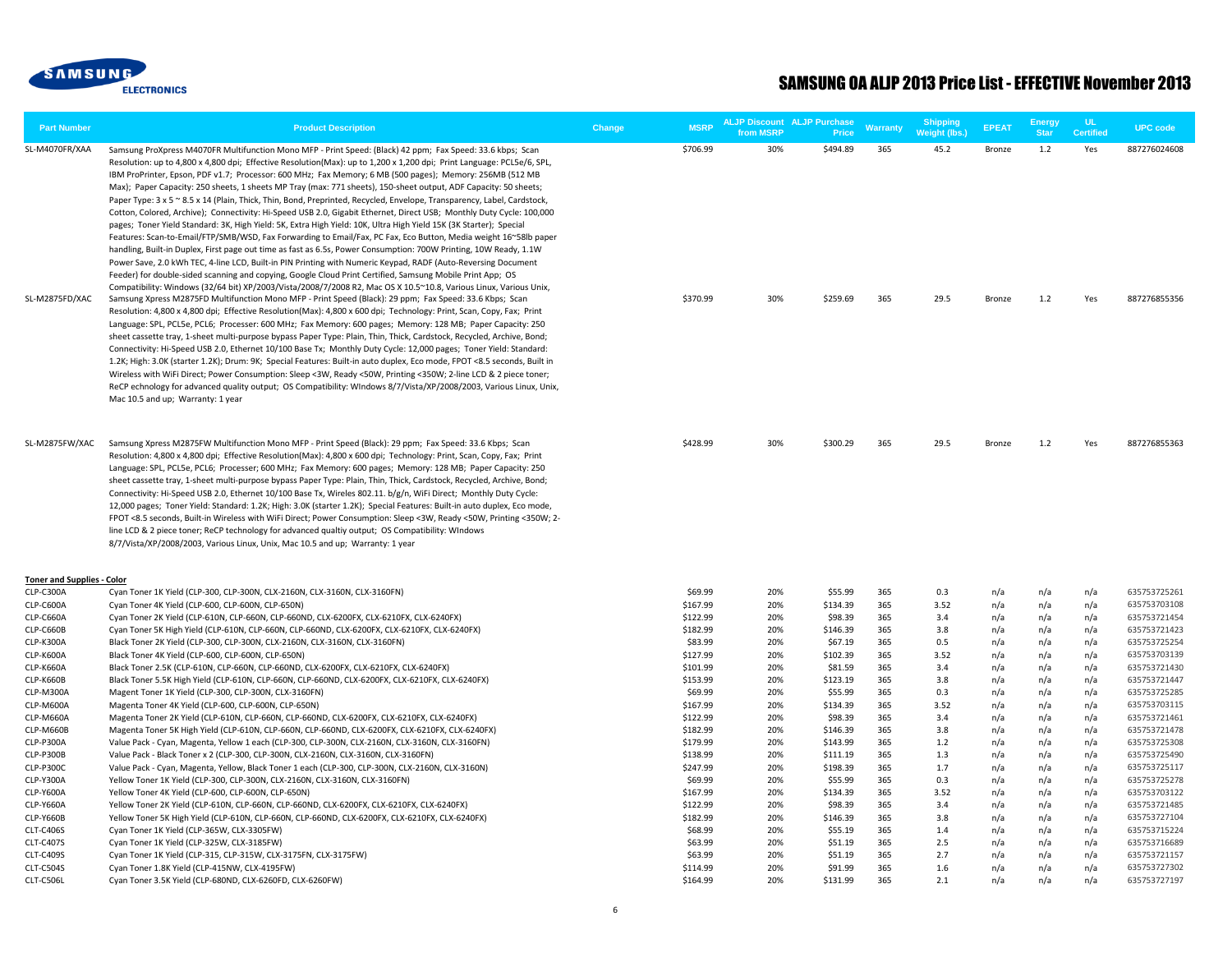

| <b>Part Number</b>                | <b>Product Description</b>                                                                                                                                                                                                                                                                                                                                                                                                                                                                                                                                                                                                                                                                                                                                                                                                                                                                                                                                                                                                                                                                                                                                                                                                                                                                                                                                                                                                                                                                                                                                                                                                                                                                                                                                                                                                                                                                                                                                                                                                                                                                                                                                                                                                                                                                                                                                                                                                                          | Change | <b>MSRP</b>          | from MSRP  | <b>ALJP Discount ALJP Purchase</b><br>Price | Warranty   | IShipping<br>Weight (lbs.) | <b>EPEAT</b>     | Energy<br><b>Star</b> | <b>Certified</b> | <b>UPC code</b>              |
|-----------------------------------|-----------------------------------------------------------------------------------------------------------------------------------------------------------------------------------------------------------------------------------------------------------------------------------------------------------------------------------------------------------------------------------------------------------------------------------------------------------------------------------------------------------------------------------------------------------------------------------------------------------------------------------------------------------------------------------------------------------------------------------------------------------------------------------------------------------------------------------------------------------------------------------------------------------------------------------------------------------------------------------------------------------------------------------------------------------------------------------------------------------------------------------------------------------------------------------------------------------------------------------------------------------------------------------------------------------------------------------------------------------------------------------------------------------------------------------------------------------------------------------------------------------------------------------------------------------------------------------------------------------------------------------------------------------------------------------------------------------------------------------------------------------------------------------------------------------------------------------------------------------------------------------------------------------------------------------------------------------------------------------------------------------------------------------------------------------------------------------------------------------------------------------------------------------------------------------------------------------------------------------------------------------------------------------------------------------------------------------------------------------------------------------------------------------------------------------------------------|--------|----------------------|------------|---------------------------------------------|------------|----------------------------|------------------|-----------------------|------------------|------------------------------|
| SL-M4070FR/XAA<br>SL-M2875FD/XAC  | Samsung ProXpress M4070FR Multifunction Mono MFP - Print Speed: (Black) 42 ppm; Fax Speed: 33.6 kbps; Scan<br>Resolution: up to 4,800 x 4,800 dpi; Effective Resolution(Max): up to 1,200 x 1,200 dpi; Print Language: PCL5e/6, SPL,<br>IBM ProPrinter, Epson, PDF v1.7; Processor: 600 MHz; Fax Memory; 6 MB (500 pages); Memory: 256MB (512 MB<br>Max); Paper Capacity: 250 sheets, 1 sheets MP Tray (max: 771 sheets), 150-sheet output, ADF Capacity: 50 sheets;<br>Paper Type: 3 x 5 ~ 8.5 x 14 (Plain, Thick, Thin, Bond, Preprinted, Recycled, Envelope, Transparency, Label, Cardstock,<br>Cotton, Colored, Archive); Connectivity: Hi-Speed USB 2.0, Gigabit Ethernet, Direct USB; Monthly Duty Cycle: 100,000<br>pages; Toner Yield Standard: 3K, High Yield: 5K, Extra High Yield: 10K, Ultra High Yield 15K (3K Starter); Special<br>Features: Scan-to-Email/FTP/SMB/WSD, Fax Forwarding to Email/Fax, PC Fax, Eco Button, Media weight 16~58lb paper<br>handling, Built-in Duplex, First page out time as fast as 6.5s, Power Consumption: 700W Printing, 10W Ready, 1.1W<br>Power Save, 2.0 kWh TEC, 4-line LCD, Built-in PIN Printing with Numeric Keypad, RADF (Auto-Reversing Document<br>Feeder) for double-sided scanning and copying, Google Cloud Print Certified, Samsung Mobile Print App; OS<br>Compatibility: Windows (32/64 bit) XP/2003/Vista/2008/7/2008 R2, Mac OS X 10.5~10.8, Various Linux, Various Unix,<br>Samsung Xpress M2875FD Multifunction Mono MFP - Print Speed (Black): 29 ppm; Fax Speed: 33.6 Kbps; Scan<br>Resolution: 4,800 x 4,800 dpi; Effective Resolution(Max): 4,800 x 600 dpi; Technology: Print, Scan, Copy, Fax; Print<br>Language: SPL, PCL5e, PCL6; Processer: 600 MHz; Fax Memory: 600 pages; Memory: 128 MB; Paper Capacity: 250<br>sheet cassette tray, 1-sheet multi-purpose bypass Paper Type: Plain, Thin, Thick, Cardstock, Recycled, Archive, Bond;<br>Connectivity: Hi-Speed USB 2.0, Ethernet 10/100 Base Tx; Monthly Duty Cycle: 12,000 pages; Toner Yield: Standard:<br>1.2K; High: 3.0K (starter 1.2K); Drum: 9K; Special Features: Built-in auto duplex, Eco mode, FPOT <8.5 seconds, Built in<br>Wireless with WiFi Direct; Power Consumption: Sleep <3W, Ready <50W, Printing <350W; 2-line LCD & 2 piece toner;<br>ReCP echnology for advanced quality output; OS Compatibility: WIndows 8/7/Vista/XP/2008/2003, Various Linux, Unix,<br>Mac 10.5 and up; Warranty: 1 year |        | \$706.99<br>\$370.99 | 30%<br>30% | \$494.89<br>\$259.69                        | 365<br>365 | 45.2<br>29.5               | Bronze<br>Bronze | 1.2<br>1.2            | Yes<br>Yes       | 887276024608<br>887276855356 |
| SL-M2875FW/XAC                    | Samsung Xpress M2875FW Multifunction Mono MFP - Print Speed (Black): 29 ppm; Fax Speed: 33.6 Kbps; Scan<br>Resolution: 4,800 x 4,800 dpi; Effective Resolution(Max): 4,800 x 600 dpi; Technology: Print, Scan, Copy, Fax; Print<br>Language: SPL, PCL5e, PCL6; Processer; 600 MHz; Fax Memory: 600 pages; Memory: 128 MB; Paper Capacity: 250<br>sheet cassette tray, 1-sheet multi-purpose bypass Paper Type: Plain, Thin, Thick, Cardstock, Recycled, Archive, Bond;<br>Connectivity: Hi-Speed USB 2.0, Ethernet 10/100 Base Tx, Wireles 802.11. b/g/n, WiFi Direct; Monthly Duty Cycle:<br>12,000 pages; Toner Yield: Standard: 1.2K; High: 3.0K (starter 1.2K); Special Features: Built-in auto duplex, Eco mode,<br>FPOT <8.5 seconds, Built-in Wireless with WiFi Direct; Power Consumption: Sleep <3W, Ready <50W, Printing <350W; 2-<br>line LCD & 2 piece toner; ReCP technology for advanced qualtiy output; OS Compatibility: WIndows<br>8/7/Vista/XP/2008/2003, Various Linux, Unix, Mac 10.5 and up; Warranty: 1 year                                                                                                                                                                                                                                                                                                                                                                                                                                                                                                                                                                                                                                                                                                                                                                                                                                                                                                                                                                                                                                                                                                                                                                                                                                                                                                                                                                                                                  |        | \$428.99             | 30%        | \$300.29                                    | 365        | 29.5                       | Bronze           | 1.2                   | Yes              | 887276855363                 |
| <b>Toner and Supplies - Color</b> |                                                                                                                                                                                                                                                                                                                                                                                                                                                                                                                                                                                                                                                                                                                                                                                                                                                                                                                                                                                                                                                                                                                                                                                                                                                                                                                                                                                                                                                                                                                                                                                                                                                                                                                                                                                                                                                                                                                                                                                                                                                                                                                                                                                                                                                                                                                                                                                                                                                     |        |                      |            |                                             |            |                            |                  |                       |                  |                              |
| CLP-C300A                         | Cyan Toner 1K Yield (CLP-300, CLP-300N, CLX-2160N, CLX-3160N, CLX-3160FN)                                                                                                                                                                                                                                                                                                                                                                                                                                                                                                                                                                                                                                                                                                                                                                                                                                                                                                                                                                                                                                                                                                                                                                                                                                                                                                                                                                                                                                                                                                                                                                                                                                                                                                                                                                                                                                                                                                                                                                                                                                                                                                                                                                                                                                                                                                                                                                           |        | \$69.99              | 20%        | \$55.99                                     | 365        | 0.3                        | n/a              | n/a                   | n/a              | 635753725261                 |
| CLP-C600A                         | Cyan Toner 4K Yield (CLP-600, CLP-600N, CLP-650N)                                                                                                                                                                                                                                                                                                                                                                                                                                                                                                                                                                                                                                                                                                                                                                                                                                                                                                                                                                                                                                                                                                                                                                                                                                                                                                                                                                                                                                                                                                                                                                                                                                                                                                                                                                                                                                                                                                                                                                                                                                                                                                                                                                                                                                                                                                                                                                                                   |        | \$167.99             | 20%        | \$134.39                                    | 365        | 3.52                       | n/a              | n/a                   | n/a              | 635753703108                 |
| CLP-C660A                         | Cyan Toner 2K Yield (CLP-610N, CLP-660N, CLP-660ND, CLX-6200FX, CLX-6210FX, CLX-6240FX)                                                                                                                                                                                                                                                                                                                                                                                                                                                                                                                                                                                                                                                                                                                                                                                                                                                                                                                                                                                                                                                                                                                                                                                                                                                                                                                                                                                                                                                                                                                                                                                                                                                                                                                                                                                                                                                                                                                                                                                                                                                                                                                                                                                                                                                                                                                                                             |        | \$122.99             | 20%        | \$98.39                                     | 365        | 3.4                        | n/a              | n/a                   | n/a              | 635753721454                 |
| CLP-C660B                         | Cyan Toner 5K High Yield (CLP-610N, CLP-660N, CLP-660ND, CLX-6200FX, CLX-6210FX, CLX-6240FX)                                                                                                                                                                                                                                                                                                                                                                                                                                                                                                                                                                                                                                                                                                                                                                                                                                                                                                                                                                                                                                                                                                                                                                                                                                                                                                                                                                                                                                                                                                                                                                                                                                                                                                                                                                                                                                                                                                                                                                                                                                                                                                                                                                                                                                                                                                                                                        |        | \$182.99             | 20%        | \$146.39                                    | 365        | 3.8                        | n/a              | n/a                   | n/a              | 635753721423                 |
| <b>CLP-K300A</b>                  | Black Toner 2K Yield (CLP-300, CLP-300N, CLX-2160N, CLX-3160N, CLX-3160FN)                                                                                                                                                                                                                                                                                                                                                                                                                                                                                                                                                                                                                                                                                                                                                                                                                                                                                                                                                                                                                                                                                                                                                                                                                                                                                                                                                                                                                                                                                                                                                                                                                                                                                                                                                                                                                                                                                                                                                                                                                                                                                                                                                                                                                                                                                                                                                                          |        | \$83.99              | 20%        | \$67.19                                     | 365        | 0.5                        | n/a              | n/a                   | n/a              | 635753725254                 |
| <b>CLP-K600A</b>                  | Black Toner 4K Yield (CLP-600, CLP-600N, CLP-650N)                                                                                                                                                                                                                                                                                                                                                                                                                                                                                                                                                                                                                                                                                                                                                                                                                                                                                                                                                                                                                                                                                                                                                                                                                                                                                                                                                                                                                                                                                                                                                                                                                                                                                                                                                                                                                                                                                                                                                                                                                                                                                                                                                                                                                                                                                                                                                                                                  |        | \$127.99             | 20%        | \$102.39                                    | 365        | 3.52                       | n/a              | n/a                   | n/a              | 635753703139                 |
| <b>CLP-K660A</b>                  | Black Toner 2.5K (CLP-610N, CLP-660N, CLP-660ND, CLX-6200FX, CLX-6210FX, CLX-6240FX)                                                                                                                                                                                                                                                                                                                                                                                                                                                                                                                                                                                                                                                                                                                                                                                                                                                                                                                                                                                                                                                                                                                                                                                                                                                                                                                                                                                                                                                                                                                                                                                                                                                                                                                                                                                                                                                                                                                                                                                                                                                                                                                                                                                                                                                                                                                                                                |        | \$101.99             | 20%        | \$81.59                                     | 365        | 3.4                        | n/a              | n/a                   | n/a              | 635753721430                 |
| CLP-K660B<br>CLP-M300A            | Black Toner 5.5K High Yield (CLP-610N, CLP-660N, CLP-660ND, CLX-6200FX, CLX-6210FX, CLX-6240FX)<br>Magent Toner 1K Yield (CLP-300, CLP-300N, CLX-3160FN)                                                                                                                                                                                                                                                                                                                                                                                                                                                                                                                                                                                                                                                                                                                                                                                                                                                                                                                                                                                                                                                                                                                                                                                                                                                                                                                                                                                                                                                                                                                                                                                                                                                                                                                                                                                                                                                                                                                                                                                                                                                                                                                                                                                                                                                                                            |        | \$153.99<br>\$69.99  | 20%<br>20% | \$123.19<br>\$55.99                         | 365<br>365 | 3.8<br>0.3                 | n/a<br>n/a       | n/a<br>n/a            | n/a<br>n/a       | 635753721447<br>635753725285 |
| CLP-M600A                         | Magenta Toner 4K Yield (CLP-600, CLP-600N, CLP-650N)                                                                                                                                                                                                                                                                                                                                                                                                                                                                                                                                                                                                                                                                                                                                                                                                                                                                                                                                                                                                                                                                                                                                                                                                                                                                                                                                                                                                                                                                                                                                                                                                                                                                                                                                                                                                                                                                                                                                                                                                                                                                                                                                                                                                                                                                                                                                                                                                |        | \$167.99             | 20%        | \$134.39                                    | 365        | 3.52                       | n/a              | n/a                   | n/a              | 635753703115                 |
| CLP-M660A                         | Magenta Toner 2K Yield (CLP-610N, CLP-660N, CLP-660ND, CLX-6200FX, CLX-6210FX, CLX-6240FX)                                                                                                                                                                                                                                                                                                                                                                                                                                                                                                                                                                                                                                                                                                                                                                                                                                                                                                                                                                                                                                                                                                                                                                                                                                                                                                                                                                                                                                                                                                                                                                                                                                                                                                                                                                                                                                                                                                                                                                                                                                                                                                                                                                                                                                                                                                                                                          |        | \$122.99             | 20%        | \$98.39                                     | 365        | 3.4                        | n/a              | n/a                   | n/a              | 635753721461                 |
| CLP-M660B                         | Magenta Toner 5K High Yield (CLP-610N, CLP-660N, CLP-660ND, CLX-6200FX, CLX-6210FX, CLX-6240FX)                                                                                                                                                                                                                                                                                                                                                                                                                                                                                                                                                                                                                                                                                                                                                                                                                                                                                                                                                                                                                                                                                                                                                                                                                                                                                                                                                                                                                                                                                                                                                                                                                                                                                                                                                                                                                                                                                                                                                                                                                                                                                                                                                                                                                                                                                                                                                     |        | \$182.99             | 20%        | \$146.39                                    | 365        | 3.8                        | n/a              | n/a                   | n/a              | 635753721478                 |
| <b>CLP-P300A</b>                  | Value Pack - Cyan, Magenta, Yellow 1 each (CLP-300, CLP-300N, CLX-2160N, CLX-3160N, CLX-3160FN)                                                                                                                                                                                                                                                                                                                                                                                                                                                                                                                                                                                                                                                                                                                                                                                                                                                                                                                                                                                                                                                                                                                                                                                                                                                                                                                                                                                                                                                                                                                                                                                                                                                                                                                                                                                                                                                                                                                                                                                                                                                                                                                                                                                                                                                                                                                                                     |        | \$179.99             | 20%        | \$143.99                                    | 365        | 1.2                        | n/a              | n/a                   | n/a              | 635753725308                 |
| CLP-P300B                         | Value Pack - Black Toner x 2 (CLP-300, CLP-300N, CLX-2160N, CLX-3160N, CLX-3160FN)                                                                                                                                                                                                                                                                                                                                                                                                                                                                                                                                                                                                                                                                                                                                                                                                                                                                                                                                                                                                                                                                                                                                                                                                                                                                                                                                                                                                                                                                                                                                                                                                                                                                                                                                                                                                                                                                                                                                                                                                                                                                                                                                                                                                                                                                                                                                                                  |        | \$138.99             | 20%        | \$111.19                                    | 365        | 1.3                        | n/a              | n/a                   | n/a              | 635753725490                 |
| CLP-P300C                         | Value Pack - Cyan, Magenta, Yellow, Black Toner 1 each (CLP-300, CLP-300N, CLX-2160N, CLX-3160N)                                                                                                                                                                                                                                                                                                                                                                                                                                                                                                                                                                                                                                                                                                                                                                                                                                                                                                                                                                                                                                                                                                                                                                                                                                                                                                                                                                                                                                                                                                                                                                                                                                                                                                                                                                                                                                                                                                                                                                                                                                                                                                                                                                                                                                                                                                                                                    |        | \$247.99             | 20%        | \$198.39                                    | 365        | 1.7                        | n/a              | n/a                   | n/a              | 635753725117                 |
| CLP-Y300A                         | Yellow Toner 1K Yield (CLP-300, CLP-300N, CLX-2160N, CLX-3160N, CLX-3160FN)                                                                                                                                                                                                                                                                                                                                                                                                                                                                                                                                                                                                                                                                                                                                                                                                                                                                                                                                                                                                                                                                                                                                                                                                                                                                                                                                                                                                                                                                                                                                                                                                                                                                                                                                                                                                                                                                                                                                                                                                                                                                                                                                                                                                                                                                                                                                                                         |        | \$69.99              | 20%        | \$55.99                                     | 365        | 0.3                        | n/a              | n/a                   | n/a              | 635753725278                 |
| <b>CLP-Y600A</b>                  | Yellow Toner 4K Yield (CLP-600, CLP-600N, CLP-650N)                                                                                                                                                                                                                                                                                                                                                                                                                                                                                                                                                                                                                                                                                                                                                                                                                                                                                                                                                                                                                                                                                                                                                                                                                                                                                                                                                                                                                                                                                                                                                                                                                                                                                                                                                                                                                                                                                                                                                                                                                                                                                                                                                                                                                                                                                                                                                                                                 |        | \$167.99             | 20%        | \$134.39                                    | 365        | 3.52                       | n/a              | n/a                   | n/a              | 635753703122                 |
| <b>CLP-Y660A</b>                  | Yellow Toner 2K Yield (CLP-610N, CLP-660N, CLP-660ND, CLX-6200FX, CLX-6210FX, CLX-6240FX)                                                                                                                                                                                                                                                                                                                                                                                                                                                                                                                                                                                                                                                                                                                                                                                                                                                                                                                                                                                                                                                                                                                                                                                                                                                                                                                                                                                                                                                                                                                                                                                                                                                                                                                                                                                                                                                                                                                                                                                                                                                                                                                                                                                                                                                                                                                                                           |        | \$122.99             | 20%        | \$98.39                                     | 365        | 3.4                        | n/a              | n/a                   | n/a              | 635753721485                 |
| <b>CLP-Y660B</b>                  | Yellow Toner 5K High Yield (CLP-610N, CLP-660N, CLP-660ND, CLX-6200FX, CLX-6210FX, CLX-6240FX)                                                                                                                                                                                                                                                                                                                                                                                                                                                                                                                                                                                                                                                                                                                                                                                                                                                                                                                                                                                                                                                                                                                                                                                                                                                                                                                                                                                                                                                                                                                                                                                                                                                                                                                                                                                                                                                                                                                                                                                                                                                                                                                                                                                                                                                                                                                                                      |        | \$182.99             | 20%        | \$146.39                                    | 365        | 3.8                        | n/a              | n/a                   | n/a              | 635753727104                 |
| <b>CLT-C406S</b>                  | Cyan Toner 1K Yield (CLP-365W, CLX-3305FW)                                                                                                                                                                                                                                                                                                                                                                                                                                                                                                                                                                                                                                                                                                                                                                                                                                                                                                                                                                                                                                                                                                                                                                                                                                                                                                                                                                                                                                                                                                                                                                                                                                                                                                                                                                                                                                                                                                                                                                                                                                                                                                                                                                                                                                                                                                                                                                                                          |        | \$68.99              | 20%        | \$55.19                                     | 365        | 1.4                        | n/a              | n/a                   | n/a              | 635753715224                 |
| CLT-C407S                         | Cyan Toner 1K Yield (CLP-325W, CLX-3185FW)                                                                                                                                                                                                                                                                                                                                                                                                                                                                                                                                                                                                                                                                                                                                                                                                                                                                                                                                                                                                                                                                                                                                                                                                                                                                                                                                                                                                                                                                                                                                                                                                                                                                                                                                                                                                                                                                                                                                                                                                                                                                                                                                                                                                                                                                                                                                                                                                          |        | \$63.99              | 20%        | \$51.19                                     | 365        | 2.5                        | n/a              | n/a                   | n/a              | 635753716689                 |
| <b>CLT-C409S</b>                  | Cyan Toner 1K Yield (CLP-315, CLP-315W, CLX-3175FN, CLX-3175FW)                                                                                                                                                                                                                                                                                                                                                                                                                                                                                                                                                                                                                                                                                                                                                                                                                                                                                                                                                                                                                                                                                                                                                                                                                                                                                                                                                                                                                                                                                                                                                                                                                                                                                                                                                                                                                                                                                                                                                                                                                                                                                                                                                                                                                                                                                                                                                                                     |        | \$63.99              | 20%        | \$51.19                                     | 365        | 2.7                        | n/a              | n/a                   | n/a              | 635753721157                 |
| <b>CLT-C504S</b><br>CLT-C506L     | Cyan Toner 1.8K Yield (CLP-415NW, CLX-4195FW)<br>Cyan Toner 3.5K Yield (CLP-680ND, CLX-6260FD, CLX-6260FW)                                                                                                                                                                                                                                                                                                                                                                                                                                                                                                                                                                                                                                                                                                                                                                                                                                                                                                                                                                                                                                                                                                                                                                                                                                                                                                                                                                                                                                                                                                                                                                                                                                                                                                                                                                                                                                                                                                                                                                                                                                                                                                                                                                                                                                                                                                                                          |        | \$114.99<br>\$164.99 | 20%<br>20% | \$91.99<br>\$131.99                         | 365<br>365 | 1.6<br>2.1                 | n/a<br>n/a       | n/a<br>n/a            | n/a<br>n/a       | 635753727302<br>635753727197 |
|                                   |                                                                                                                                                                                                                                                                                                                                                                                                                                                                                                                                                                                                                                                                                                                                                                                                                                                                                                                                                                                                                                                                                                                                                                                                                                                                                                                                                                                                                                                                                                                                                                                                                                                                                                                                                                                                                                                                                                                                                                                                                                                                                                                                                                                                                                                                                                                                                                                                                                                     |        |                      |            |                                             |            |                            |                  |                       |                  |                              |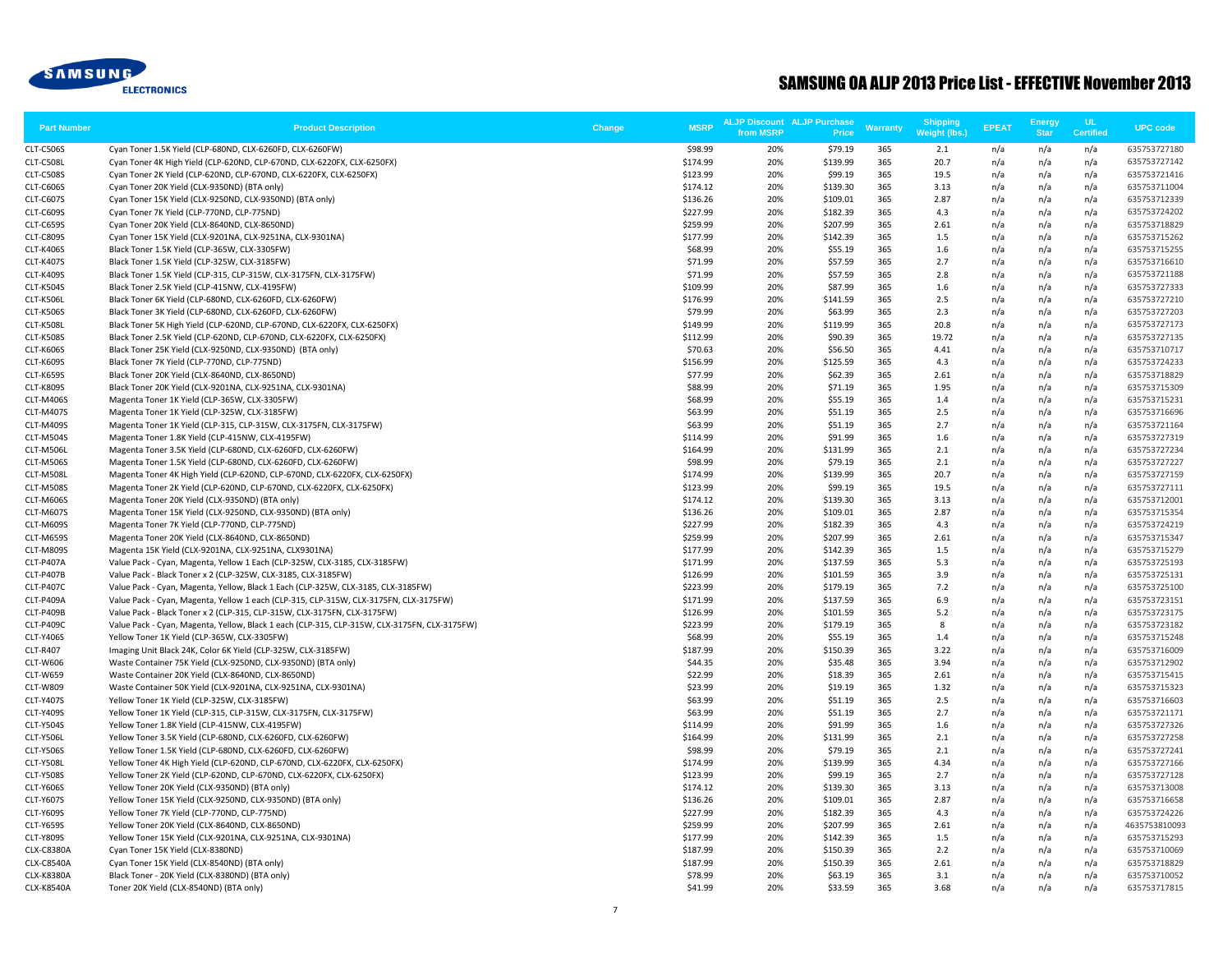

| <b>Part Number</b>            | <b>Product Description</b>                                                                                                                          | Change | <b>MSRP</b>          | <b>ALJP Discount ALJP Purchase</b><br>from MSRP | Price                | Warranty   | <b>Shipping</b><br><b>Weight (lbs.)</b> | <b>EPEAT</b> | Energy<br><b>Star</b> | <b>UL</b><br><b>Certified</b> | <b>UPC code</b>               |
|-------------------------------|-----------------------------------------------------------------------------------------------------------------------------------------------------|--------|----------------------|-------------------------------------------------|----------------------|------------|-----------------------------------------|--------------|-----------------------|-------------------------------|-------------------------------|
| <b>CLT-C506S</b>              | Cyan Toner 1.5K Yield (CLP-680ND, CLX-6260FD, CLX-6260FW)                                                                                           |        | \$98.99              | 20%                                             | \$79.19              | 365        | 2.1                                     | n/a          | n/a                   | n/a                           | 635753727180                  |
| CLT-C508L                     | Cyan Toner 4K High Yield (CLP-620ND, CLP-670ND, CLX-6220FX, CLX-6250FX)                                                                             |        | \$174.99             | 20%                                             | \$139.99             | 365        | 20.7                                    | n/a          | n/a                   | n/a                           | 635753727142                  |
| CLT-C508S                     | Cyan Toner 2K Yield (CLP-620ND, CLP-670ND, CLX-6220FX, CLX-6250FX)                                                                                  |        | \$123.99             | 20%                                             | \$99.19              | 365        | 19.5                                    | n/a          | n/a                   | n/a                           | 635753721416                  |
| <b>CLT-C606S</b>              | Cyan Toner 20K Yield (CLX-9350ND) (BTA only)                                                                                                        |        | \$174.12             | 20%                                             | \$139.30             | 365        | 3.13                                    | n/a          | n/a                   | n/a                           | 635753711004                  |
| <b>CLT-C607S</b>              | Cyan Toner 15K Yield (CLX-9250ND, CLX-9350ND) (BTA only)                                                                                            |        | \$136.26             | 20%                                             | \$109.01             | 365        | 2.87                                    | n/a          | n/a                   | n/a                           | 635753712339                  |
| <b>CLT-C609S</b>              | Cyan Toner 7K Yield (CLP-770ND, CLP-775ND)                                                                                                          |        | \$227.99             | 20%                                             | \$182.39             | 365        | 4.3                                     | n/a          | n/a                   | n/a                           | 635753724202                  |
| <b>CLT-C659S</b>              | Cyan Toner 20K Yield (CLX-8640ND, CLX-8650ND)                                                                                                       |        | \$259.99             | 20%                                             | \$207.99             | 365        | 2.61                                    | n/a          | n/a                   | n/a                           | 635753718829                  |
| <b>CLT-C809S</b>              | Cyan Toner 15K Yield (CLX-9201NA, CLX-9251NA, CLX-9301NA)                                                                                           |        | \$177.99             | 20%                                             | \$142.39             | 365        | 1.5                                     | n/a          | n/a                   | n/a                           | 635753715262                  |
| <b>CLT-K406S</b>              | Black Toner 1.5K Yield (CLP-365W, CLX-3305FW)                                                                                                       |        | \$68.99              | 20%                                             | \$55.19              | 365        | 1.6                                     | n/a          | n/a                   | n/a                           | 635753715255                  |
| <b>CLT-K407S</b>              | Black Toner 1.5K Yield (CLP-325W, CLX-3185FW)                                                                                                       |        | \$71.99              | 20%                                             | \$57.59              | 365        | 2.7                                     | n/a          | n/a                   | n/a                           | 635753716610                  |
| <b>CLT-K409S</b>              | Black Toner 1.5K Yield (CLP-315, CLP-315W, CLX-3175FN, CLX-3175FW)                                                                                  |        | \$71.99              | 20%                                             | \$57.59              | 365        | 2.8                                     | n/a          | n/a                   | n/a                           | 635753721188                  |
| <b>CLT-K504S</b>              | Black Toner 2.5K Yield (CLP-415NW, CLX-4195FW)                                                                                                      |        | \$109.99             | 20%                                             | \$87.99              | 365        | 1.6                                     | n/a          | n/a                   | n/a                           | 635753727333                  |
| <b>CLT-K506L</b>              | Black Toner 6K Yield (CLP-680ND, CLX-6260FD, CLX-6260FW)                                                                                            |        | \$176.99             | 20%                                             | \$141.59             | 365        | 2.5                                     | n/a          | n/a                   | n/a                           | 635753727210                  |
| <b>CLT-K506S</b>              | Black Toner 3K Yield (CLP-680ND, CLX-6260FD, CLX-6260FW)                                                                                            |        | \$79.99              | 20%                                             | \$63.99              | 365        | 2.3                                     | n/a          | n/a                   | n/a                           | 635753727203                  |
| CLT-K508L                     | Black Toner 5K High Yield (CLP-620ND, CLP-670ND, CLX-6220FX, CLX-6250FX)                                                                            |        | \$149.99             | 20%                                             | \$119.99             | 365        | 20.8                                    | n/a          | n/a                   | n/a                           | 635753727173                  |
| <b>CLT-K508S</b>              | Black Toner 2.5K Yield (CLP-620ND, CLP-670ND, CLX-6220FX, CLX-6250FX)                                                                               |        | \$112.99             | 20%                                             | \$90.39              | 365        | 19.72                                   | n/a          | n/a                   | n/a                           | 635753727135                  |
| <b>CLT-K606S</b>              | Black Toner 25K Yield (CLX-9250ND, CLX-9350ND) (BTA only)                                                                                           |        | \$70.63              | 20%                                             | \$56.50              | 365        | 4.41                                    | n/a          | n/a                   | n/a                           | 635753710717                  |
| <b>CLT-K609S</b>              | Black Toner 7K Yield (CLP-770ND, CLP-775ND)                                                                                                         |        | \$156.99             | 20%                                             | \$125.59             | 365        | 4.3                                     | n/a          | n/a                   | n/a                           | 635753724233                  |
| <b>CLT-K659S</b>              | Black Toner 20K Yield (CLX-8640ND, CLX-8650ND)                                                                                                      |        | \$77.99              | 20%                                             | \$62.39              | 365        | 2.61                                    | n/a          | n/a                   | n/a                           | 635753718829                  |
| <b>CLT-K809S</b>              | Black Toner 20K Yield (CLX-9201NA, CLX-9251NA, CLX-9301NA)                                                                                          |        | \$88.99              | 20%                                             | \$71.19              | 365        | 1.95                                    | n/a          | n/a                   | n/a                           | 635753715309                  |
| CLT-M406S                     | Magenta Toner 1K Yield (CLP-365W, CLX-3305FW)                                                                                                       |        | \$68.99              | 20%                                             | \$55.19              | 365        | 1.4                                     | n/a          | n/a                   | n/a                           | 635753715231                  |
| <b>CLT-M407S</b>              | Magenta Toner 1K Yield (CLP-325W, CLX-3185FW)                                                                                                       |        | \$63.99              | 20%                                             | \$51.19              | 365        | 2.5                                     | n/a          | n/a                   | n/a                           | 635753716696                  |
| CLT-M409S                     | Magenta Toner 1K Yield (CLP-315, CLP-315W, CLX-3175FN, CLX-3175FW)                                                                                  |        | \$63.99              | 20%                                             | \$51.19              | 365        | 2.7                                     | n/a          | n/a                   | n/a                           | 635753721164                  |
| CLT-M504S                     | Magenta Toner 1.8K Yield (CLP-415NW, CLX-4195FW)                                                                                                    |        | \$114.99             | 20%                                             | \$91.99              | 365        | 1.6                                     | n/a          | n/a                   | n/a                           | 635753727319                  |
| CLT-M506L                     | Magenta Toner 3.5K Yield (CLP-680ND, CLX-6260FD, CLX-6260FW)                                                                                        |        | \$164.99             | 20%                                             | \$131.99             | 365        | 2.1                                     | n/a          | n/a                   | n/a                           | 635753727234                  |
| CLT-M506S                     | Magenta Toner 1.5K Yield (CLP-680ND, CLX-6260FD, CLX-6260FW)                                                                                        |        | \$98.99              | 20%<br>20%                                      | \$79.19              | 365<br>365 | 2.1<br>20.7                             | n/a          | n/a                   | n/a                           | 635753727227                  |
| CLT-M508L<br><b>CLT-M508S</b> | Magenta Toner 4K High Yield (CLP-620ND, CLP-670ND, CLX-6220FX, CLX-6250FX)<br>Magenta Toner 2K Yield (CLP-620ND, CLP-670ND, CLX-6220FX, CLX-6250FX) |        | \$174.99<br>\$123.99 | 20%                                             | \$139.99<br>\$99.19  | 365        | 19.5                                    | n/a          | n/a                   | n/a<br>n/a                    | 635753727159<br>635753727111  |
| CLT-M606S                     | Magenta Toner 20K Yield (CLX-9350ND) (BTA only)                                                                                                     |        | \$174.12             | 20%                                             | \$139.30             | 365        | 3.13                                    | n/a<br>n/a   | n/a<br>n/a            | n/a                           | 635753712001                  |
| <b>CLT-M607S</b>              | Magenta Toner 15K Yield (CLX-9250ND, CLX-9350ND) (BTA only)                                                                                         |        | \$136.26             | 20%                                             | \$109.01             | 365        | 2.87                                    | n/a          | n/a                   | n/a                           | 635753715354                  |
| CLT-M609S                     | Magenta Toner 7K Yield (CLP-770ND, CLP-775ND)                                                                                                       |        | \$227.99             | 20%                                             | \$182.39             | 365        | 4.3                                     | n/a          | n/a                   | n/a                           | 635753724219                  |
| CLT-M659S                     | Magenta Toner 20K Yield (CLX-8640ND, CLX-8650ND)                                                                                                    |        | \$259.99             | 20%                                             | \$207.99             | 365        | 2.61                                    | n/a          | n/a                   | n/a                           | 635753715347                  |
| <b>CLT-M809S</b>              | Magenta 15K Yield (CLX-9201NA, CLX-9251NA, CLX9301NA)                                                                                               |        | \$177.99             | 20%                                             | \$142.39             | 365        | 1.5                                     | n/a          | n/a                   | n/a                           | 635753715279                  |
| CLT-P407A                     | Value Pack - Cyan, Magenta, Yellow 1 Each (CLP-325W, CLX-3185, CLX-3185FW)                                                                          |        | \$171.99             | 20%                                             | \$137.59             | 365        | 5.3                                     | n/a          | n/a                   | n/a                           | 635753725193                  |
| CLT-P407B                     | Value Pack - Black Toner x 2 (CLP-325W, CLX-3185, CLX-3185FW)                                                                                       |        | \$126.99             | 20%                                             | \$101.59             | 365        | 3.9                                     | n/a          | n/a                   | n/a                           | 635753725131                  |
| CLT-P407C                     | Value Pack - Cyan, Magenta, Yellow, Black 1 Each (CLP-325W, CLX-3185, CLX-3185FW)                                                                   |        | \$223.99             | 20%                                             | \$179.19             | 365        | 7.2                                     | n/a          | n/a                   | n/a                           | 635753725100                  |
| CLT-P409A                     | Value Pack - Cyan, Magenta, Yellow 1 each (CLP-315, CLP-315W, CLX-3175FN, CLX-3175FW)                                                               |        | \$171.99             | 20%                                             | \$137.59             | 365        | 6.9                                     | n/a          | n/a                   | n/a                           | 635753723151                  |
| CLT-P409B                     | Value Pack - Black Toner x 2 (CLP-315, CLP-315W, CLX-3175FN, CLX-3175FW)                                                                            |        | \$126.99             | 20%                                             | \$101.59             | 365        | 5.2                                     | n/a          | n/a                   | n/a                           | 635753723175                  |
| <b>CLT-P409C</b>              | Value Pack - Cyan, Magenta, Yellow, Black 1 each (CLP-315, CLP-315W, CLX-3175FN, CLX-3175FW)                                                        |        | \$223.99             | 20%                                             | \$179.19             | 365        | 8                                       | n/a          | n/a                   | n/a                           | 635753723182                  |
| CLT-Y406S                     | Yellow Toner 1K Yield (CLP-365W, CLX-3305FW)                                                                                                        |        | \$68.99              | 20%                                             | \$55.19              | 365        | 1.4                                     | n/a          | n/a                   | n/a                           | 635753715248                  |
| <b>CLT-R407</b>               | Imaging Unit Black 24K, Color 6K Yield (CLP-325W, CLX-3185FW)                                                                                       |        | \$187.99             | 20%                                             | \$150.39             | 365        | 3.22                                    | n/a          | n/a                   | n/a                           | 635753716009                  |
| CLT-W606                      | Waste Container 75K Yield (CLX-9250ND, CLX-9350ND) (BTA only)                                                                                       |        | \$44.35              | 20%                                             | \$35.48              | 365        | 3.94                                    | n/a          | n/a                   | n/a                           | 635753712902                  |
| CLT-W659                      | Waste Container 20K Yield (CLX-8640ND, CLX-8650ND)                                                                                                  |        | \$22.99              | 20%                                             | \$18.39              | 365        | 2.61                                    | n/a          | n/a                   | n/a                           | 635753715415                  |
| <b>CLT-W809</b>               | Waste Container 50K Yield (CLX-9201NA, CLX-9251NA, CLX-9301NA)                                                                                      |        | \$23.99              | 20%                                             | \$19.19              | 365        | 1.32                                    | n/a          | n/a                   | n/a                           | 635753715323                  |
| CLT-Y407S                     | Yellow Toner 1K Yield (CLP-325W, CLX-3185FW)                                                                                                        |        | \$63.99              | 20%                                             | \$51.19              | 365        | 2.5                                     | n/a          | n/a                   | n/a                           | 635753716603                  |
| CLT-Y409S                     | Yellow Toner 1K Yield (CLP-315, CLP-315W, CLX-3175FN, CLX-3175FW)                                                                                   |        | \$63.99              | 20%                                             | \$51.19              | 365        | 2.7                                     | n/a          | n/a                   | n/a                           | 635753721171                  |
| CLT-Y504S                     | Yellow Toner 1.8K Yield (CLP-415NW, CLX-4195FW)                                                                                                     |        | \$114.99             | 20%                                             | \$91.99              | 365        | 1.6                                     | n/a          | n/a                   | n/a                           | 635753727326                  |
| <b>CLT-Y506L</b>              | Yellow Toner 3.5K Yield (CLP-680ND, CLX-6260FD, CLX-6260FW)                                                                                         |        | \$164.99             | 20%                                             | \$131.99             | 365        | 2.1                                     | n/a          | n/a                   | n/a                           | 635753727258                  |
| <b>CLT-Y506S</b>              | Yellow Toner 1.5K Yield (CLP-680ND, CLX-6260FD, CLX-6260FW)                                                                                         |        | \$98.99              | 20%                                             | \$79.19              | 365        | 2.1                                     | n/a          | n/a                   | n/a                           | 635753727241                  |
| <b>CLT-Y508L</b>              | Yellow Toner 4K High Yield (CLP-620ND, CLP-670ND, CLX-6220FX, CLX-6250FX)                                                                           |        | \$174.99             | 20%                                             | \$139.99             | 365        | 4.34                                    | n/a          | n/a                   | n/a                           | 635753727166                  |
| <b>CLT-Y508S</b>              | Yellow Toner 2K Yield (CLP-620ND, CLP-670ND, CLX-6220FX, CLX-6250FX)                                                                                |        | \$123.99             | 20%                                             | \$99.19              | 365        | 2.7                                     | n/a          | n/a                   | n/a                           | 635753727128                  |
| CLT-Y606S                     | Yellow Toner 20K Yield (CLX-9350ND) (BTA only)                                                                                                      |        | \$174.12             | 20%                                             | \$139.30             | 365        | 3.13                                    | n/a          | n/a                   | n/a                           | 635753713008                  |
| CLT-Y607S                     | Yellow Toner 15K Yield (CLX-9250ND, CLX-9350ND) (BTA only)                                                                                          |        | \$136.26             | 20%                                             | \$109.01             | 365        | 2.87                                    | n/a          | n/a                   | n/a                           | 635753716658                  |
| CLT-Y609S                     | Yellow Toner 7K Yield (CLP-770ND, CLP-775ND)                                                                                                        |        | \$227.99             | 20%                                             | \$182.39             | 365        | 4.3                                     | n/a          | n/a                   | n/a                           | 635753724226                  |
| CLT-Y659S<br><b>CLT-Y809S</b> | Yellow Toner 20K Yield (CLX-8640ND, CLX-8650ND)<br>Yellow Toner 15K Yield (CLX-9201NA, CLX-9251NA, CLX-9301NA)                                      |        | \$259.99<br>\$177.99 | 20%<br>20%                                      | \$207.99<br>\$142.39 | 365<br>365 | 2.61<br>1.5                             | n/a          | n/a<br>n/a            | n/a<br>n/a                    | 4635753810093<br>635753715293 |
| CLX-C8380A                    | Cyan Toner 15K Yield (CLX-8380ND)                                                                                                                   |        | \$187.99             | 20%                                             | \$150.39             | 365        | 2.2                                     | n/a          | n/a                   | n/a                           | 635753710069                  |
| <b>CLX-C8540A</b>             | Cyan Toner 15K Yield (CLX-8540ND) (BTA only)                                                                                                        |        | \$187.99             | 20%                                             | \$150.39             | 365        | 2.61                                    | n/a<br>n/a   | n/a                   | n/a                           | 635753718829                  |
| <b>CLX-K8380A</b>             | Black Toner - 20K Yield (CLX-8380ND) (BTA only)                                                                                                     |        | \$78.99              | 20%                                             | \$63.19              | 365        | 3.1                                     | n/a          | n/a                   | n/a                           | 635753710052                  |
| <b>CLX-K8540A</b>             | Toner 20K Yield (CLX-8540ND) (BTA only)                                                                                                             |        | \$41.99              | 20%                                             | \$33.59              | 365        | 3.68                                    | n/a          | n/a                   | n/a                           | 635753717815                  |
|                               |                                                                                                                                                     |        |                      |                                                 |                      |            |                                         |              |                       |                               |                               |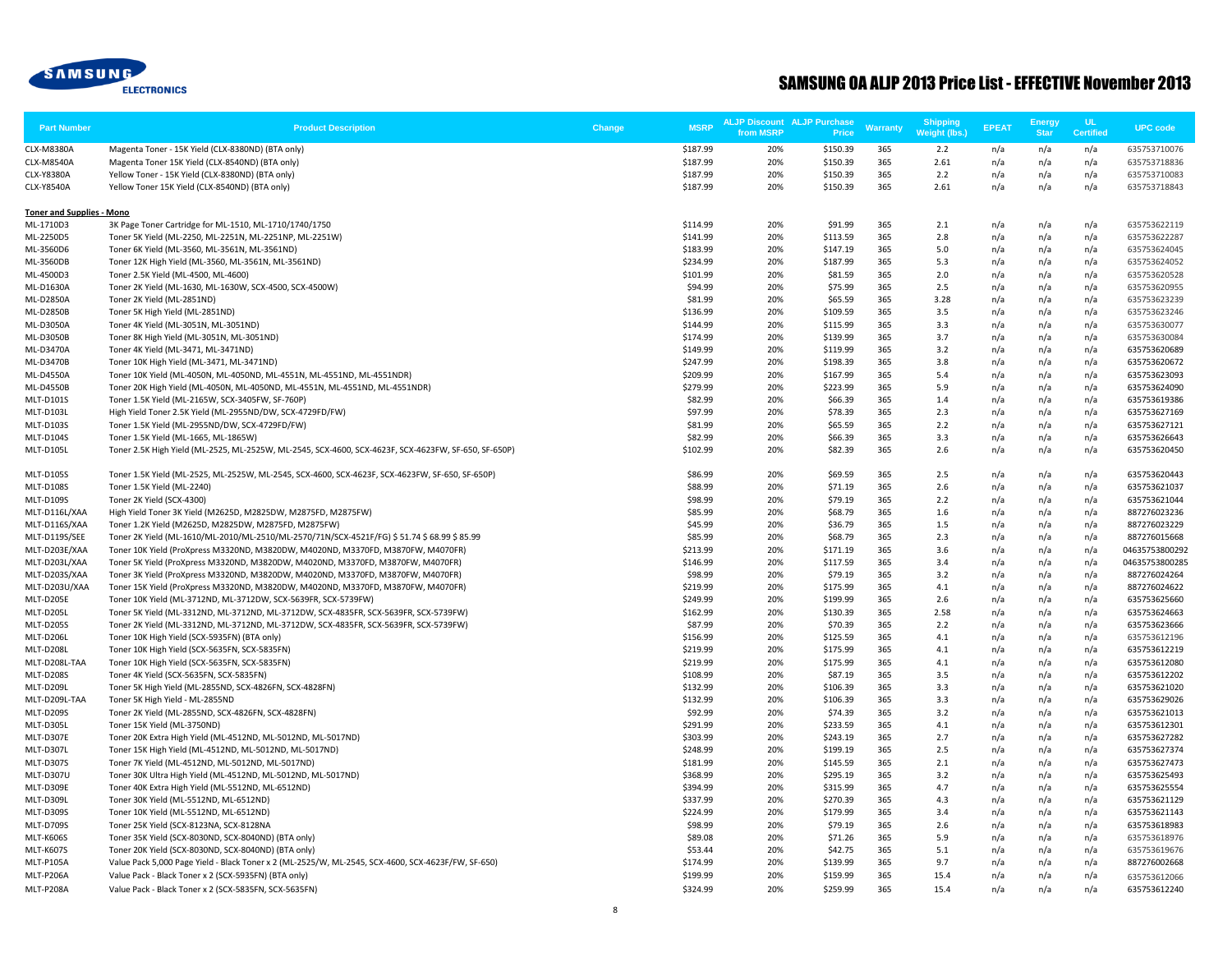

| <b>Part Number</b>               | <b>Product Description</b>                                                                                          | <b>MSRP</b><br>Change | from MSRP  | <b>ALJP Discount ALJP Purchase</b><br><b>Price</b> | Warranty   | <b>Shipping</b><br>Weight (lbs.) | <b>EPEAT</b> | <b>Energy</b><br><b>Star</b> | <b>UL</b><br><b>Certified</b> | <b>UPC code</b>              |
|----------------------------------|---------------------------------------------------------------------------------------------------------------------|-----------------------|------------|----------------------------------------------------|------------|----------------------------------|--------------|------------------------------|-------------------------------|------------------------------|
| <b>CLX-M8380A</b>                | Magenta Toner - 15K Yield (CLX-8380ND) (BTA only)                                                                   | \$187.99              | 20%        | \$150.39                                           | 365        | 2.2                              | n/a          | n/a                          | n/a                           | 635753710076                 |
| CLX-M8540A                       | Magenta Toner 15K Yield (CLX-8540ND) (BTA only)                                                                     | \$187.99              | 20%        | \$150.39                                           | 365        | 2.61                             | n/a          | n/a                          | n/a                           | 635753718836                 |
| CLX-Y8380A                       | Yellow Toner - 15K Yield (CLX-8380ND) (BTA only)                                                                    | \$187.99              | 20%        | \$150.39                                           | 365        | 2.2                              | n/a          | n/a                          | n/a                           | 635753710083                 |
| <b>CLX-Y8540A</b>                | Yellow Toner 15K Yield (CLX-8540ND) (BTA only)                                                                      | \$187.99              | 20%        | \$150.39                                           | 365        | 2.61                             | n/a          | n/a                          | n/a                           | 635753718843                 |
| <b>Toner and Supplies - Mono</b> |                                                                                                                     |                       |            |                                                    |            |                                  |              |                              |                               |                              |
| ML-1710D3                        | 3K Page Toner Cartridge for ML-1510, ML-1710/1740/1750                                                              | \$114.99              | 20%        | \$91.99                                            | 365        | 2.1                              | n/a          | n/a                          | n/a                           | 635753622119                 |
| ML-2250D5                        | Toner 5K Yield (ML-2250, ML-2251N, ML-2251NP, ML-2251W)                                                             | \$141.99              | 20%        | \$113.59                                           | 365        | 2.8                              | n/a          | n/a                          | n/a                           | 635753622287                 |
| ML-3560D6                        | Toner 6K Yield (ML-3560, ML-3561N, ML-3561ND)                                                                       | \$183.99              | 20%        | \$147.19                                           | 365        | 5.0                              | n/a          | n/a                          | n/a                           | 635753624045                 |
| ML-3560DB                        | Toner 12K High Yield (ML-3560, ML-3561N, ML-3561ND)                                                                 | \$234.99              | 20%        | \$187.99                                           | 365        | 5.3                              | n/a          | n/a                          | n/a                           | 635753624052                 |
| ML-4500D3                        | Toner 2.5K Yield (ML-4500, ML-4600)                                                                                 | \$101.99              | 20%        | \$81.59                                            | 365        | 2.0                              | n/a          | n/a                          | n/a                           | 635753620528                 |
| ML-D1630A                        | Toner 2K Yield (ML-1630, ML-1630W, SCX-4500, SCX-4500W)                                                             | \$94.99               | 20%        | \$75.99                                            | 365        | 2.5                              | n/a          | n/a                          | n/a                           | 635753620955                 |
| <b>ML-D2850A</b>                 | Toner 2K Yield (ML-2851ND)                                                                                          | \$81.99               | 20%        | \$65.59                                            | 365        | 3.28                             | n/a          | n/a                          | n/a                           | 635753623239                 |
| ML-D2850B                        | Toner 5K High Yield (ML-2851ND)                                                                                     | \$136.99              | 20%        | \$109.59                                           | 365        | 3.5                              | n/a          | n/a                          | n/a                           | 635753623246                 |
| ML-D3050A                        | Toner 4K Yield (ML-3051N, ML-3051ND)                                                                                | \$144.99              | 20%        | \$115.99                                           | 365        | 3.3                              | n/a          | n/a                          | n/a                           | 635753630077                 |
| ML-D3050B                        | Toner 8K High Yield (ML-3051N, ML-3051ND)                                                                           | \$174.99              | 20%        | \$139.99                                           | 365        | 3.7                              | n/a          | n/a                          | n/a                           | 635753630084                 |
| ML-D3470A                        | Toner 4K Yield (ML-3471, ML-3471ND)                                                                                 | \$149.99<br>\$247.99  | 20%<br>20% | \$119.99                                           | 365        | 3.2                              | n/a          | n/a                          | n/a                           | 635753620689                 |
| ML-D3470B<br>ML-D4550A           | Toner 10K High Yield (ML-3471, ML-3471ND)<br>Toner 10K Yield (ML-4050N, ML-4050ND, ML-4551N, ML-4551ND, ML-4551NDR) | \$209.99              | 20%        | \$198.39<br>\$167.99                               | 365<br>365 | 3.8<br>5.4                       | n/a<br>n/a   | n/a<br>n/a                   | n/a<br>n/a                    | 635753620672<br>635753623093 |
| ML-D4550B                        | Toner 20K High Yield (ML-4050N, ML-4050ND, ML-4551N, ML-4551ND, ML-4551NDR)                                         | \$279.99              | 20%        | \$223.99                                           | 365        | 5.9                              | n/a          | n/a                          | n/a                           | 635753624090                 |
| MLT-D101S                        | Toner 1.5K Yield (ML-2165W, SCX-3405FW, SF-760P)                                                                    | \$82.99               | 20%        | \$66.39                                            | 365        | 1.4                              | n/a          | n/a                          | n/a                           | 635753619386                 |
| MLT-D103L                        | High Yield Toner 2.5K Yield (ML-2955ND/DW, SCX-4729FD/FW)                                                           | \$97.99               | 20%        | \$78.39                                            | 365        | 2.3                              | n/a          | n/a                          | n/a                           | 635753627169                 |
| MLT-D103S                        | Toner 1.5K Yield (ML-2955ND/DW, SCX-4729FD/FW)                                                                      | \$81.99               | 20%        | \$65.59                                            | 365        | 2.2                              | n/a          | n/a                          | n/a                           | 635753627121                 |
| <b>MLT-D104S</b>                 | Toner 1.5K Yield (ML-1665, ML-1865W)                                                                                | \$82.99               | 20%        | \$66.39                                            | 365        | 3.3                              | n/a          | n/a                          | n/a                           | 635753626643                 |
| MLT-D105L                        | Toner 2.5K High Yield (ML-2525, ML-2525W, ML-2545, SCX-4600, SCX-4623F, SCX-4623FW, SF-650, SF-650P)                | \$102.99              | 20%        | \$82.39                                            | 365        | 2.6                              | n/a          | n/a                          | n/a                           | 635753620450                 |
| MLT-D105S                        | Toner 1.5K Yield (ML-2525, ML-2525W, ML-2545, SCX-4600, SCX-4623F, SCX-4623FW, SF-650, SF-650P)                     | \$86.99               | 20%        | \$69.59                                            | 365        | 2.5                              | n/a          | n/a                          | n/a                           | 635753620443                 |
| <b>MLT-D108S</b>                 | Toner 1.5K Yield (ML-2240)                                                                                          | \$88.99               | 20%        | \$71.19                                            | 365        | 2.6                              | n/a          | n/a                          | n/a                           | 635753621037                 |
| MLT-D109S                        | Toner 2K Yield (SCX-4300)                                                                                           | \$98.99               | 20%        | \$79.19                                            | 365        | 2.2                              | n/a          | n/a                          | n/a                           | 635753621044                 |
| MLT-D116L/XAA                    | High Yield Toner 3K Yield (M2625D, M2825DW, M2875FD, M2875FW)                                                       | \$85.99               | 20%        | \$68.79                                            | 365        | 1.6                              | n/a          | n/a                          | n/a                           | 887276023236                 |
| MLT-D116S/XAA                    | Toner 1.2K Yield (M2625D, M2825DW, M2875FD, M2875FW)                                                                | \$45.99               | 20%        | \$36.79                                            | 365        | 1.5                              | n/a          | n/a                          | n/a                           | 887276023229                 |
| MLT-D119S/SEE                    | Toner 2K Yield (ML-1610/ML-2010/ML-2510/ML-2570/71N/SCX-4521F/FG) \$51.74 \$68.99 \$85.99                           | \$85.99               | 20%        | \$68.79                                            | 365        | 2.3                              | n/a          | n/a                          | n/a                           | 887276015668                 |
| MLT-D203E/XAA                    | Toner 10K Yield (ProXpress M3320ND, M3820DW, M4020ND, M3370FD, M3870FW, M4070FR)                                    | \$213.99              | 20%        | \$171.19                                           | 365        | 3.6                              | n/a          | n/a                          | n/a                           | 04635753800292               |
| MLT-D203L/XAA                    | Toner 5K Yield (ProXpress M3320ND, M3820DW, M4020ND, M3370FD, M3870FW, M4070FR)                                     | \$146.99              | 20%        | \$117.59                                           | 365        | 3.4                              | n/a          | n/a                          | n/a                           | 04635753800285               |
| MLT-D203S/XAA                    | Toner 3K Yield (ProXpress M3320ND, M3820DW, M4020ND, M3370FD, M3870FW, M4070FR)                                     | \$98.99               | 20%        | \$79.19                                            | 365        | 3.2                              | n/a          | n/a                          | n/a                           | 887276024264                 |
| MLT-D203U/XAA                    | Toner 15K Yield (ProXpress M3320ND, M3820DW, M4020ND, M3370FD, M3870FW, M4070FR)                                    | \$219.99              | 20%        | \$175.99                                           | 365        | 4.1                              | n/a          | n/a                          | n/a                           | 887276024622                 |
| MLT-D205E                        | Toner 10K Yield (ML-3712ND, ML-3712DW, SCX-5639FR, SCX-5739FW)                                                      | \$249.99              | 20%        | \$199.99                                           | 365        | 2.6                              | n/a          | n/a                          | n/a                           | 635753625660                 |
| MLT-D205L                        | Toner 5K Yield (ML-3312ND, ML-3712ND, ML-3712DW, SCX-4835FR, SCX-5639FR, SCX-5739FW)                                | \$162.99              | 20%        | \$130.39                                           | 365        | 2.58                             | n/a          | n/a                          | n/a                           | 635753624663                 |
| <b>MLT-D205S</b>                 | Toner 2K Yield (ML-3312ND, ML-3712ND, ML-3712DW, SCX-4835FR, SCX-5639FR, SCX-5739FW)                                | \$87.99               | 20%        | \$70.39                                            | 365        | 2.2                              | n/a          | n/a                          | n/a                           | 635753623666                 |
| MLT-D206L                        | Toner 10K High Yield (SCX-5935FN) (BTA only)                                                                        | \$156.99              | 20%        | \$125.59                                           | 365        | 4.1                              | n/a          | n/a                          | n/a                           | 635753612196                 |
| MLT-D208L                        | Toner 10K High Yield (SCX-5635FN, SCX-5835FN)                                                                       | \$219.99              | 20%        | \$175.99                                           | 365        | 4.1                              | n/a          | n/a                          | n/a                           | 635753612219                 |
| MLT-D208L-TAA                    | Toner 10K High Yield (SCX-5635FN, SCX-5835FN)                                                                       | \$219.99              | 20%        | \$175.99                                           | 365        | 4.1                              | n/a          | n/a                          | n/a                           | 635753612080                 |
| <b>MLT-D208S</b>                 | Toner 4K Yield (SCX-5635FN, SCX-5835FN)                                                                             | \$108.99              | 20%        | \$87.19                                            | 365        | 3.5                              | n/a          | n/a                          | n/a                           | 635753612202                 |
| MLT-D209L<br>MLT-D209L-TAA       | Toner 5K High Yield (ML-2855ND, SCX-4826FN, SCX-4828FN)<br>Toner 5K High Yield - ML-2855ND                          | \$132.99<br>\$132.99  | 20%<br>20% | \$106.39                                           | 365<br>365 | 3.3<br>3.3                       | n/a          | n/a                          | n/a                           | 635753621020<br>635753629026 |
| <b>MLT-D209S</b>                 | Toner 2K Yield (ML-2855ND, SCX-4826FN, SCX-4828FN)                                                                  | \$92.99               | 20%        | \$106.39<br>\$74.39                                | 365        | 3.2                              | n/a<br>n/a   | n/a<br>n/a                   | n/a<br>n/a                    | 635753621013                 |
| MLT-D305L                        | Toner 15K Yield (ML-3750ND)                                                                                         | \$291.99              | 20%        | \$233.59                                           | 365        | 4.1                              | n/a          | n/a                          | n/a                           | 635753612301                 |
| MLT-D307E                        | Toner 20K Extra High Yield (ML-4512ND, ML-5012ND, ML-5017ND)                                                        | \$303.99              | 20%        | \$243.19                                           | 365        | 2.7                              | n/a          | n/a                          | n/a                           | 635753627282                 |
| MLT-D307L                        | Toner 15K High Yield (ML-4512ND, ML-5012ND, ML-5017ND)                                                              | \$248.99              | 20%        | \$199.19                                           | 365        | 2.5                              | n/a          | n/a                          | n/a                           | 635753627374                 |
| <b>MLT-D307S</b>                 | Toner 7K Yield (ML-4512ND, ML-5012ND, ML-5017ND)                                                                    | \$181.99              | 20%        | \$145.59                                           | 365        | 2.1                              | n/a          | n/a                          | n/a                           | 635753627473                 |
| <b>MLT-D307U</b>                 | Toner 30K Ultra High Yield (ML-4512ND, ML-5012ND, ML-5017ND)                                                        | \$368.99              | 20%        | \$295.19                                           | 365        | 3.2                              | n/a          | n/a                          | n/a                           | 635753625493                 |
| MLT-D309E                        | Toner 40K Extra High Yield (ML-5512ND, ML-6512ND)                                                                   | \$394.99              | 20%        | \$315.99                                           | 365        | 4.7                              | n/a          | n/a                          | n/a                           | 635753625554                 |
| MLT-D309L                        | Toner 30K Yield (ML-5512ND, ML-6512ND)                                                                              | \$337.99              | 20%        | \$270.39                                           | 365        | 4.3                              | n/a          | n/a                          | n/a                           | 635753621129                 |
| <b>MLT-D309S</b>                 | Toner 10K Yield (ML-5512ND, ML-6512ND)                                                                              | \$224.99              | 20%        | \$179.99                                           | 365        | 3.4                              | n/a          | n/a                          | n/a                           | 635753621143                 |
| <b>MLT-D709S</b>                 | Toner 25K Yield (SCX-8123NA, SCX-8128NA                                                                             | \$98.99               | 20%        | \$79.19                                            | 365        | 2.6                              | n/a          | n/a                          | n/a                           | 635753618983                 |
| <b>MLT-K606S</b>                 | Toner 35K Yield (SCX-8030ND, SCX-8040ND) (BTA only)                                                                 | \$89.08               | 20%        | \$71.26                                            | 365        | 5.9                              | n/a          | n/a                          | n/a                           | 635753618976                 |
| MLT-K607S                        | Toner 20K Yield (SCX-8030ND, SCX-8040ND) (BTA only)                                                                 | \$53.44               | 20%        | \$42.75                                            | 365        | 5.1                              | n/a          | n/a                          | n/a                           | 635753619676                 |
| <b>MLT-P105A</b>                 | Value Pack 5,000 Page Yield - Black Toner x 2 (ML-2525/W, ML-2545, SCX-4600, SCX-4623F/FW, SF-650)                  | \$174.99              | 20%        | \$139.99                                           | 365        | 9.7                              | n/a          | n/a                          | n/a                           | 887276002668                 |
| MLT-P206A                        | Value Pack - Black Toner x 2 (SCX-5935FN) (BTA only)                                                                | \$199.99              | 20%        | \$159.99                                           | 365        | 15.4                             | n/a          | n/a                          | n/a                           | 635753612066                 |
| MLT-P208A                        | Value Pack - Black Toner x 2 (SCX-5835FN, SCX-5635FN)                                                               | \$324.99              | 20%        | \$259.99                                           | 365        | 15.4                             | n/a          | n/a                          | n/a                           | 635753612240                 |
|                                  |                                                                                                                     |                       |            |                                                    |            |                                  |              |                              |                               |                              |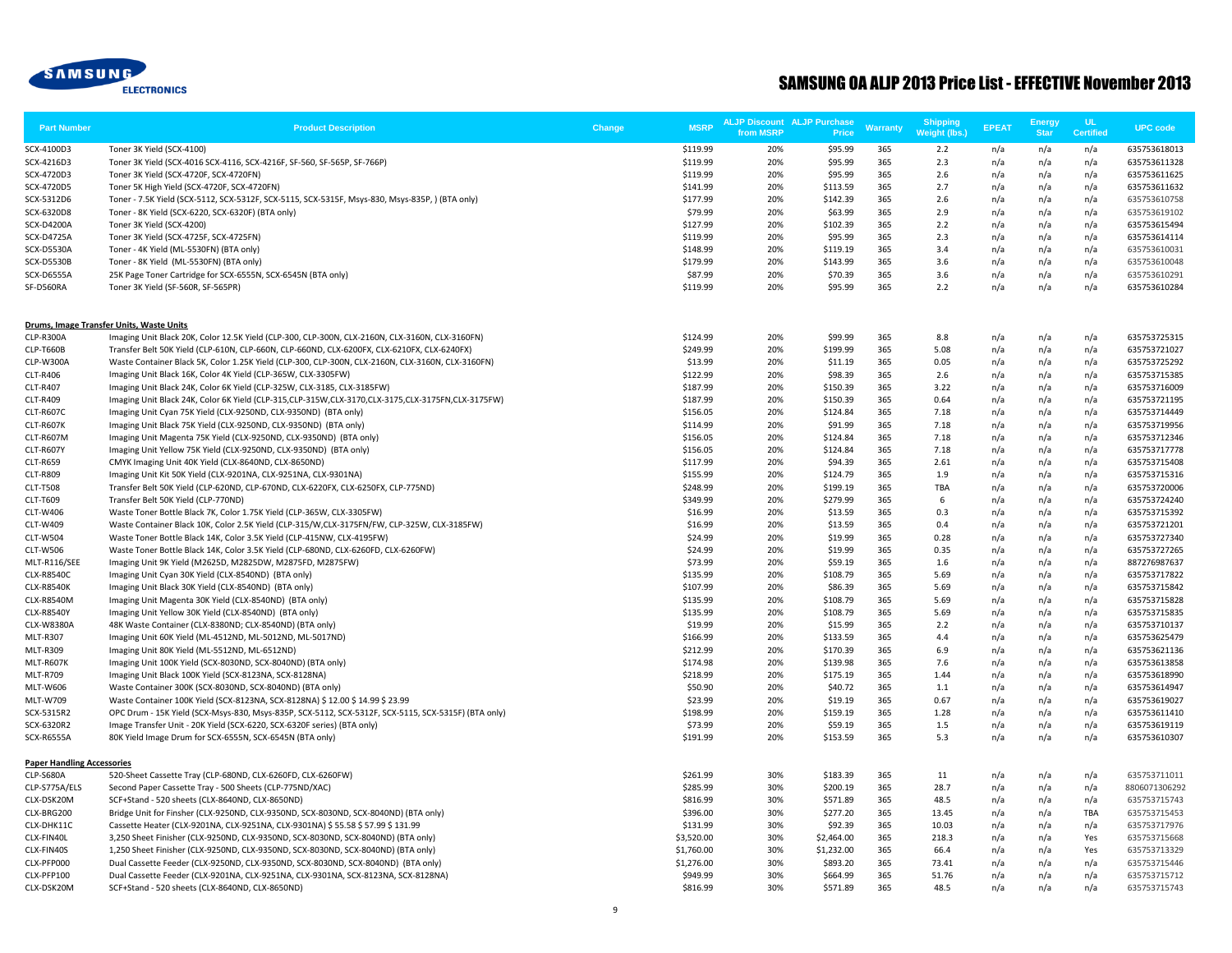

| <b>Part Number</b>                | <b>Product Description</b>                                                                                                                                                     | <b>MSRP</b><br>Change | from MSRP  | <b>ALJP Discount ALJP Purchase</b><br><b>Price</b> | <b>Warranty</b> | <b>Shipping</b><br>Weight (lbs.) | <b>EPEAT</b> | <b>Energy</b><br><b>Star</b> | <b>UL</b><br>Certified | <b>UPC code</b>              |
|-----------------------------------|--------------------------------------------------------------------------------------------------------------------------------------------------------------------------------|-----------------------|------------|----------------------------------------------------|-----------------|----------------------------------|--------------|------------------------------|------------------------|------------------------------|
| SCX-4100D3                        | Toner 3K Yield (SCX-4100)                                                                                                                                                      | \$119.99              | 20%        | \$95.99                                            | 365             | 2.2                              | n/a          | n/a                          | n/a                    | 635753618013                 |
| SCX-4216D3                        | Toner 3K Yield (SCX-4016 SCX-4116, SCX-4216F, SF-560, SF-565P, SF-766P)                                                                                                        | \$119.99              | 20%        | \$95.99                                            | 365             | 2.3                              | n/a          | n/a                          | n/a                    | 635753611328                 |
| SCX-4720D3                        | Toner 3K Yield (SCX-4720F, SCX-4720FN)                                                                                                                                         | \$119.99              | 20%        | \$95.99                                            | 365             | 2.6                              | n/a          | n/a                          | n/a                    | 635753611625                 |
| SCX-4720D5                        | Toner 5K High Yield (SCX-4720F, SCX-4720FN)                                                                                                                                    | \$141.99              | 20%        | \$113.59                                           | 365             | 2.7                              | n/a          | n/a                          | n/a                    | 635753611632                 |
| SCX-5312D6                        | Toner - 7.5K Yield (SCX-5112, SCX-5312F, SCX-5115, SCX-5315F, Msys-830, Msys-835P, ) (BTA only)                                                                                | \$177.99              | 20%        | \$142.39                                           | 365             | 2.6                              | n/a          | n/a                          | n/a                    | 635753610758                 |
| SCX-6320D8                        | Toner - 8K Yield (SCX-6220, SCX-6320F) (BTA only)                                                                                                                              | \$79.99               | 20%        | \$63.99                                            | 365             | 2.9                              | n/a          | n/a                          | n/a                    | 635753619102                 |
| SCX-D4200A                        | Toner 3K Yield (SCX-4200)                                                                                                                                                      | \$127.99              | 20%        | \$102.39                                           | 365             | 2.2                              | n/a          | n/a                          | n/a                    | 635753615494                 |
| <b>SCX-D4725A</b>                 | Toner 3K Yield (SCX-4725F, SCX-4725FN)                                                                                                                                         | \$119.99              | 20%        | \$95.99                                            | 365             | 2.3                              | n/a          | n/a                          | n/a                    | 635753614114                 |
| <b>SCX-D5530A</b>                 | Toner - 4K Yield (ML-5530FN) (BTA only)                                                                                                                                        | \$148.99              | 20%        | \$119.19                                           | 365             | 3.4                              | n/a          | n/a                          | n/a                    | 635753610031                 |
| <b>SCX-D5530B</b>                 | Toner - 8K Yield (ML-5530FN) (BTA only)                                                                                                                                        | \$179.99              | 20%        | \$143.99                                           | 365             | 3.6                              | n/a          | n/a                          | n/a                    | 635753610048                 |
| <b>SCX-D6555A</b>                 | 25K Page Toner Cartridge for SCX-6555N, SCX-6545N (BTA only)                                                                                                                   | \$87.99               | 20%        | \$70.39                                            | 365             | 3.6                              | n/a          | n/a                          | n/a                    | 635753610291                 |
| SF-D560RA                         | Toner 3K Yield (SF-560R, SF-565PR)                                                                                                                                             | \$119.99              | 20%        | \$95.99                                            | 365             | 2.2                              | n/a          | n/a                          | n/a                    | 635753610284                 |
|                                   | Drums, Image Transfer Units, Waste Units                                                                                                                                       |                       |            |                                                    |                 |                                  |              |                              |                        |                              |
| CLP-R300A                         | Imaging Unit Black 20K, Color 12.5K Yield (CLP-300, CLP-300N, CLX-2160N, CLX-3160N, CLX-3160FN)                                                                                | \$124.99              | 20%        | \$99.99                                            | 365             | 8.8                              | n/a          | n/a                          | n/a                    | 635753725315                 |
| <b>CLP-T660B</b>                  | Transfer Belt 50K Yield (CLP-610N, CLP-660N, CLP-660ND, CLX-6200FX, CLX-6210FX, CLX-6240FX)                                                                                    | \$249.99              | 20%        | \$199.99                                           | 365             | 5.08                             | n/a          | n/a                          | n/a                    | 635753721027                 |
| CLP-W300A                         | Waste Container Black 5K, Color 1.25K Yield (CLP-300, CLP-300N, CLX-2160N, CLX-3160N, CLX-3160FN)                                                                              | \$13.99               | 20%        | \$11.19                                            | 365             | 0.05                             | n/a          | n/a                          | n/a                    | 635753725292                 |
| <b>CLT-R406</b>                   | Imaging Unit Black 16K, Color 4K Yield (CLP-365W, CLX-3305FW)                                                                                                                  | \$122.99              | 20%        | \$98.39                                            | 365             | 2.6                              | n/a          | n/a                          | n/a                    | 635753715385                 |
| <b>CLT-R407</b>                   | Imaging Unit Black 24K, Color 6K Yield (CLP-325W, CLX-3185, CLX-3185FW)                                                                                                        | \$187.99              | 20%        | \$150.39                                           | 365             | 3.22                             | n/a          | n/a                          | n/a                    | 635753716009                 |
| <b>CLT-R409</b>                   | Imaging Unit Black 24K, Color 6K Yield (CLP-315,CLP-315W,CLX-3170,CLX-3175,CLX-3175FN,CLX-3175FW)                                                                              | \$187.99              | 20%        | \$150.39                                           | 365             | 0.64                             | n/a          | n/a                          | n/a                    | 635753721195                 |
| CLT-R607C                         | Imaging Unit Cyan 75K Yield (CLX-9250ND, CLX-9350ND) (BTA only)                                                                                                                | \$156.05              | 20%        | \$124.84                                           | 365             | 7.18                             | n/a          | n/a                          | n/a                    | 635753714449                 |
| CLT-R607K                         | Imaging Unit Black 75K Yield (CLX-9250ND, CLX-9350ND) (BTA only)                                                                                                               | \$114.99              | 20%        | \$91.99                                            | 365             | 7.18                             | n/a          | n/a                          | n/a                    | 635753719956                 |
| CLT-R607M                         | Imaging Unit Magenta 75K Yield (CLX-9250ND, CLX-9350ND) (BTA only)                                                                                                             | \$156.05              | 20%        | \$124.84                                           | 365             | 7.18                             | n/a          | n/a                          | n/a                    | 635753712346                 |
| CLT-R607Y                         | Imaging Unit Yellow 75K Yield (CLX-9250ND, CLX-9350ND) (BTA only)                                                                                                              | \$156.05              | 20%        | \$124.84                                           | 365             | 7.18                             | n/a          | n/a                          | n/a                    | 635753717778                 |
| <b>CLT-R659</b>                   | CMYK Imaging Unit 40K Yield (CLX-8640ND, CLX-8650ND)                                                                                                                           | \$117.99              | 20%        | \$94.39                                            | 365             | 2.61                             | n/a          | n/a                          | n/a                    | 635753715408                 |
| <b>CLT-R809</b>                   | Imaging Unit Kit 50K Yield (CLX-9201NA, CLX-9251NA, CLX-9301NA)                                                                                                                | \$155.99              | 20%        | \$124.79                                           | 365             | 1.9                              | n/a          | n/a                          | n/a                    | 635753715316                 |
| <b>CLT-T508</b>                   | Transfer Belt 50K Yield (CLP-620ND, CLP-670ND, CLX-6220FX, CLX-6250FX, CLP-775ND)                                                                                              | \$248.99              | 20%        | \$199.19                                           | 365             | TBA                              | n/a          | n/a                          | n/a                    | 635753720006                 |
| <b>CLT-T609</b>                   | Transfer Belt 50K Yield (CLP-770ND)                                                                                                                                            | \$349.99              | 20%        | \$279.99                                           | 365             | 6                                | n/a          | n/a                          | n/a                    | 635753724240                 |
| CLT-W406                          | Waste Toner Bottle Black 7K, Color 1.75K Yield (CLP-365W, CLX-3305FW)                                                                                                          | \$16.99               | 20%        | \$13.59                                            | 365             | 0.3                              | n/a          | n/a                          | n/a                    | 635753715392                 |
| <b>CLT-W409</b>                   | Waste Container Black 10K, Color 2.5K Yield (CLP-315/W,CLX-3175FN/FW, CLP-325W, CLX-3185FW)                                                                                    | \$16.99               | 20%        | \$13.59                                            | 365             | 0.4                              | n/a          | n/a                          | n/a                    | 635753721201                 |
| <b>CLT-W504</b>                   | Waste Toner Bottle Black 14K, Color 3.5K Yield (CLP-415NW, CLX-4195FW)                                                                                                         | \$24.99               | 20%        | \$19.99                                            | 365             | 0.28                             | n/a          | n/a                          | n/a                    | 635753727340                 |
| <b>CLT-W506</b>                   | Waste Toner Bottle Black 14K, Color 3.5K Yield (CLP-680ND, CLX-6260FD, CLX-6260FW)                                                                                             | \$24.99               | 20%        | \$19.99                                            | 365             | 0.35                             | n/a          | n/a                          | n/a                    | 635753727265                 |
| MLT-R116/SEE                      | Imaging Unit 9K Yield (M2625D, M2825DW, M2875FD, M2875FW)                                                                                                                      | \$73.99               | 20%        | \$59.19                                            | 365             | 1.6                              | n/a          | n/a                          | n/a                    | 887276987637                 |
| <b>CLX-R8540C</b>                 | Imaging Unit Cyan 30K Yield (CLX-8540ND) (BTA only)                                                                                                                            | \$135.99              | 20%        | \$108.79                                           | 365             | 5.69                             | n/a          | n/a                          | n/a                    | 635753717822                 |
| <b>CLX-R8540K</b>                 | Imaging Unit Black 30K Yield (CLX-8540ND) (BTA only)                                                                                                                           | \$107.99              | 20%        | \$86.39                                            | 365             | 5.69                             | n/a          | n/a                          | n/a                    | 635753715842                 |
| CLX-R8540M                        | Imaging Unit Magenta 30K Yield (CLX-8540ND) (BTA only)                                                                                                                         | \$135.99              | 20%        | \$108.79                                           | 365             | 5.69                             | n/a          | n/a                          | n/a                    | 635753715828                 |
| <b>CLX-R8540Y</b>                 | Imaging Unit Yellow 30K Yield (CLX-8540ND) (BTA only)                                                                                                                          | \$135.99              | 20%        | \$108.79                                           | 365             | 5.69                             | n/a          | n/a                          | n/a                    | 635753715835                 |
| CLX-W8380A                        | 48K Waste Container (CLX-8380ND; CLX-8540ND) (BTA only)                                                                                                                        | \$19.99               | 20%        | \$15.99                                            | 365             | 2.2                              | n/a          | n/a                          | n/a                    | 635753710137                 |
| <b>MLT-R307</b>                   | Imaging Unit 60K Yield (ML-4512ND, ML-5012ND, ML-5017ND)                                                                                                                       | \$166.99              | 20%        | \$133.59                                           | 365             | 4.4                              | n/a          | n/a                          | n/a                    | 635753625479                 |
| <b>MLT-R309</b>                   | Imaging Unit 80K Yield (ML-5512ND, ML-6512ND)                                                                                                                                  | \$212.99              | 20%<br>20% | \$170.39                                           | 365<br>365      | 6.9                              | n/a          | n/a                          | n/a                    | 635753621136                 |
| MLT-R607K<br><b>MLT-R709</b>      | Imaging Unit 100K Yield (SCX-8030ND, SCX-8040ND) (BTA only)<br>Imaging Unit Black 100K Yield (SCX-8123NA, SCX-8128NA)                                                          | \$174.98<br>\$218.99  | 20%        | \$139.98<br>\$175.19                               | 365             | 7.6<br>1.44                      | n/a          | n/a                          | n/a                    | 635753613858                 |
|                                   | Waste Container 300K (SCX-8030ND, SCX-8040ND) (BTA only)                                                                                                                       | \$50.90               | 20%        | \$40.72                                            | 365             |                                  | n/a          | n/a<br>n/a                   | n/a                    | 635753618990<br>635753614947 |
| <b>MLT-W606</b>                   | Waste Container 100K Yield (SCX-8123NA, SCX-8128NA) \$ 12.00 \$ 14.99 \$ 23.99                                                                                                 | \$23.99               | 20%        | \$19.19                                            | 365             | 1.1<br>0.67                      | n/a          |                              | n/a<br>n/a             |                              |
| MLT-W709                          |                                                                                                                                                                                | \$198.99              | 20%        | \$159.19                                           | 365             | 1.28                             | n/a          | n/a                          |                        | 635753619027                 |
| SCX-5315R2<br>SCX-6320R2          | OPC Drum - 15K Yield (SCX-Msys-830, Msys-835P, SCX-5112, SCX-5312F, SCX-5115, SCX-5315F) (BTA only)<br>Image Transfer Unit - 20K Yield (SCX-6220, SCX-6320F series) (BTA only) | \$73.99               | 20%        | \$59.19                                            | 365             | 1.5                              | n/a<br>n/a   | n/a<br>n/a                   | n/a<br>n/a             | 635753611410<br>635753619119 |
| SCX-R6555A                        | 80K Yield Image Drum for SCX-6555N, SCX-6545N (BTA only)                                                                                                                       | \$191.99              | 20%        | \$153.59                                           | 365             | 5.3                              |              | n/a                          |                        | 635753610307                 |
|                                   |                                                                                                                                                                                |                       |            |                                                    |                 |                                  | n/a          |                              | n/a                    |                              |
| <b>Paper Handling Accessories</b> |                                                                                                                                                                                |                       |            |                                                    |                 |                                  |              |                              |                        |                              |
| <b>CLP-S680A</b>                  | 520-Sheet Cassette Tray (CLP-680ND, CLX-6260FD, CLX-6260FW)                                                                                                                    | \$261.99              | 30%        | \$183.39                                           | 365             | 11                               | n/a          | n/a                          | n/a                    | 635753711011                 |
| CLP-S775A/ELS                     | Second Paper Cassette Tray - 500 Sheets (CLP-775ND/XAC)                                                                                                                        | \$285.99              | 30%        | \$200.19                                           | 365             | 28.7                             | n/a          | n/a                          | n/a                    | 8806071306292                |
| CLX-DSK20M                        | SCF+Stand - 520 sheets (CLX-8640ND, CLX-8650ND)                                                                                                                                | \$816.99              | 30%        | \$571.89                                           | 365             | 48.5                             | n/a          | n/a                          | n/a                    | 635753715743                 |
| CLX-BRG200                        | Bridge Unit for Finsher (CLX-9250ND, CLX-9350ND, SCX-8030ND, SCX-8040ND) (BTA only)                                                                                            | \$396.00              | 30%        | \$277.20                                           | 365             | 13.45                            | n/a          | n/a                          | TBA                    | 635753715453                 |
| CLX-DHK11C                        | Cassette Heater (CLX-9201NA, CLX-9251NA, CLX-9301NA) \$ 55.58 \$ 57.99 \$ 131.99                                                                                               | \$131.99              | 30%        | \$92.39                                            | 365             | 10.03                            | n/a          | n/a                          | n/a                    | 635753717976                 |
| CLX-FIN40L                        | 3,250 Sheet Finisher (CLX-9250ND, CLX-9350ND, SCX-8030ND, SCX-8040ND) (BTA only)                                                                                               | \$3,520.00            | 30%        | \$2,464.00                                         | 365             | 218.3                            | n/a          | n/a                          | Yes                    | 635753715668                 |
| CLX-FIN40S                        | 1,250 Sheet Finisher (CLX-9250ND, CLX-9350ND, SCX-8030ND, SCX-8040ND) (BTA only)                                                                                               | \$1,760.00            | 30%        | \$1,232.00                                         | 365             | 66.4                             | n/a          | n/a                          | Yes                    | 635753713329                 |
| CLX-PFP000                        | Dual Cassette Feeder (CLX-9250ND, CLX-9350ND, SCX-8030ND, SCX-8040ND) (BTA only)                                                                                               | \$1,276.00            | 30%        | \$893.20                                           | 365             | 73.41                            | n/a          | n/a                          | n/a                    | 635753715446                 |
| CLX-PFP100                        | Dual Cassette Feeder (CLX-9201NA, CLX-9251NA, CLX-9301NA, SCX-8123NA, SCX-8128NA)                                                                                              | \$949.99              | 30%        | \$664.99                                           | 365<br>365      | 51.76                            | n/a          | n/a                          | n/a                    | 635753715712                 |
| CLX-DSK20M                        | SCF+Stand - 520 sheets (CLX-8640ND, CLX-8650ND)                                                                                                                                | \$816.99              | 30%        | \$571.89                                           |                 | 48.5                             | n/a          | n/a                          | n/a                    | 635753715743                 |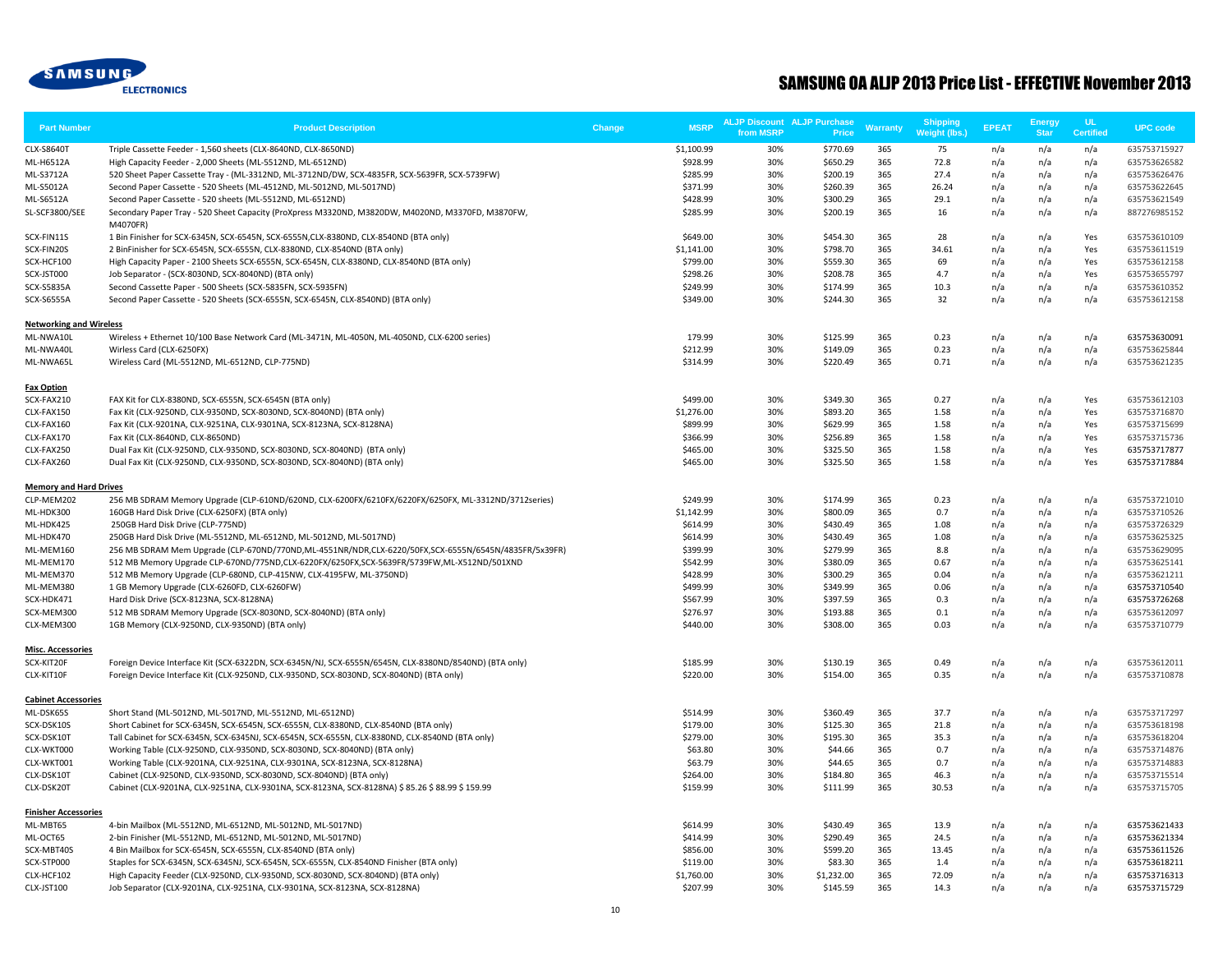

| <b>Part Number</b>                     | <b>Product Description</b>                                                                                    | Change | <b>MSRP</b> | <b>ALJP Discount ALJP Purchase</b><br>from MSRP | Price      | <b>Warranty</b> | <b>Shipping</b><br>Weight (lbs.) | <b>EPEAT</b> | <b>Energy</b><br><b>Star</b> | <b>UL</b><br><b>Certified</b> | <b>UPC code</b> |
|----------------------------------------|---------------------------------------------------------------------------------------------------------------|--------|-------------|-------------------------------------------------|------------|-----------------|----------------------------------|--------------|------------------------------|-------------------------------|-----------------|
| <b>CLX-S8640T</b>                      | Triple Cassette Feeder - 1,560 sheets (CLX-8640ND, CLX-8650ND)                                                |        | \$1,100.99  | 30%                                             | \$770.69   | 365             | 75                               | n/a          | n/a                          | n/a                           | 635753715927    |
| ML-H6512A                              | High Capacity Feeder - 2,000 Sheets (ML-5512ND, ML-6512ND)                                                    |        | \$928.99    | 30%                                             | \$650.29   | 365             | 72.8                             | n/a          | n/a                          | n/a                           | 635753626582    |
| ML-S3712A                              | 520 Sheet Paper Cassette Tray - (ML-3312ND, ML-3712ND/DW, SCX-4835FR, SCX-5639FR, SCX-5739FW)                 |        | \$285.99    | 30%                                             | \$200.19   | 365             | 27.4                             | n/a          | n/a                          | n/a                           | 635753626476    |
| ML-S5012A                              | Second Paper Cassette - 520 Sheets (ML-4512ND, ML-5012ND, ML-5017ND)                                          |        | \$371.99    | 30%                                             | \$260.39   | 365             | 26.24                            | n/a          | n/a                          | n/a                           | 635753622645    |
| ML-S6512A                              | Second Paper Cassette - 520 sheets (ML-5512ND, ML-6512ND)                                                     |        | \$428.99    | 30%                                             | \$300.29   | 365             | 29.1                             | n/a          | n/a                          | n/a                           | 635753621549    |
| SL-SCF3800/SEE                         | Secondary Paper Tray - 520 Sheet Capacity (ProXpress M3320ND, M3820DW, M4020ND, M3370FD, M3870FW,<br>M4070FR) |        | \$285.99    | 30%                                             | \$200.19   | 365             | 16                               | n/a          | n/a                          | n/a                           | 887276985152    |
| SCX-FIN11S                             | 1 Bin Finisher for SCX-6345N, SCX-6545N, SCX-6555N, CLX-8380ND, CLX-8540ND (BTA only)                         |        | \$649.00    | 30%                                             | \$454.30   | 365             | 28                               | n/a          | n/a                          | Yes                           | 635753610109    |
| SCX-FIN20S                             | 2 BinFinisher for SCX-6545N, SCX-6555N, CLX-8380ND, CLX-8540ND (BTA only)                                     |        | \$1,141.00  | 30%                                             | \$798.70   | 365             | 34.61                            | n/a          | n/a                          | Yes                           | 635753611519    |
| SCX-HCF100                             | High Capacity Paper - 2100 Sheets SCX-6555N, SCX-6545N, CLX-8380ND, CLX-8540ND (BTA only)                     |        | \$799.00    | 30%                                             | \$559.30   | 365             | 69                               | n/a          | n/a                          | Yes                           | 635753612158    |
| SCX-JST000                             | Job Separator - (SCX-8030ND, SCX-8040ND) (BTA only)                                                           |        | \$298.26    | 30%                                             | \$208.78   | 365             | 4.7                              | n/a          | n/a                          | Yes                           | 635753655797    |
| <b>SCX-S5835A</b>                      | Second Cassette Paper - 500 Sheets (SCX-5835FN, SCX-5935FN)                                                   |        | \$249.99    | 30%                                             | \$174.99   | 365             | 10.3                             | n/a          | n/a                          | n/a                           | 635753610352    |
| SCX-S6555A                             | Second Paper Cassette - 520 Sheets (SCX-6555N, SCX-6545N, CLX-8540ND) (BTA only)                              |        | \$349.00    | 30%                                             | \$244.30   | 365             | 32                               | n/a          | n/a                          | n/a                           | 635753612158    |
| <b>Networking and Wireless</b>         |                                                                                                               |        | 179.99      |                                                 |            | 365             |                                  |              |                              |                               |                 |
| ML-NWA10L                              | Wireless + Ethernet 10/100 Base Network Card (ML-3471N, ML-4050N, ML-4050ND, CLX-6200 series)                 |        |             | 30%<br>30%                                      | \$125.99   | 365             | 0.23                             | n/a          | n/a                          | n/a                           | 635753630091    |
| ML-NWA40L                              | Wirless Card (CLX-6250FX)<br>Wireless Card (ML-5512ND, ML-6512ND, CLP-775ND)                                  |        | \$212.99    | 30%                                             | \$149.09   | 365             | 0.23                             | n/a          | n/a                          | n/a                           | 635753625844    |
| ML-NWA65L                              |                                                                                                               |        | \$314.99    |                                                 | \$220.49   |                 | 0.71                             | n/a          | n/a                          | n/a                           | 635753621235    |
| <b>Fax Option</b><br>SCX-FAX210        | FAX Kit for CLX-8380ND, SCX-6555N, SCX-6545N (BTA only)                                                       |        | \$499.00    | 30%                                             | \$349.30   | 365             | 0.27                             | n/a          | n/a                          | Yes                           | 635753612103    |
| CLX-FAX150                             | Fax Kit (CLX-9250ND, CLX-9350ND, SCX-8030ND, SCX-8040ND) (BTA only)                                           |        | \$1,276.00  | 30%                                             | \$893.20   | 365             | 1.58                             | n/a          | n/a                          | Yes                           | 635753716870    |
| CLX-FAX160                             | Fax Kit (CLX-9201NA, CLX-9251NA, CLX-9301NA, SCX-8123NA, SCX-8128NA)                                          |        | \$899.99    | 30%                                             | \$629.99   | 365             | 1.58                             | n/a          | n/a                          | Yes                           | 635753715699    |
| CLX-FAX170                             | Fax Kit (CLX-8640ND, CLX-8650ND)                                                                              |        | \$366.99    | 30%                                             | \$256.89   | 365             | 1.58                             | n/a          | n/a                          | Yes                           | 635753715736    |
| CLX-FAX250                             | Dual Fax Kit (CLX-9250ND, CLX-9350ND, SCX-8030ND, SCX-8040ND) (BTA only)                                      |        | \$465.00    | 30%                                             | \$325.50   | 365             | 1.58                             | n/a          | n/a                          | Yes                           | 635753717877    |
| CLX-FAX260                             | Dual Fax Kit (CLX-9250ND, CLX-9350ND, SCX-8030ND, SCX-8040ND) (BTA only)                                      |        | \$465.00    | 30%                                             | \$325.50   | 365             | 1.58                             | n/a          | n/a                          | Yes                           | 635753717884    |
| <b>Memory and Hard Drives</b>          |                                                                                                               |        |             |                                                 |            |                 |                                  |              |                              |                               |                 |
| CLP-MEM202                             | 256 MB SDRAM Memory Upgrade (CLP-610ND/620ND, CLX-6200FX/6210FX/6220FX/6250FX, ML-3312ND/3712series)          |        | \$249.99    | 30%                                             | \$174.99   | 365             | 0.23                             | n/a          | n/a                          | n/a                           | 635753721010    |
| ML-HDK300                              | 160GB Hard Disk Drive (CLX-6250FX) (BTA only)                                                                 |        | \$1,142.99  | 30%                                             | \$800.09   | 365             | 0.7                              | n/a          | n/a                          | n/a                           | 635753710526    |
| ML-HDK425                              | 250GB Hard Disk Drive (CLP-775ND)                                                                             |        | \$614.99    | 30%                                             | \$430.49   | 365             | 1.08                             | n/a          | n/a                          | n/a                           | 635753726329    |
| ML-HDK470                              | 250GB Hard Disk Drive (ML-5512ND, ML-6512ND, ML-5012ND, ML-5017ND)                                            |        | \$614.99    | 30%                                             | \$430.49   | 365             | 1.08                             | n/a          | n/a                          | n/a                           | 635753625325    |
| ML-MEM160                              | 256 MB SDRAM Mem Upgrade (CLP-670ND/770ND, ML-4551NR/NDR, CLX-6220/50FX, SCX-6555N/6545N/4835FR/5x39FR)       |        | \$399.99    | 30%                                             | \$279.99   | 365             | 8.8                              | n/a          | n/a                          | n/a                           | 635753629095    |
| ML-MEM170                              | 512 MB Memory Upgrade CLP-670ND/775ND,CLX-6220FX/6250FX,SCX-5639FR/5739FW,ML-X512ND/501XND                    |        | \$542.99    | 30%                                             | \$380.09   | 365             | 0.67                             | n/a          | n/a                          | n/a                           | 635753625141    |
| ML-MEM370                              | 512 MB Memory Upgrade (CLP-680ND, CLP-415NW, CLX-4195FW, ML-3750ND)                                           |        | \$428.99    | 30%                                             | \$300.29   | 365             | 0.04                             | n/a          | n/a                          | n/a                           | 635753621211    |
| ML-MEM380                              | 1 GB Memory Upgrade (CLX-6260FD, CLX-6260FW)                                                                  |        | \$499.99    | 30%                                             | \$349.99   | 365             | 0.06                             | n/a          | n/a                          | n/a                           | 635753710540    |
| SCX-HDK471                             | Hard Disk Drive (SCX-8123NA, SCX-8128NA)                                                                      |        | \$567.99    | 30%                                             | \$397.59   | 365             | 0.3                              | n/a          | n/a                          | n/a                           | 635753726268    |
| SCX-MEM300                             | 512 MB SDRAM Memory Upgrade (SCX-8030ND, SCX-8040ND) (BTA only)                                               |        | \$276.97    | 30%                                             | \$193.88   | 365             | 0.1                              | n/a          | n/a                          | n/a                           | 635753612097    |
| CLX-MEM300                             | 1GB Memory (CLX-9250ND, CLX-9350ND) (BTA only)                                                                |        | \$440.00    | 30%                                             | \$308.00   | 365             | 0.03                             | n/a          | n/a                          | n/a                           | 635753710779    |
| <b>Misc. Accessories</b><br>SCX-KIT20F | Foreign Device Interface Kit (SCX-6322DN, SCX-6345N/NJ, SCX-6555N/6545N, CLX-8380ND/8540ND) (BTA only)        |        | \$185.99    | 30%                                             | \$130.19   | 365             | 0.49                             | n/a          | n/a                          | n/a                           | 635753612011    |
| CLX-KIT10F                             | Foreign Device Interface Kit (CLX-9250ND, CLX-9350ND, SCX-8030ND, SCX-8040ND) (BTA only)                      |        | \$220.00    | 30%                                             | \$154.00   | 365             | 0.35                             | n/a          | n/a                          | n/a                           | 635753710878    |
| <b>Cabinet Accessories</b>             |                                                                                                               |        |             |                                                 |            |                 |                                  |              |                              |                               |                 |
| ML-DSK65S                              | Short Stand (ML-5012ND, ML-5017ND, ML-5512ND, ML-6512ND)                                                      |        | \$514.99    | 30%                                             | \$360.49   | 365             | 37.7                             | n/a          | n/a                          | n/a                           | 635753717297    |
| SCX-DSK10S                             | Short Cabinet for SCX-6345N, SCX-6545N, SCX-6555N, CLX-8380ND, CLX-8540ND (BTA only)                          |        | \$179.00    | 30%                                             | \$125.30   | 365             | 21.8                             | n/a          | n/a                          | n/a                           | 635753618198    |
| SCX-DSK10T                             | Tall Cabinet for SCX-6345N, SCX-6345NJ, SCX-6545N, SCX-6555N, CLX-8380ND, CLX-8540ND (BTA only)               |        | \$279.00    | 30%                                             | \$195.30   | 365             | 35.3                             | n/a          | n/a                          | n/a                           | 635753618204    |
| CLX-WKT000                             | Working Table (CLX-9250ND, CLX-9350ND, SCX-8030ND, SCX-8040ND) (BTA only)                                     |        | \$63.80     | 30%                                             | \$44.66    | 365             | 0.7                              | n/a          | n/a                          | n/a                           | 635753714876    |
| CLX-WKT001                             | Working Table (CLX-9201NA, CLX-9251NA, CLX-9301NA, SCX-8123NA, SCX-8128NA)                                    |        | \$63.79     | 30%                                             | \$44.65    | 365             | 0.7                              | n/a          | n/a                          | n/a                           | 635753714883    |
| CLX-DSK10T                             | Cabinet (CLX-9250ND, CLX-9350ND, SCX-8030ND, SCX-8040ND) (BTA only)                                           |        | \$264.00    | 30%                                             | \$184.80   | 365             | 46.3                             | n/a          | n/a                          | n/a                           | 635753715514    |
| CLX-DSK20T                             | Cabinet (CLX-9201NA, CLX-9251NA, CLX-9301NA, SCX-8123NA, SCX-8128NA) \$ 85.26 \$ 88.99 \$ 159.99              |        | \$159.99    | 30%                                             | \$111.99   | 365             | 30.53                            | n/a          | n/a                          | n/a                           | 635753715705    |
| <b>Finisher Accessories</b>            |                                                                                                               |        |             |                                                 |            |                 |                                  |              |                              |                               |                 |
| ML-MBT65                               | 4-bin Mailbox (ML-5512ND, ML-6512ND, ML-5012ND, ML-5017ND)                                                    |        | \$614.99    | 30%                                             | \$430.49   | 365             | 13.9                             | n/a          | n/a                          | n/a                           | 635753621433    |
| ML-OCT65                               | 2-bin Finisher (ML-5512ND, ML-6512ND, ML-5012ND, ML-5017ND)                                                   |        | \$414.99    | 30%                                             | \$290.49   | 365             | 24.5                             | n/a          | n/a                          | n/a                           | 635753621334    |
| SCX-MBT40S                             | 4 Bin Mailbox for SCX-6545N, SCX-6555N, CLX-8540ND (BTA only)                                                 |        | \$856.00    | 30%                                             | \$599.20   | 365             | 13.45                            | n/a          | n/a                          | n/a                           | 635753611526    |
| SCX-STP000                             | Staples for SCX-6345N, SCX-6345NJ, SCX-6545N, SCX-6555N, CLX-8540ND Finisher (BTA only)                       |        | \$119.00    | 30%                                             | \$83.30    | 365             | 1.4                              | n/a          | n/a                          | n/a                           | 635753618211    |
| CLX-HCF102                             | High Capacity Feeder (CLX-9250ND, CLX-9350ND, SCX-8030ND, SCX-8040ND) (BTA only)                              |        | \$1,760.00  | 30%                                             | \$1,232.00 | 365             | 72.09                            | n/a          | n/a                          | n/a                           | 635753716313    |
| CLX-JST100                             | Job Separator (CLX-9201NA, CLX-9251NA, CLX-9301NA, SCX-8123NA, SCX-8128NA)                                    |        | \$207.99    | 30%                                             | \$145.59   | 365             | 14.3                             | n/a          | n/a                          | n/a                           | 635753715729    |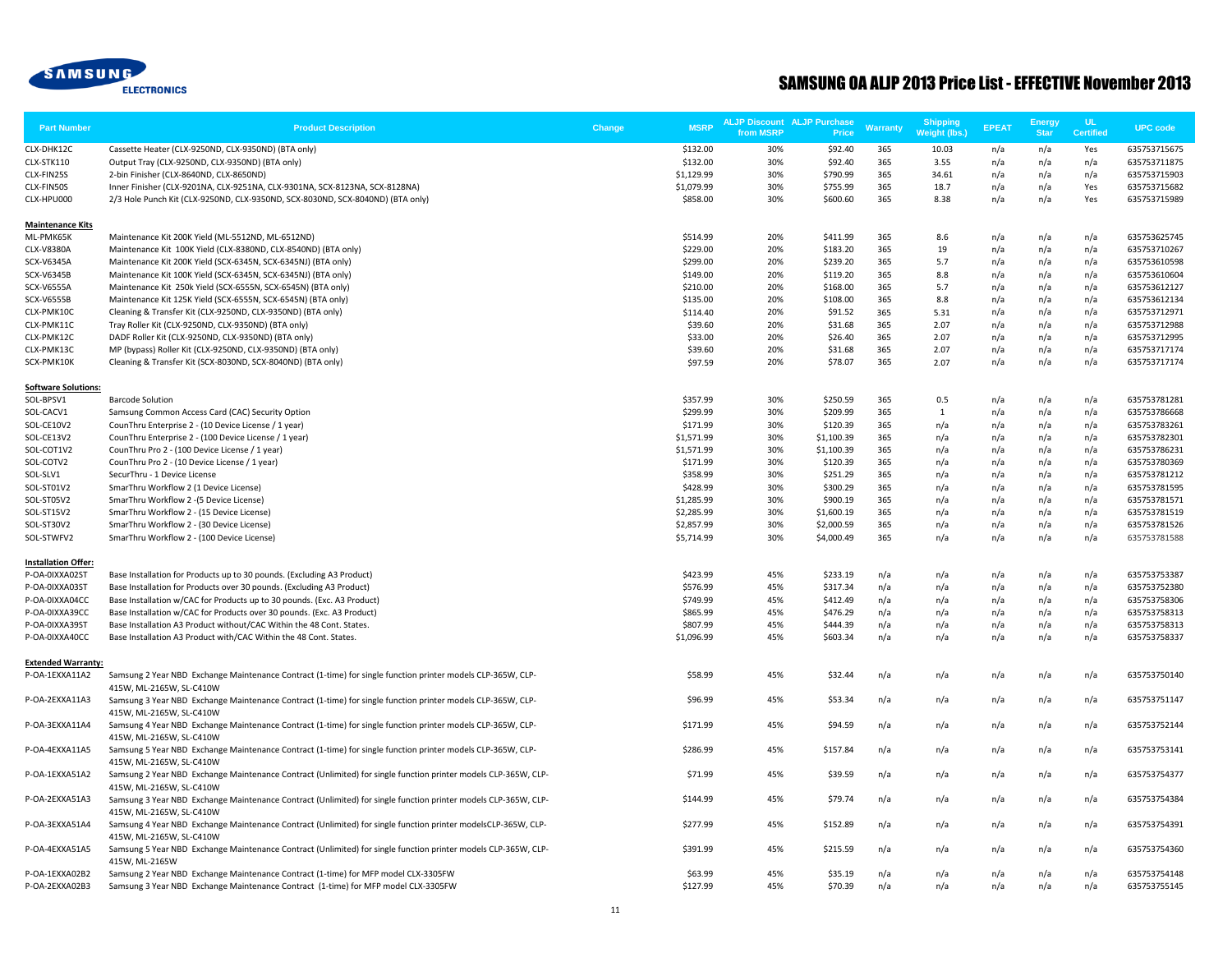

| <b>Part Number</b>                     | <b>Product Description</b>                                                                                                                 | Change | <b>MSRP</b>            | <b>ALJP Discount ALJP Purchase</b><br>from MSRP | Price                | Warranty   | <b>Shipping</b><br>Weight (lbs.) | <b>EPEAT</b> | <b>Energy</b><br><b>Star</b> | <b>UL</b><br><b>Certified</b> | <b>UPC code</b>              |
|----------------------------------------|--------------------------------------------------------------------------------------------------------------------------------------------|--------|------------------------|-------------------------------------------------|----------------------|------------|----------------------------------|--------------|------------------------------|-------------------------------|------------------------------|
| CLX-DHK12C                             | Cassette Heater (CLX-9250ND, CLX-9350ND) (BTA only)                                                                                        |        | \$132.00               | 30%                                             | \$92.40              | 365        | 10.03                            | n/a          | n/a                          | Yes                           | 635753715675                 |
| CLX-STK110                             | Output Tray (CLX-9250ND, CLX-9350ND) (BTA only)                                                                                            |        | \$132.00               | 30%                                             | \$92.40              | 365        | 3.55                             | n/a          | n/a                          | n/a                           | 635753711875                 |
| CLX-FIN25S                             | 2-bin Finisher (CLX-8640ND, CLX-8650ND)                                                                                                    |        | \$1,129.99             | 30%                                             | \$790.99             | 365        | 34.61                            | n/a          | n/a                          | n/a                           | 635753715903                 |
| CLX-FIN50S                             | Inner Finisher (CLX-9201NA, CLX-9251NA, CLX-9301NA, SCX-8123NA, SCX-8128NA)                                                                |        | \$1,079.99             | 30%                                             | \$755.99             | 365        | 18.7                             | n/a          | n/a                          | Yes                           | 635753715682                 |
| CLX-HPU000                             | 2/3 Hole Punch Kit (CLX-9250ND, CLX-9350ND, SCX-8030ND, SCX-8040ND) (BTA only)                                                             |        | \$858.00               | 30%                                             | \$600.60             | 365        | 8.38                             | n/a          | n/a                          | Yes                           | 635753715989                 |
| <b>Maintenance Kits</b>                |                                                                                                                                            |        |                        |                                                 |                      |            |                                  |              |                              |                               |                              |
| ML-PMK65K                              | Maintenance Kit 200K Yield (ML-5512ND, ML-6512ND)                                                                                          |        | \$514.99               | 20%                                             | \$411.99             | 365        | 8.6                              | n/a          | n/a                          | n/a                           | 635753625745                 |
| CLX-V8380A                             | Maintenance Kit 100K Yield (CLX-8380ND, CLX-8540ND) (BTA only)                                                                             |        | \$229.00               | 20%                                             | \$183.20             | 365        | 19                               | n/a          | n/a                          | n/a                           | 635753710267                 |
| <b>SCX-V6345A</b>                      | Maintenance Kit 200K Yield (SCX-6345N, SCX-6345NJ) (BTA only)                                                                              |        | \$299.00               | 20%                                             | \$239.20             | 365        | 5.7                              | n/a          | n/a                          | n/a                           | 635753610598                 |
| SCX-V6345B                             | Maintenance Kit 100K Yield (SCX-6345N, SCX-6345NJ) (BTA only)                                                                              |        | \$149.00               | 20%                                             | \$119.20             | 365        | 8.8                              | n/a          | n/a                          | n/a                           | 635753610604                 |
| <b>SCX-V6555A</b><br><b>SCX-V6555B</b> | Maintenance Kit 250k Yield (SCX-6555N, SCX-6545N) (BTA only)<br>Maintenance Kit 125K Yield (SCX-6555N, SCX-6545N) (BTA only)               |        | \$210.00<br>\$135.00   | 20%<br>20%                                      | \$168.00<br>\$108.00 | 365<br>365 | 5.7<br>8.8                       | n/a<br>n/a   | n/a<br>n/a                   | n/a<br>n/a                    | 635753612127<br>635753612134 |
| CLX-PMK10C                             | Cleaning & Transfer Kit (CLX-9250ND, CLX-9350ND) (BTA only)                                                                                |        | \$114.40               | 20%                                             | \$91.52              | 365        | 5.31                             |              | n/a                          | n/a                           | 635753712971                 |
| CLX-PMK11C                             | Tray Roller Kit (CLX-9250ND, CLX-9350ND) (BTA only)                                                                                        |        | \$39.60                | 20%                                             | \$31.68              | 365        | 2.07                             | n/a<br>n/a   | n/a                          | n/a                           | 635753712988                 |
| CLX-PMK12C                             | DADF Roller Kit (CLX-9250ND, CLX-9350ND) (BTA only)                                                                                        |        | \$33.00                | 20%                                             | \$26.40              | 365        | 2.07                             | n/a          | n/a                          | n/a                           | 635753712995                 |
| CLX-PMK13C                             | MP (bypass) Roller Kit (CLX-9250ND, CLX-9350ND) (BTA only)                                                                                 |        | \$39.60                | 20%                                             | \$31.68              | 365        | 2.07                             | n/a          | n/a                          | n/a                           | 635753717174                 |
| SCX-PMK10K                             | Cleaning & Transfer Kit (SCX-8030ND, SCX-8040ND) (BTA only)                                                                                |        | \$97.59                | 20%                                             | \$78.07              | 365        | 2.07                             | n/a          | n/a                          | n/a                           | 635753717174                 |
| <b>Software Solutions:</b>             |                                                                                                                                            |        |                        |                                                 |                      |            |                                  |              |                              |                               |                              |
| SOL-BPSV1                              | <b>Barcode Solution</b>                                                                                                                    |        | \$357.99               | 30%                                             | \$250.59             | 365        | 0.5                              | n/a          | n/a                          | n/a                           | 635753781281                 |
| SOL-CACV1                              | Samsung Common Access Card (CAC) Security Option                                                                                           |        | \$299.99               | 30%                                             | \$209.99             | 365        | $\mathbf{1}$                     | n/a          | n/a                          | n/a                           | 635753786668                 |
| SOL-CE10V2                             | CounThru Enterprise 2 - (10 Device License / 1 year)                                                                                       |        | \$171.99               | 30%                                             | \$120.39             | 365        | n/a                              | n/a          | n/a                          | n/a                           | 635753783261                 |
| SOL-CE13V2                             | CounThru Enterprise 2 - (100 Device License / 1 year)                                                                                      |        | \$1,571.99             | 30%                                             | \$1,100.39           | 365        | n/a                              | n/a          | n/a                          | n/a                           | 635753782301                 |
| SOL-COT1V2                             | CounThru Pro 2 - (100 Device License / 1 year)                                                                                             |        | \$1,571.99             | 30%                                             | \$1,100.39           | 365        | n/a                              | n/a          | n/a                          | n/a                           | 635753786231                 |
| SOL-COTV2                              | CounThru Pro 2 - (10 Device License / 1 year)                                                                                              |        | \$171.99               | 30%                                             | \$120.39             | 365        | n/a                              | n/a          | n/a                          | n/a                           | 635753780369                 |
| SOL-SLV1                               | SecurThru - 1 Device License                                                                                                               |        | \$358.99               | 30%                                             | \$251.29             | 365        | n/a                              | n/a          | n/a                          | n/a                           | 635753781212                 |
| SOL-ST01V2                             | SmarThru Workflow 2 (1 Device License)                                                                                                     |        | \$428.99               | 30%                                             | \$300.29             | 365        | n/a                              | n/a          | n/a                          | n/a                           | 635753781595                 |
| SOL-ST05V2                             | SmarThru Workflow 2 - (5 Device License)                                                                                                   |        | \$1,285.99             | 30%                                             | \$900.19             | 365        | n/a                              | n/a          | n/a                          | n/a                           | 635753781571                 |
| SOL-ST15V2                             | SmarThru Workflow 2 - (15 Device License)                                                                                                  |        | \$2,285.99             | 30%                                             | \$1,600.19           | 365        | n/a                              | n/a          | n/a                          | n/a                           | 635753781519                 |
| SOL-ST30V2                             | SmarThru Workflow 2 - (30 Device License)                                                                                                  |        | \$2,857.99             | 30%                                             | \$2,000.59           | 365        | n/a                              | n/a          | n/a                          | n/a                           | 635753781526                 |
| SOL-STWFV2                             | SmarThru Workflow 2 - (100 Device License)                                                                                                 |        | \$5,714.99             | 30%                                             | \$4,000.49           | 365        | n/a                              | n/a          | n/a                          | n/a                           | 635753781588                 |
| <b>Installation Offer:</b>             |                                                                                                                                            |        |                        |                                                 |                      |            |                                  |              |                              |                               |                              |
| P-OA-0IXXA02ST                         | Base Installation for Products up to 30 pounds. (Excluding A3 Product)                                                                     |        | \$423.99               | 45%                                             | \$233.19             | n/a        | n/a                              | n/a          | n/a                          | n/a                           | 635753753387                 |
| P-OA-0IXXA03ST                         | Base Installation for Products over 30 pounds. (Excluding A3 Product)                                                                      |        | \$576.99               | 45%                                             | \$317.34             | n/a        | n/a                              | n/a          | n/a                          | n/a                           | 635753752380                 |
| P-OA-0IXXA04CC                         | Base Installation w/CAC for Products up to 30 pounds. (Exc. A3 Product)                                                                    |        | \$749.99               | 45%                                             | \$412.49             | n/a        | n/a                              | n/a          | n/a                          | n/a                           | 635753758306                 |
| P-OA-0IXXA39CC                         | Base Installation w/CAC for Products over 30 pounds. (Exc. A3 Product)                                                                     |        | \$865.99               | 45%                                             | \$476.29             | n/a        | n/a                              | n/a          | n/a                          | n/a                           | 635753758313                 |
| P-OA-0IXXA39ST<br>P-OA-0IXXA40CC       | Base Installation A3 Product without/CAC Within the 48 Cont. States.<br>Base Installation A3 Product with/CAC Within the 48 Cont. States.  |        | \$807.99<br>\$1,096.99 | 45%<br>45%                                      | \$444.39<br>\$603.34 | n/a<br>n/a | n/a<br>n/a                       | n/a<br>n/a   | n/a<br>n/a                   | n/a<br>n/a                    | 635753758313<br>635753758337 |
| <b>Extended Warranty:</b>              |                                                                                                                                            |        |                        |                                                 |                      |            |                                  |              |                              |                               |                              |
| P-OA-1EXXA11A2                         | Samsung 2 Year NBD Exchange Maintenance Contract (1-time) for single function printer models CLP-365W, CLP-<br>415W, ML-2165W, SL-C410W    |        | \$58.99                | 45%                                             | \$32.44              | n/a        | n/a                              | n/a          | n/a                          | n/a                           | 635753750140                 |
| P-OA-2EXXA11A3                         | Samsung 3 Year NBD Exchange Maintenance Contract (1-time) for single function printer models CLP-365W, CLP-                                |        | \$96.99                | 45%                                             | \$53.34              | n/a        | n/a                              | n/a          | n/a                          | n/a                           | 635753751147                 |
| P-OA-3EXXA11A4                         | 415W, ML-2165W, SL-C410W<br>Samsung 4 Year NBD Exchange Maintenance Contract (1-time) for single function printer models CLP-365W, CLP-    |        | \$171.99               | 45%                                             | \$94.59              | n/a        | n/a                              | n/a          | n/a                          | n/a                           | 635753752144                 |
| P-OA-4EXXA11A5                         | 415W, ML-2165W, SL-C410W<br>Samsung 5 Year NBD Exchange Maintenance Contract (1-time) for single function printer models CLP-365W, CLP-    |        | \$286.99               | 45%                                             | \$157.84             | n/a        | n/a                              | n/a          | n/a                          | n/a                           | 635753753141                 |
| P-OA-1EXXA51A2                         | 415W, ML-2165W, SL-C410W<br>Samsung 2 Year NBD Exchange Maintenance Contract (Unlimited) for single function printer models CLP-365W, CLP- |        | \$71.99                | 45%                                             | \$39.59              | n/a        | n/a                              | n/a          | n/a                          | n/a                           | 635753754377                 |
| P-OA-2EXXA51A3                         | 415W, ML-2165W, SL-C410W<br>Samsung 3 Year NBD Exchange Maintenance Contract (Unlimited) for single function printer models CLP-365W, CLP- |        | \$144.99               | 45%                                             | \$79.74              | n/a        | n/a                              | n/a          | n/a                          | n/a                           | 635753754384                 |
| P-OA-3EXXA51A4                         | 415W, ML-2165W, SL-C410W<br>Samsung 4 Year NBD Exchange Maintenance Contract (Unlimited) for single function printer modelsCLP-365W, CLP-  |        | \$277.99               | 45%                                             | \$152.89             | n/a        | n/a                              | n/a          | n/a                          | n/a                           | 635753754391                 |
| P-OA-4EXXA51A5                         | 415W, ML-2165W, SL-C410W<br>Samsung 5 Year NBD Exchange Maintenance Contract (Unlimited) for single function printer models CLP-365W, CLP- |        | \$391.99               | 45%                                             | \$215.59             | n/a        | n/a                              | n/a          | n/a                          | n/a                           | 635753754360                 |
| P-OA-1EXXA02B2                         | 415W, ML-2165W<br>Samsung 2 Year NBD Exchange Maintenance Contract (1-time) for MFP model CLX-3305FW                                       |        | \$63.99                | 45%                                             | \$35.19              | n/a        | n/a                              | n/a          | n/a                          | n/a                           | 635753754148                 |
| P-OA-2EXXA02B3                         | Samsung 3 Year NBD Exchange Maintenance Contract (1-time) for MFP model CLX-3305FW                                                         |        | \$127.99               | 45%                                             | \$70.39              | n/a        | n/a                              | n/a          | n/a                          | n/a                           | 635753755145                 |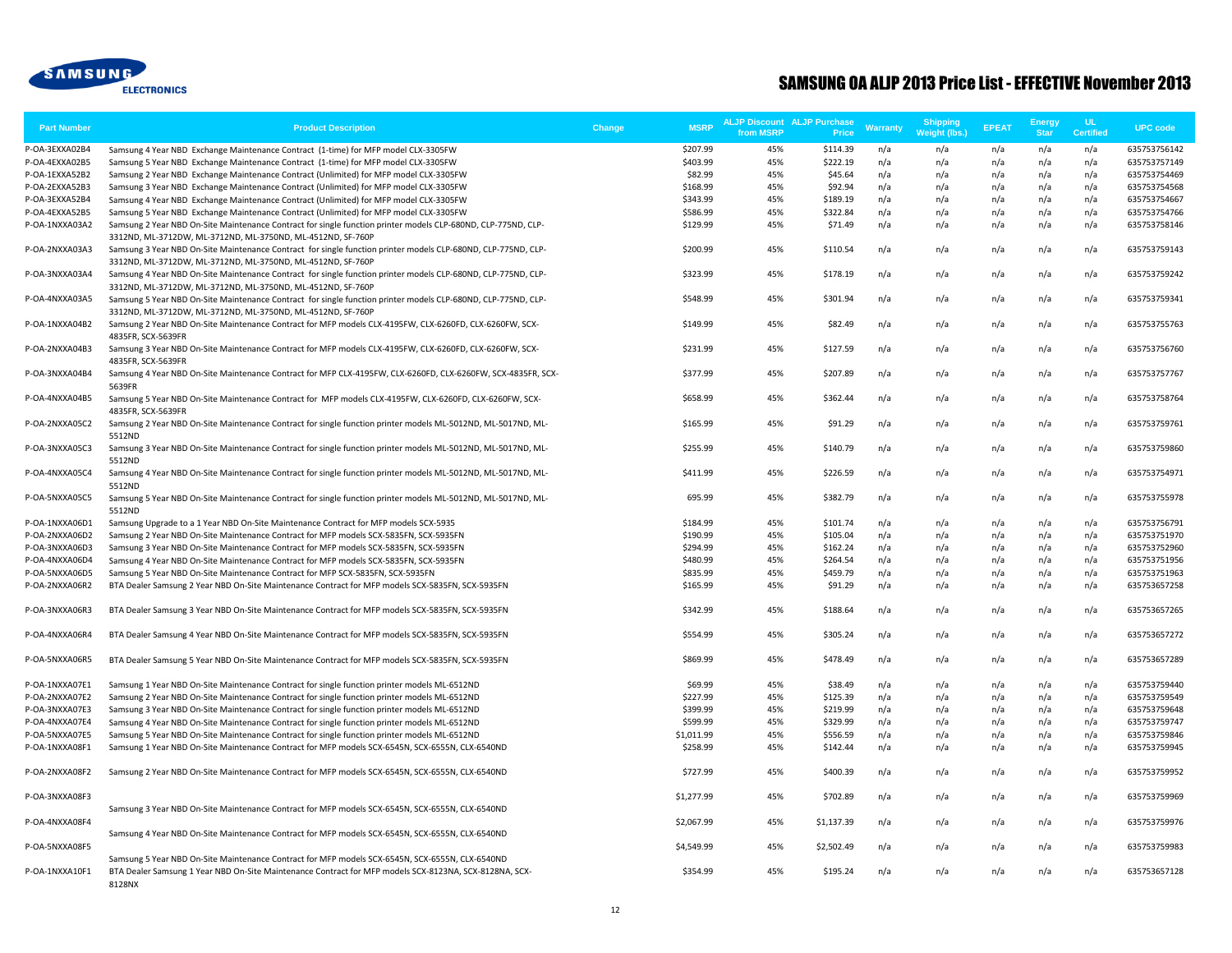

| <b>Part Number</b> | <b>Product Description</b>                                                                                                                                                   | <b>MSRP</b><br>Change | from MSRP | <b>ALJP Discount ALJP Purchase</b><br>Price | <b>Warranty</b> | Shipping<br>Weight (lbs.) | <b>EPEAT</b> | <b>Energy</b><br><b>Star</b> | UL.<br><b>Certified</b> | <b>UPC code</b> |
|--------------------|------------------------------------------------------------------------------------------------------------------------------------------------------------------------------|-----------------------|-----------|---------------------------------------------|-----------------|---------------------------|--------------|------------------------------|-------------------------|-----------------|
| P-OA-3EXXA02B4     | Samsung 4 Year NBD Exchange Maintenance Contract (1-time) for MFP model CLX-3305FW                                                                                           | \$207.99              | 45%       | \$114.39                                    | n/a             | n/a                       | n/a          | n/a                          | n/a                     | 635753756142    |
| P-OA-4EXXA02B5     | Samsung 5 Year NBD Exchange Maintenance Contract (1-time) for MFP model CLX-3305FW                                                                                           | \$403.99              | 45%       | \$222.19                                    | n/a             | n/a                       | n/a          | n/a                          | n/a                     | 635753757149    |
| P-OA-1EXXA52B2     | Samsung 2 Year NBD Exchange Maintenance Contract (Unlimited) for MFP model CLX-3305FW                                                                                        | \$82.99               | 45%       | \$45.64                                     | n/a             | n/a                       | n/a          | n/a                          | n/a                     | 635753754469    |
| P-OA-2EXXA52B3     | Samsung 3 Year NBD Exchange Maintenance Contract (Unlimited) for MFP model CLX-3305FW                                                                                        | \$168.99              | 45%       | \$92.94                                     | n/a             | n/a                       | n/a          | n/a                          | n/a                     | 635753754568    |
| P-OA-3EXXA52B4     | Samsung 4 Year NBD Exchange Maintenance Contract (Unlimited) for MFP model CLX-3305FW                                                                                        | \$343.99              | 45%       | \$189.19                                    | n/a             | n/a                       | n/a          | n/a                          | n/a                     | 635753754667    |
| P-OA-4EXXA52B5     | Samsung 5 Year NBD Exchange Maintenance Contract (Unlimited) for MFP model CLX-3305FW                                                                                        | \$586.99              | 45%       | \$322.84                                    | n/a             | n/a                       | n/a          | n/a                          | n/a                     | 635753754766    |
| P-OA-1NXXA03A2     | Samsung 2 Year NBD On-Site Maintenance Contract for single function printer models CLP-680ND, CLP-775ND, CLP-<br>3312ND, ML-3712DW, ML-3712ND, ML-3750ND, ML-4512ND, SF-760P | \$129.99              | 45%       | \$71.49                                     | n/a             | n/a                       | n/a          | n/a                          | n/a                     | 635753758146    |
| P-OA-2NXXA03A3     | Samsung 3 Year NBD On-Site Maintenance Contract for single function printer models CLP-680ND, CLP-775ND, CLP-<br>3312ND, ML-3712DW, ML-3712ND, ML-3750ND, ML-4512ND, SF-760P | \$200.99              | 45%       | \$110.54                                    | n/a             | n/a                       | n/a          | n/a                          | n/a                     | 635753759143    |
| P-OA-3NXXA03A4     | Samsung 4 Year NBD On-Site Maintenance Contract for single function printer models CLP-680ND, CLP-775ND, CLP-<br>3312ND, ML-3712DW, ML-3712ND, ML-3750ND, ML-4512ND, SF-760P | \$323.99              | 45%       | \$178.19                                    | n/a             | n/a                       | n/a          | n/a                          | n/a                     | 635753759242    |
| P-OA-4NXXA03A5     | Samsung 5 Year NBD On-Site Maintenance Contract for single function printer models CLP-680ND, CLP-775ND, CLP-<br>3312ND, ML-3712DW, ML-3712ND, ML-3750ND, ML-4512ND, SF-760P | \$548.99              | 45%       | \$301.94                                    | n/a             | n/a                       | n/a          | n/a                          | n/a                     | 635753759341    |
| P-OA-1NXXA04B2     | Samsung 2 Year NBD On-Site Maintenance Contract for MFP models CLX-4195FW, CLX-6260FD, CLX-6260FW, SCX-<br>4835FR, SCX-5639FR                                                | \$149.99              | 45%       | \$82.49                                     | n/a             | n/a                       | n/a          | n/a                          | n/a                     | 635753755763    |
| P-OA-2NXXA04B3     | Samsung 3 Year NBD On-Site Maintenance Contract for MFP models CLX-4195FW, CLX-6260FD, CLX-6260FW, SCX-<br>4835FR, SCX-5639FR                                                | \$231.99              | 45%       | \$127.59                                    | n/a             | n/a                       | n/a          | n/a                          | n/a                     | 635753756760    |
| P-OA-3NXXA04B4     | Samsung 4 Year NBD On-Site Maintenance Contract for MFP CLX-4195FW, CLX-6260FD, CLX-6260FW, SCX-4835FR, SCX-<br>5639FR                                                       | \$377.99              | 45%       | \$207.89                                    | n/a             | n/a                       | n/a          | n/a                          | n/a                     | 635753757767    |
| P-OA-4NXXA04B5     | Samsung 5 Year NBD On-Site Maintenance Contract for MFP models CLX-4195FW, CLX-6260FD, CLX-6260FW, SCX-<br>4835FR, SCX-5639FR                                                | \$658.99              | 45%       | \$362.44                                    | n/a             | n/a                       | n/a          | n/a                          | n/a                     | 635753758764    |
| P-OA-2NXXA05C2     | Samsung 2 Year NBD On-Site Maintenance Contract for single function printer models ML-5012ND, ML-5017ND, ML-<br>5512ND                                                       | \$165.99              | 45%       | \$91.29                                     | n/a             | n/a                       | n/a          | n/a                          | n/a                     | 635753759761    |
| P-OA-3NXXA05C3     | Samsung 3 Year NBD On-Site Maintenance Contract for single function printer models ML-5012ND, ML-5017ND, ML-<br>5512ND                                                       | \$255.99              | 45%       | \$140.79                                    | n/a             | n/a                       | n/a          | n/a                          | n/a                     | 635753759860    |
| P-OA-4NXXA05C4     | Samsung 4 Year NBD On-Site Maintenance Contract for single function printer models ML-5012ND, ML-5017ND, ML-<br>5512ND                                                       | \$411.99              | 45%       | \$226.59                                    | n/a             | n/a                       | n/a          | n/a                          | n/a                     | 635753754971    |
| P-OA-5NXXA05C5     | Samsung 5 Year NBD On-Site Maintenance Contract for single function printer models ML-5012ND, ML-5017ND, ML-<br>5512ND                                                       | 695.99                | 45%       | \$382.79                                    | n/a             | n/a                       | n/a          | n/a                          | n/a                     | 635753755978    |
| P-OA-1NXXA06D1     | Samsung Upgrade to a 1 Year NBD On-Site Maintenance Contract for MFP models SCX-5935                                                                                         | \$184.99              | 45%       | \$101.74                                    | n/a             | n/a                       | n/a          | n/a                          | n/a                     | 635753756791    |
| P-OA-2NXXA06D2     | Samsung 2 Year NBD On-Site Maintenance Contract for MFP models SCX-5835FN, SCX-5935FN                                                                                        | \$190.99              | 45%       | \$105.04                                    | n/a             | n/a                       | n/a          | n/a                          | n/a                     | 635753751970    |
| P-OA-3NXXA06D3     | Samsung 3 Year NBD On-Site Maintenance Contract for MFP models SCX-5835FN, SCX-5935FN                                                                                        | \$294.99              | 45%       | \$162.24                                    | n/a             | n/a                       | n/a          | n/a                          | n/a                     | 635753752960    |
| P-OA-4NXXA06D4     | Samsung 4 Year NBD On-Site Maintenance Contract for MFP models SCX-5835FN, SCX-5935FN                                                                                        | \$480.99              | 45%       | \$264.54                                    | n/a             | n/a                       | n/a          | n/a                          | n/a                     | 635753751956    |
| P-OA-5NXXA06D5     | Samsung 5 Year NBD On-Site Maintenance Contract for MFP SCX-5835FN, SCX-5935FN                                                                                               | \$835.99              | 45%       | \$459.79                                    | n/a             | n/a                       | n/a          | n/a                          | n/a                     | 635753751963    |
| P-OA-2NXXA06R2     | BTA Dealer Samsung 2 Year NBD On-Site Maintenance Contract for MFP models SCX-5835FN, SCX-5935FN                                                                             | \$165.99              | 45%       | \$91.29                                     | n/a             | n/a                       | n/a          | n/a                          | n/a                     | 635753657258    |
| P-OA-3NXXA06R3     | BTA Dealer Samsung 3 Year NBD On-Site Maintenance Contract for MFP models SCX-5835FN, SCX-5935FN                                                                             | \$342.99              | 45%       | \$188.64                                    | n/a             | n/a                       | n/a          | n/a                          | n/a                     | 635753657265    |
| P-OA-4NXXA06R4     | BTA Dealer Samsung 4 Year NBD On-Site Maintenance Contract for MFP models SCX-5835FN, SCX-5935FN                                                                             | \$554.99              | 45%       | \$305.24                                    | n/a             | n/a                       | n/a          | n/a                          | n/a                     | 635753657272    |
| P-OA-5NXXA06R5     | BTA Dealer Samsung 5 Year NBD On-Site Maintenance Contract for MFP models SCX-5835FN, SCX-5935FN                                                                             | \$869.99              | 45%       | \$478.49                                    | n/a             | n/a                       | n/a          | n/a                          | n/a                     | 635753657289    |
| P-OA-1NXXA07E1     | Samsung 1 Year NBD On-Site Maintenance Contract for single function printer models ML-6512ND                                                                                 | \$69.99               | 45%       | \$38.49                                     | n/a             | n/a                       | n/a          | n/a                          | n/a                     | 635753759440    |
| P-OA-2NXXA07E2     | Samsung 2 Year NBD On-Site Maintenance Contract for single function printer models ML-6512ND                                                                                 | \$227.99              | 45%       | \$125.39                                    | n/a             | n/a                       | n/a          | n/a                          | n/a                     | 635753759549    |
| P-OA-3NXXA07E3     | Samsung 3 Year NBD On-Site Maintenance Contract for single function printer models ML-6512ND                                                                                 | \$399.99              | 45%       | \$219.99                                    | n/a             | n/a                       | n/a          | n/a                          | n/a                     | 635753759648    |
| P-OA-4NXXA07E4     | Samsung 4 Year NBD On-Site Maintenance Contract for single function printer models ML-6512ND                                                                                 | \$599.99              | 45%       | \$329.99                                    | n/a             | n/a                       | n/a          | n/a                          | n/a                     | 635753759747    |
| P-OA-5NXXA07E5     | Samsung 5 Year NBD On-Site Maintenance Contract for single function printer models ML-6512ND                                                                                 | \$1,011.99            | 45%       | \$556.59                                    | n/a             | n/a                       | n/a          | n/a                          | n/a                     | 635753759846    |
| P-OA-1NXXA08F1     | Samsung 1 Year NBD On-Site Maintenance Contract for MFP models SCX-6545N, SCX-6555N, CLX-6540ND                                                                              | \$258.99              | 45%       | \$142.44                                    | n/a             | n/a                       | n/a          | n/a                          | n/a                     | 635753759945    |
| P-OA-2NXXA08F2     | Samsung 2 Year NBD On-Site Maintenance Contract for MFP models SCX-6545N, SCX-6555N, CLX-6540ND                                                                              | \$727.99              | 45%       | \$400.39                                    | n/a             | n/a                       | n/a          | n/a                          | n/a                     | 635753759952    |
| P-OA-3NXXA08F3     | Samsung 3 Year NBD On-Site Maintenance Contract for MFP models SCX-6545N, SCX-6555N, CLX-6540ND                                                                              | \$1,277.99            | 45%       | \$702.89                                    | n/a             | n/a                       | n/a          | n/a                          | n/a                     | 635753759969    |
| P-OA-4NXXA08F4     |                                                                                                                                                                              | \$2,067.99            | 45%       | \$1,137.39                                  | n/a             | n/a                       | n/a          | n/a                          | n/a                     | 635753759976    |
|                    | Samsung 4 Year NBD On-Site Maintenance Contract for MFP models SCX-6545N, SCX-6555N, CLX-6540ND                                                                              |                       |           |                                             |                 |                           |              |                              |                         |                 |
| P-OA-5NXXA08F5     | Samsung 5 Year NBD On-Site Maintenance Contract for MFP models SCX-6545N, SCX-6555N, CLX-6540ND                                                                              | \$4,549.99            | 45%       | \$2,502.49                                  | n/a             | n/a                       | n/a          | n/a                          | n/a                     | 635753759983    |
| P-OA-1NXXA10F1     | BTA Dealer Samsung 1 Year NBD On-Site Maintenance Contract for MFP models SCX-8123NA, SCX-8128NA, SCX-<br>8128NX                                                             | \$354.99              | 45%       | \$195.24                                    | n/a             | n/a                       | n/a          | n/a                          | n/a                     | 635753657128    |